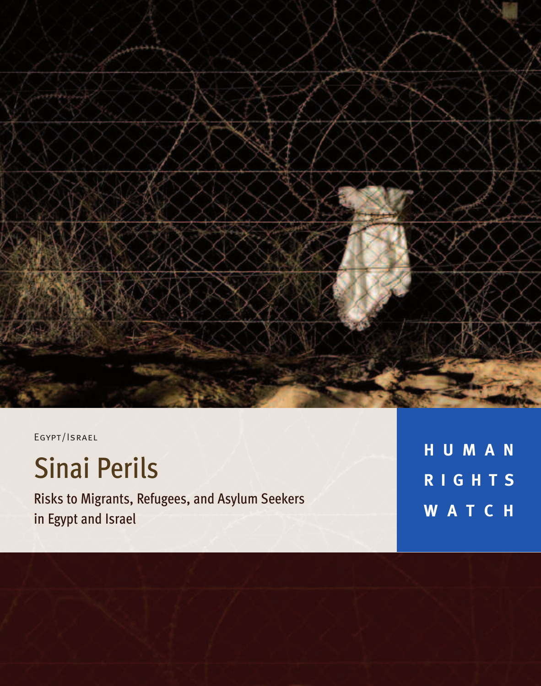

EGYPT/ISRAEL

# Sinai Perils

Risks to Migrants, Refugees, and Asylum Seekers in Egypt and Israel

**H U M A N R I G H T S W A T C H**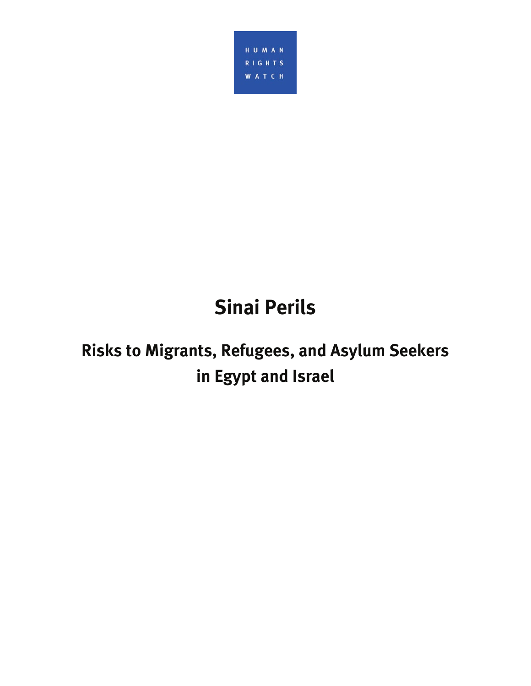

# **Sinai Perils**

# **Risks to Migrants, Refugees, and Asylum Seekers in Egypt and Israel**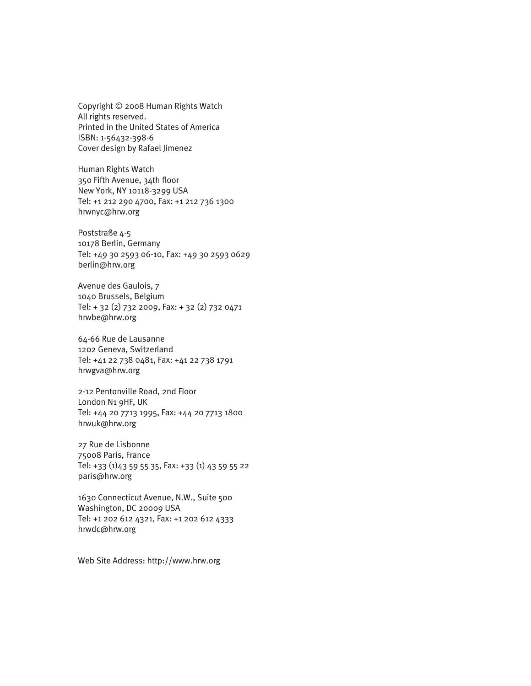Copyright © 2008 Human Rights Watch All rights reserved. Printed in the United States of America ISBN: 1-56432-398-6 Cover design by Rafael Jimenez

Human Rights Watch 350 Fifth Avenue, 34th floor New York, NY 10118-3299 USA Tel: +1 212 290 4700, Fax: +1 212 736 1300 hrwnyc@hrw.org

Poststraße 4-5 10178 Berlin, Germany Tel: +49 30 2593 06-10, Fax: +49 30 2593 0629 berlin@hrw.org

Avenue des Gaulois, 7 1040 Brussels, Belgium Tel: + 32 (2) 732 2009, Fax: + 32 (2) 732 0471 hrwbe@hrw.org

64-66 Rue de Lausanne 1202 Geneva, Switzerland Tel: +41 22 738 0481, Fax: +41 22 738 1791 hrwgva@hrw.org

2-12 Pentonville Road, 2nd Floor London N1 9HF, UK Tel: +44 20 7713 1995, Fax: +44 20 7713 1800 hrwuk@hrw.org

27 Rue de Lisbonne 75008 Paris, France Tel: +33 (1)43 59 55 35, Fax: +33 (1) 43 59 55 22 paris@hrw.org

1630 Connecticut Avenue, N.W., Suite 500 Washington, DC 20009 USA Tel: +1 202 612 4321, Fax: +1 202 612 4333 hrwdc@hrw.org

Web Site Address: http://www.hrw.org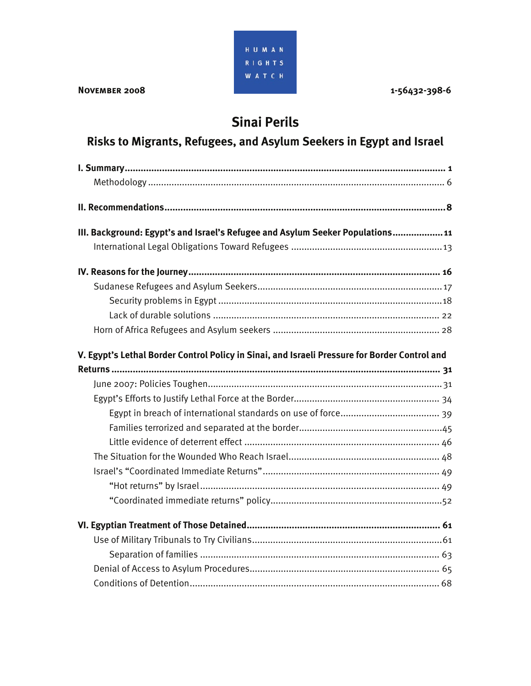

# **Sinai Perils**

# **Risks to Migrants, Refugees, and Asylum Seekers in Egypt and Israel**

| III. Background: Egypt's and Israel's Refugee and Asylum Seeker Populations 11                |
|-----------------------------------------------------------------------------------------------|
|                                                                                               |
|                                                                                               |
|                                                                                               |
|                                                                                               |
|                                                                                               |
|                                                                                               |
| V. Egypt's Lethal Border Control Policy in Sinai, and Israeli Pressure for Border Control and |
|                                                                                               |
|                                                                                               |
|                                                                                               |
|                                                                                               |
|                                                                                               |
|                                                                                               |
|                                                                                               |
|                                                                                               |
|                                                                                               |
|                                                                                               |
|                                                                                               |
|                                                                                               |
|                                                                                               |
|                                                                                               |
|                                                                                               |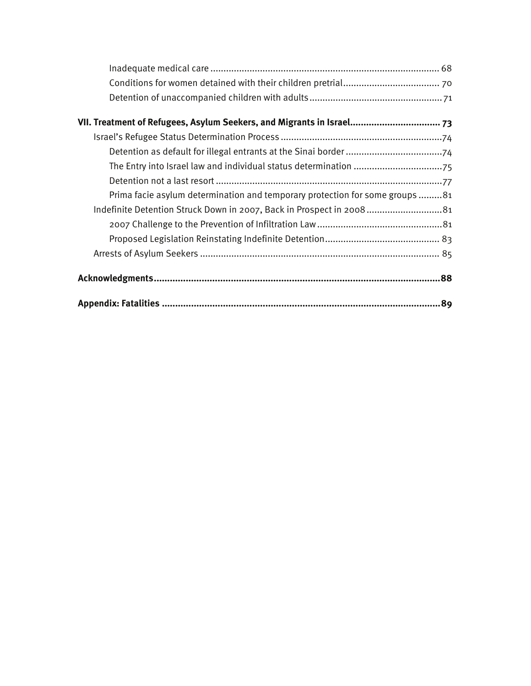| VII. Treatment of Refugees, Asylum Seekers, and Migrants in Israel 73        |
|------------------------------------------------------------------------------|
|                                                                              |
|                                                                              |
|                                                                              |
|                                                                              |
| Prima facie asylum determination and temporary protection for some groups 81 |
| Indefinite Detention Struck Down in 2007, Back in Prospect in 2008 81        |
|                                                                              |
|                                                                              |
|                                                                              |
|                                                                              |
|                                                                              |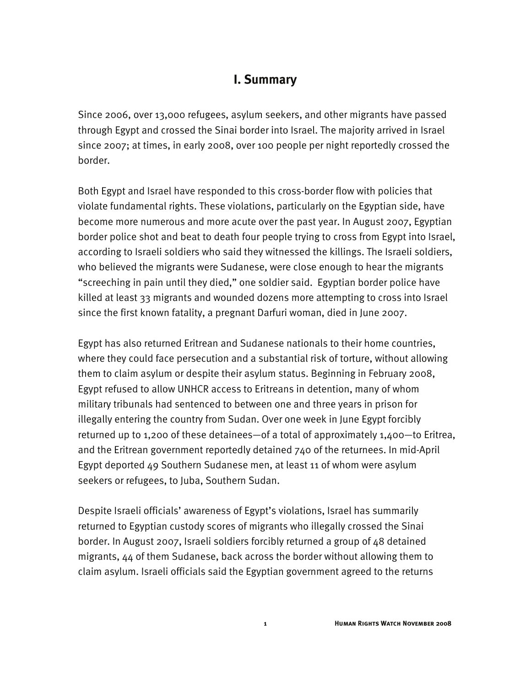# **I. Summary**

Since 2006, over 13,000 refugees, asylum seekers, and other migrants have passed through Egypt and crossed the Sinai border into Israel. The majority arrived in Israel since 2007; at times, in early 2008, over 100 people per night reportedly crossed the border.

Both Egypt and Israel have responded to this cross-border flow with policies that violate fundamental rights. These violations, particularly on the Egyptian side, have become more numerous and more acute over the past year. In August 2007, Egyptian border police shot and beat to death four people trying to cross from Egypt into Israel, according to Israeli soldiers who said they witnessed the killings. The Israeli soldiers, who believed the migrants were Sudanese, were close enough to hear the migrants "screeching in pain until they died," one soldier said. Egyptian border police have killed at least 33 migrants and wounded dozens more attempting to cross into Israel since the first known fatality, a pregnant Darfuri woman, died in June 2007.

Egypt has also returned Eritrean and Sudanese nationals to their home countries, where they could face persecution and a substantial risk of torture, without allowing them to claim asylum or despite their asylum status. Beginning in February 2008, Egypt refused to allow UNHCR access to Eritreans in detention, many of whom military tribunals had sentenced to between one and three years in prison for illegally entering the country from Sudan. Over one week in June Egypt forcibly returned up to 1,200 of these detainees—of a total of approximately 1,400—to Eritrea, and the Eritrean government reportedly detained 740 of the returnees. In mid-April Egypt deported 49 Southern Sudanese men, at least 11 of whom were asylum seekers or refugees, to Juba, Southern Sudan.

Despite Israeli officials' awareness of Egypt's violations, Israel has summarily returned to Egyptian custody scores of migrants who illegally crossed the Sinai border. In August 2007, Israeli soldiers forcibly returned a group of 48 detained migrants, 44 of them Sudanese, back across the border without allowing them to claim asylum. Israeli officials said the Egyptian government agreed to the returns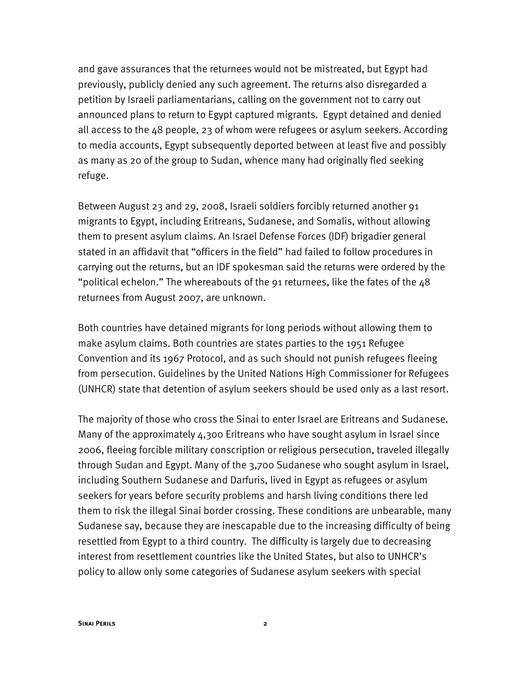and gave assurances that the returnees would not be mistreated, but Egypt had previously, publicly denied any such agreement. The returns also disregarded a petition by Israeli parliamentarians, calling on the government not to carry out announced plans to return to Egypt captured migrants. Egypt detained and denied all access to the 48 people, 23 of whom were refugees or asylum seekers. According to media accounts, Egypt subsequently deported between at least five and possibly as many as 20 of the group to Sudan, whence many had originally fled seeking refuge.

Between August 23 and 29, 2008, Israeli soldiers forcibly returned another 91 migrants to Egypt, including Eritreans, Sudanese, and Somalis, without allowing them to present asylum claims. An Israel Defense Forces (IDF) brigadier general stated in an affidavit that "officers in the field" had failed to follow procedures in carrying out the returns, but an IDF spokesman said the returns were ordered by the "political echelon." The whereabouts of the 91 returnees, like the fates of the 48 returnees from August 2007, are unknown.

Both countries have detained migrants for long periods without allowing them to make asylum claims. Both countries are states parties to the 1951 Refugee Convention and its 1967 Protocol, and as such should not punish refugees fleeing from persecution. Guidelines by the United Nations High Commissioner for Refugees (UNHCR) state that detention of asylum seekers should be used only as a last resort.

The majority of those who cross the Sinai to enter Israel are Eritreans and Sudanese. Many of the approximately 4,300 Eritreans who have sought asylum in Israel since 2006, fleeing forcible military conscription or religious persecution, traveled illegally through Sudan and Egypt. Many of the 3,700 Sudanese who sought asylum in Israel, including Southern Sudanese and Darfuris, lived in Egypt as refugees or asylum seekers for years before security problems and harsh living conditions there led them to risk the illegal Sinai border crossing. These conditions are unbearable, many Sudanese say, because they are inescapable due to the increasing difficulty of being resettled from Egypt to a third country. The difficulty is largely due to decreasing interest from resettlement countries like the United States, but also to UNHCR's policy to allow only some categories of Sudanese asylum seekers with special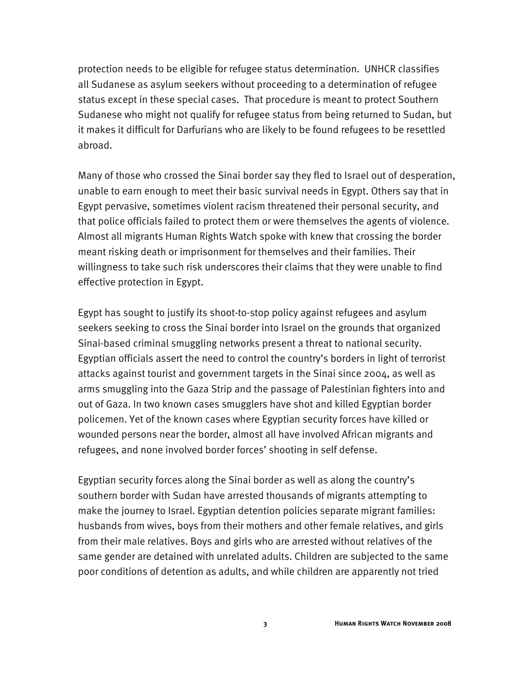protection needs to be eligible for refugee status determination. UNHCR classifies all Sudanese as asylum seekers without proceeding to a determination of refugee status except in these special cases. That procedure is meant to protect Southern Sudanese who might not qualify for refugee status from being returned to Sudan, but it makes it difficult for Darfurians who are likely to be found refugees to be resettled abroad.

Many of those who crossed the Sinai border say they fled to Israel out of desperation, unable to earn enough to meet their basic survival needs in Egypt. Others say that in Egypt pervasive, sometimes violent racism threatened their personal security, and that police officials failed to protect them or were themselves the agents of violence. Almost all migrants Human Rights Watch spoke with knew that crossing the border meant risking death or imprisonment for themselves and their families. Their willingness to take such risk underscores their claims that they were unable to find effective protection in Egypt.

Egypt has sought to justify its shoot-to-stop policy against refugees and asylum seekers seeking to cross the Sinai border into Israel on the grounds that organized Sinai-based criminal smuggling networks present a threat to national security. Egyptian officials assert the need to control the country's borders in light of terrorist attacks against tourist and government targets in the Sinai since 2004, as well as arms smuggling into the Gaza Strip and the passage of Palestinian fighters into and out of Gaza. In two known cases smugglers have shot and killed Egyptian border policemen. Yet of the known cases where Egyptian security forces have killed or wounded persons near the border, almost all have involved African migrants and refugees, and none involved border forces' shooting in self defense.

Egyptian security forces along the Sinai border as well as along the country's southern border with Sudan have arrested thousands of migrants attempting to make the journey to Israel. Egyptian detention policies separate migrant families: husbands from wives, boys from their mothers and other female relatives, and girls from their male relatives. Boys and girls who are arrested without relatives of the same gender are detained with unrelated adults. Children are subjected to the same poor conditions of detention as adults, and while children are apparently not tried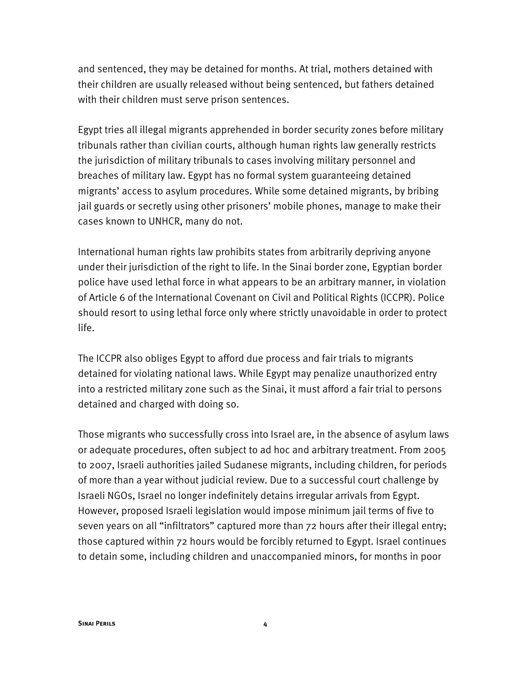and sentenced, they may be detained for months. At trial, mothers detained with their children are usually released without being sentenced, but fathers detained with their children must serve prison sentences.

Egypt tries all illegal migrants apprehended in border security zones before military tribunals rather than civilian courts, although human rights law generally restricts the jurisdiction of military tribunals to cases involving military personnel and breaches of military law. Egypt has no formal system guaranteeing detained migrants' access to asylum procedures. While some detained migrants, by bribing jail guards or secretly using other prisoners' mobile phones, manage to make their cases known to UNHCR, many do not.

International human rights law prohibits states from arbitrarily depriving anyone under their jurisdiction of the right to life. In the Sinai border zone, Egyptian border police have used lethal force in what appears to be an arbitrary manner, in violation of Article 6 of the International Covenant on Civil and Political Rights (ICCPR). Police should resort to using lethal force only where strictly unavoidable in order to protect life.

The ICCPR also obliges Egypt to afford due process and fair trials to migrants detained for violating national laws. While Egypt may penalize unauthorized entry into a restricted military zone such as the Sinai, it must afford a fair trial to persons detained and charged with doing so.

Those migrants who successfully cross into Israel are, in the absence of asylum laws or adequate procedures, often subject to ad hoc and arbitrary treatment. From 2005 to 2007, Israeli authorities jailed Sudanese migrants, including children, for periods of more than a year without judicial review. Due to a successful court challenge by Israeli NGOs, Israel no longer indefinitely detains irregular arrivals from Egypt. However, proposed Israeli legislation would impose minimum jail terms of five to seven years on all "infiltrators" captured more than 72 hours after their illegal entry; those captured within 72 hours would be forcibly returned to Egypt. Israel continues to detain some, including children and unaccompanied minors, for months in poor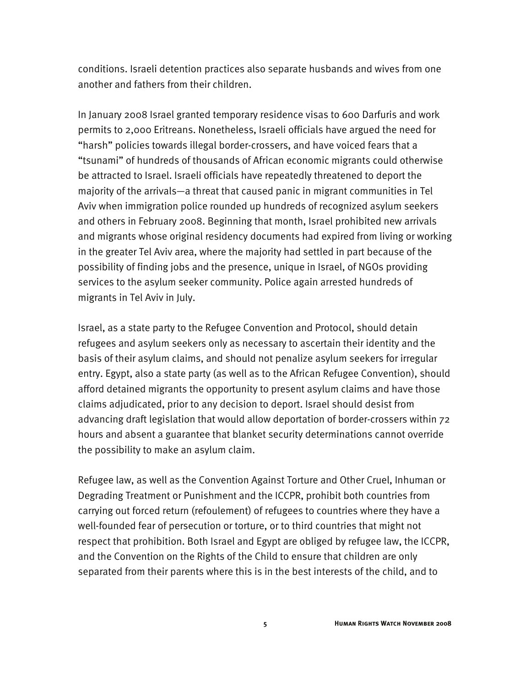conditions. Israeli detention practices also separate husbands and wives from one another and fathers from their children.

In January 2008 Israel granted temporary residence visas to 600 Darfuris and work permits to 2,000 Eritreans. Nonetheless, Israeli officials have argued the need for "harsh" policies towards illegal border-crossers, and have voiced fears that a "tsunami" of hundreds of thousands of African economic migrants could otherwise be attracted to Israel. Israeli officials have repeatedly threatened to deport the majority of the arrivals—a threat that caused panic in migrant communities in Tel Aviv when immigration police rounded up hundreds of recognized asylum seekers and others in February 2008. Beginning that month, Israel prohibited new arrivals and migrants whose original residency documents had expired from living or working in the greater Tel Aviv area, where the majority had settled in part because of the possibility of finding jobs and the presence, unique in Israel, of NGOs providing services to the asylum seeker community. Police again arrested hundreds of migrants in Tel Aviv in July.

Israel, as a state party to the Refugee Convention and Protocol, should detain refugees and asylum seekers only as necessary to ascertain their identity and the basis of their asylum claims, and should not penalize asylum seekers for irregular entry. Egypt, also a state party (as well as to the African Refugee Convention), should afford detained migrants the opportunity to present asylum claims and have those claims adjudicated, prior to any decision to deport. Israel should desist from advancing draft legislation that would allow deportation of border-crossers within 72 hours and absent a guarantee that blanket security determinations cannot override the possibility to make an asylum claim.

Refugee law, as well as the Convention Against Torture and Other Cruel, Inhuman or Degrading Treatment or Punishment and the ICCPR, prohibit both countries from carrying out forced return (refoulement) of refugees to countries where they have a well-founded fear of persecution or torture, or to third countries that might not respect that prohibition. Both Israel and Egypt are obliged by refugee law, the ICCPR, and the Convention on the Rights of the Child to ensure that children are only separated from their parents where this is in the best interests of the child, and to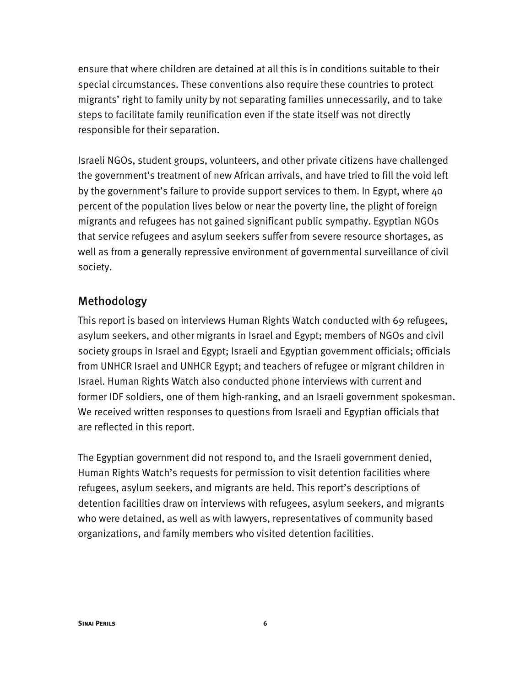ensure that where children are detained at all this is in conditions suitable to their special circumstances. These conventions also require these countries to protect migrants' right to family unity by not separating families unnecessarily, and to take steps to facilitate family reunification even if the state itself was not directly responsible for their separation.

Israeli NGOs, student groups, volunteers, and other private citizens have challenged the government's treatment of new African arrivals, and have tried to fill the void left by the government's failure to provide support services to them. In Egypt, where 40 percent of the population lives below or near the poverty line, the plight of foreign migrants and refugees has not gained significant public sympathy. Egyptian NGOs that service refugees and asylum seekers suffer from severe resource shortages, as well as from a generally repressive environment of governmental surveillance of civil society.

## Methodology

This report is based on interviews Human Rights Watch conducted with 69 refugees, asylum seekers, and other migrants in Israel and Egypt; members of NGOs and civil society groups in Israel and Egypt; Israeli and Egyptian government officials; officials from UNHCR Israel and UNHCR Egypt; and teachers of refugee or migrant children in Israel. Human Rights Watch also conducted phone interviews with current and former IDF soldiers, one of them high-ranking, and an Israeli government spokesman. We received written responses to questions from Israeli and Egyptian officials that are reflected in this report.

The Egyptian government did not respond to, and the Israeli government denied, Human Rights Watch's requests for permission to visit detention facilities where refugees, asylum seekers, and migrants are held. This report's descriptions of detention facilities draw on interviews with refugees, asylum seekers, and migrants who were detained, as well as with lawyers, representatives of community based organizations, and family members who visited detention facilities.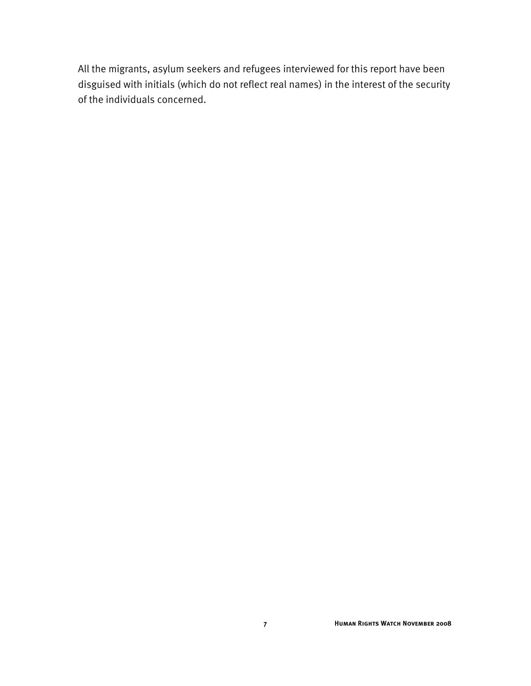All the migrants, asylum seekers and refugees interviewed for this report have been disguised with initials (which do not reflect real names) in the interest of the security of the individuals concerned.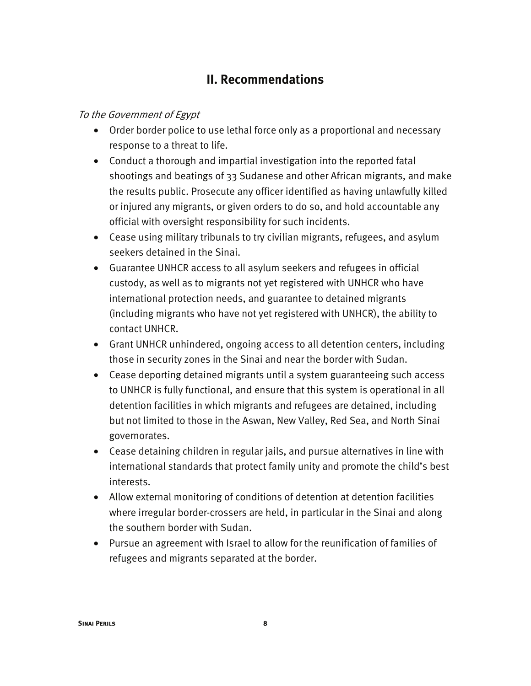# **II. Recommendations**

### To the Government of Egypt

- Order border police to use lethal force only as a proportional and necessary response to a threat to life.
- Conduct a thorough and impartial investigation into the reported fatal shootings and beatings of 33 Sudanese and other African migrants, and make the results public. Prosecute any officer identified as having unlawfully killed or injured any migrants, or given orders to do so, and hold accountable any official with oversight responsibility for such incidents.
- Cease using military tribunals to try civilian migrants, refugees, and asylum seekers detained in the Sinai.
- Guarantee UNHCR access to all asylum seekers and refugees in official custody, as well as to migrants not yet registered with UNHCR who have international protection needs, and guarantee to detained migrants (including migrants who have not yet registered with UNHCR), the ability to contact UNHCR.
- Grant UNHCR unhindered, ongoing access to all detention centers, including those in security zones in the Sinai and near the border with Sudan.
- Cease deporting detained migrants until a system guaranteeing such access to UNHCR is fully functional, and ensure that this system is operational in all detention facilities in which migrants and refugees are detained, including but not limited to those in the Aswan, New Valley, Red Sea, and North Sinai governorates.
- Cease detaining children in regular jails, and pursue alternatives in line with international standards that protect family unity and promote the child's best interests.
- Allow external monitoring of conditions of detention at detention facilities where irregular border-crossers are held, in particular in the Sinai and along the southern border with Sudan.
- Pursue an agreement with Israel to allow for the reunification of families of refugees and migrants separated at the border.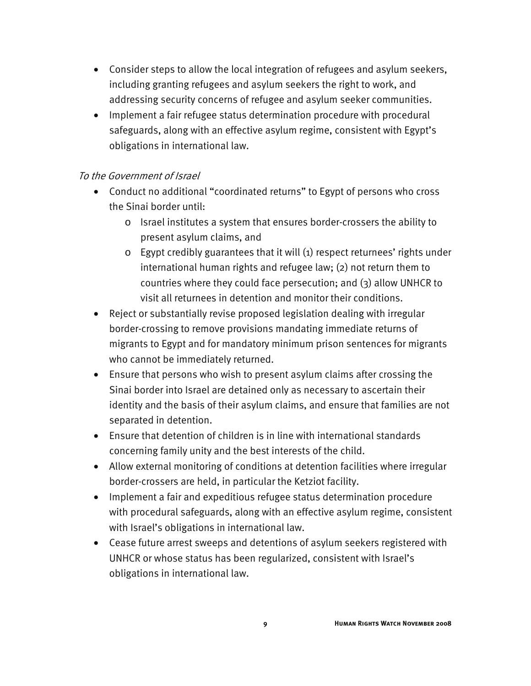- Consider steps to allow the local integration of refugees and asylum seekers, including granting refugees and asylum seekers the right to work, and addressing security concerns of refugee and asylum seeker communities.
- Implement a fair refugee status determination procedure with procedural safeguards, along with an effective asylum regime, consistent with Egypt's obligations in international law.

### To the Government of Israel

- Conduct no additional "coordinated returns" to Egypt of persons who cross the Sinai border until:
	- o Israel institutes a system that ensures border-crossers the ability to present asylum claims, and
	- o Egypt credibly guarantees that it will (1) respect returnees' rights under international human rights and refugee law; (2) not return them to countries where they could face persecution; and (3) allow UNHCR to visit all returnees in detention and monitor their conditions.
- Reject or substantially revise proposed legislation dealing with irregular border-crossing to remove provisions mandating immediate returns of migrants to Egypt and for mandatory minimum prison sentences for migrants who cannot be immediately returned.
- Ensure that persons who wish to present asylum claims after crossing the Sinai border into Israel are detained only as necessary to ascertain their identity and the basis of their asylum claims, and ensure that families are not separated in detention.
- Ensure that detention of children is in line with international standards concerning family unity and the best interests of the child.
- Allow external monitoring of conditions at detention facilities where irregular border-crossers are held, in particular the Ketziot facility.
- Implement a fair and expeditious refugee status determination procedure with procedural safeguards, along with an effective asylum regime, consistent with Israel's obligations in international law.
- Cease future arrest sweeps and detentions of asylum seekers registered with UNHCR or whose status has been regularized, consistent with Israel's obligations in international law.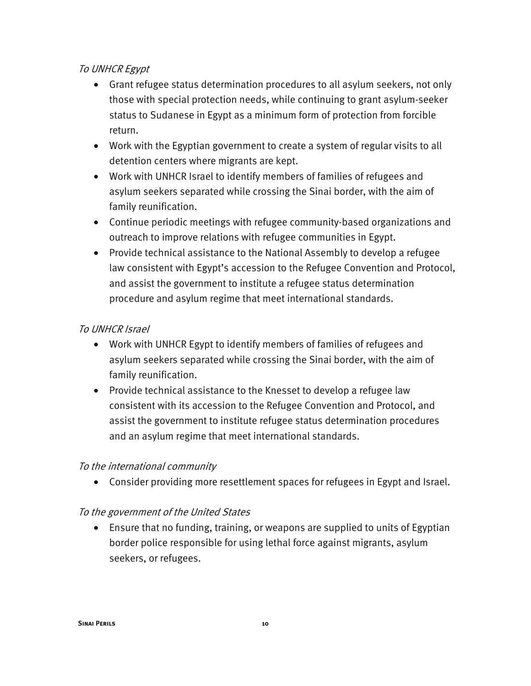### To UNHCR Egypt

- Grant refugee status determination procedures to all asylum seekers, not only those with special protection needs, while continuing to grant asylum-seeker status to Sudanese in Egypt as a minimum form of protection from forcible return.
- Work with the Egyptian government to create a system of regular visits to all detention centers where migrants are kept.
- Work with UNHCR Israel to identify members of families of refugees and asylum seekers separated while crossing the Sinai border, with the aim of family reunification.
- Continue periodic meetings with refugee community-based organizations and outreach to improve relations with refugee communities in Egypt.
- Provide technical assistance to the National Assembly to develop a refugee law consistent with Egypt's accession to the Refugee Convention and Protocol, and assist the government to institute a refugee status determination procedure and asylum regime that meet international standards.

### To UNHCR Israel

- Work with UNHCR Egypt to identify members of families of refugees and asylum seekers separated while crossing the Sinai border, with the aim of family reunification.
- Provide technical assistance to the Knesset to develop a refugee law consistent with its accession to the Refugee Convention and Protocol, and assist the government to institute refugee status determination procedures and an asylum regime that meet international standards.

### To the international community

• Consider providing more resettlement spaces for refugees in Egypt and Israel.

### To the government of the United States

• Ensure that no funding, training, or weapons are supplied to units of Egyptian border police responsible for using lethal force against migrants, asylum seekers, or refugees.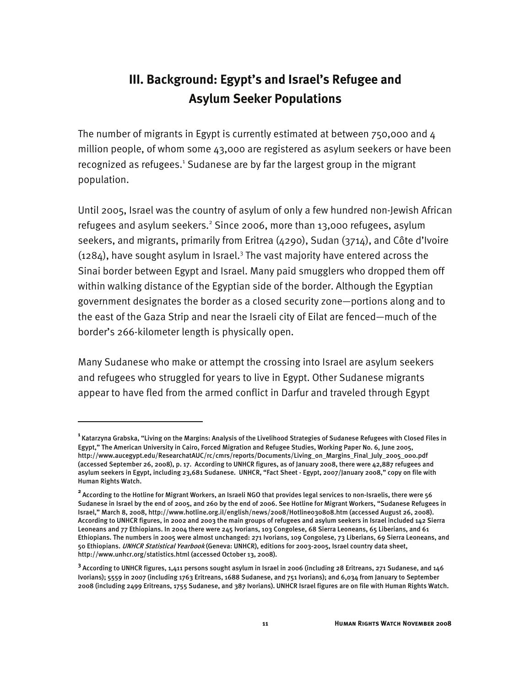# **III. Background: Egypt's and Israel's Refugee and Asylum Seeker Populations**

The number of migrants in Egypt is currently estimated at between 750,000 and 4 million people, of whom some 43,000 are registered as asylum seekers or have been recognized as refugees.<sup>1</sup> Sudanese are by far the largest group in the migrant population.

Until 2005, Israel was the country of asylum of only a few hundred non-Jewish African refugees and asylum seekers.<sup>2</sup> Since 2006, more than 13,000 refugees, asylum seekers, and migrants, primarily from Eritrea (4290), Sudan (3714), and Côte d'Ivoire  $(1284)$ , have sought asylum in Israel.<sup>3</sup> The vast majority have entered across the Sinai border between Egypt and Israel. Many paid smugglers who dropped them off within walking distance of the Egyptian side of the border. Although the Egyptian government designates the border as a closed security zone—portions along and to the east of the Gaza Strip and near the Israeli city of Eilat are fenced—much of the border's 266-kilometer length is physically open.

Many Sudanese who make or attempt the crossing into Israel are asylum seekers and refugees who struggled for years to live in Egypt. Other Sudanese migrants appear to have fled from the armed conflict in Darfur and traveled through Egypt

j

**<sup>1</sup>**Katarzyna Grabska, "Living on the Margins: Analysis of the Livelihood Strategies of Sudanese Refugees with Closed Files in Egypt," The American University in Cairo, Forced Migration and Refugee Studies, Working Paper No. 6, June 2005, http://www.aucegypt.edu/ResearchatAUC/rc/cmrs/reports/Documents/Living\_on\_Margins\_Final\_July\_2005\_000.pdf (accessed September 26, 2008), p. 17. According to UNHCR figures, as of January 2008, there were 42,887 refugees and asylum seekers in Egypt, including 23,681 Sudanese. UNHCR, "Fact Sheet - Egypt, 2007/January 2008," copy on file with Human Rights Watch.

**<sup>2</sup>**According to the Hotline for Migrant Workers, an Israeli NGO that provides legal services to non-Israelis, there were 56 Sudanese in Israel by the end of 2005, and 260 by the end of 2006. See Hotline for Migrant Workers, "Sudanese Refugees in Israel," March 8, 2008, http://www.hotline.org.il/english/news/2008/Hotline030808.htm (accessed August 26, 2008). According to UNHCR figures, in 2002 and 2003 the main groups of refugees and asylum seekers in Israel included 142 Sierra Leoneans and 77 Ethiopians. In 2004 there were 245 Ivorians, 103 Congolese, 68 Sierra Leoneans, 65 Liberians, and 61 Ethiopians. The numbers in 2005 were almost unchanged: 271 Ivorians, 109 Congolese, 73 Liberians, 69 Sierra Leoneans, and 50 Ethiopians. UNHCR Statistical Yearbook (Geneva: UNHCR), editions for 2003-2005, Israel country data sheet, http://www.unhcr.org/statistics.html (accessed October 13, 2008).

**<sup>3</sup>** According to UNHCR figures, 1,411 persons sought asylum in Israel in 2006 (including 28 Eritreans, 271 Sudanese, and 146 Ivorians); 5559 in 2007 (including 1763 Eritreans, 1688 Sudanese, and 751 Ivorians); and 6,034 from January to September 2008 (including 2499 Eritreans, 1755 Sudanese, and 387 Ivorians). UNHCR Israel figures are on file with Human Rights Watch.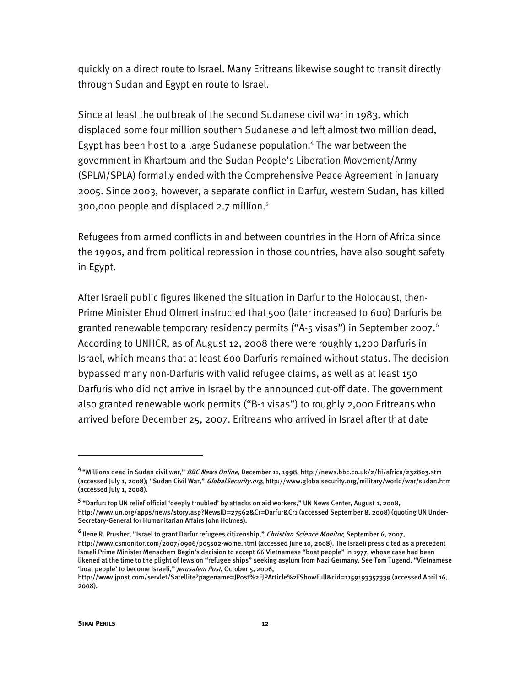quickly on a direct route to Israel. Many Eritreans likewise sought to transit directly through Sudan and Egypt en route to Israel.

Since at least the outbreak of the second Sudanese civil war in 1983, which displaced some four million southern Sudanese and left almost two million dead, Egypt has been host to a large Sudanese population.<sup>4</sup> The war between the government in Khartoum and the Sudan People's Liberation Movement/Army (SPLM/SPLA) formally ended with the Comprehensive Peace Agreement in January 2005. Since 2003, however, a separate conflict in Darfur, western Sudan, has killed 300,000 people and displaced 2.7 million.5

Refugees from armed conflicts in and between countries in the Horn of Africa since the 1990s, and from political repression in those countries, have also sought safety in Egypt.

After Israeli public figures likened the situation in Darfur to the Holocaust, then-Prime Minister Ehud Olmert instructed that 500 (later increased to 600) Darfuris be granted renewable temporary residency permits ("A-5 visas") in September 2007.<sup>6</sup> According to UNHCR, as of August 12, 2008 there were roughly 1,200 Darfuris in Israel, which means that at least 600 Darfuris remained without status. The decision bypassed many non-Darfuris with valid refugee claims, as well as at least 150 Darfuris who did not arrive in Israel by the announced cut-off date. The government also granted renewable work permits ("B-1 visas") to roughly 2,000 Eritreans who arrived before December 25, 2007. Eritreans who arrived in Israel after that date

**<sup>4</sup>**"Millions dead in Sudan civil war," BBC News Online, December 11, 1998, http://news.bbc.co.uk/2/hi/africa/232803.stm (accessed July 1, 2008); "Sudan Civil War," *GlobalSecurity.org*, http://www.globalsecurity.org/military/world/war/sudan.htm (accessed July 1, 2008).

<sup>&</sup>lt;sup>5</sup> "Darfur: top UN relief official 'deeply troubled' by attacks on aid workers," UN News Center, August 1, 2008, http://www.un.org/apps/news/story.asp?NewsID=27562&Cr=Darfur&Cr1 (accessed September 8, 2008) (quoting UN Under-Secretary-General for Humanitarian Affairs John Holmes).

**<sup>6</sup>**Ilene R. Prusher, "Israel to grant Darfur refugees citizenship," Christian Science Monitor, September 6, 2007, http://www.csmonitor.com/2007/0906/p05s02-wome.html (accessed June 10, 2008). The Israeli press cited as a precedent Israeli Prime Minister Menachem Begin's decision to accept 66 Vietnamese "boat people" in 1977, whose case had been likened at the time to the plight of Jews on "refugee ships" seeking asylum from Nazi Germany. See Tom Tugend, "Vietnamese 'boat people' to become Israeli," Jerusalem Post, October 5, 2006,

http://www.jpost.com/servlet/Satellite?pagename=JPost%2FJPArticle%2FShowFull&cid=1159193357339 (accessed April 16, 2008).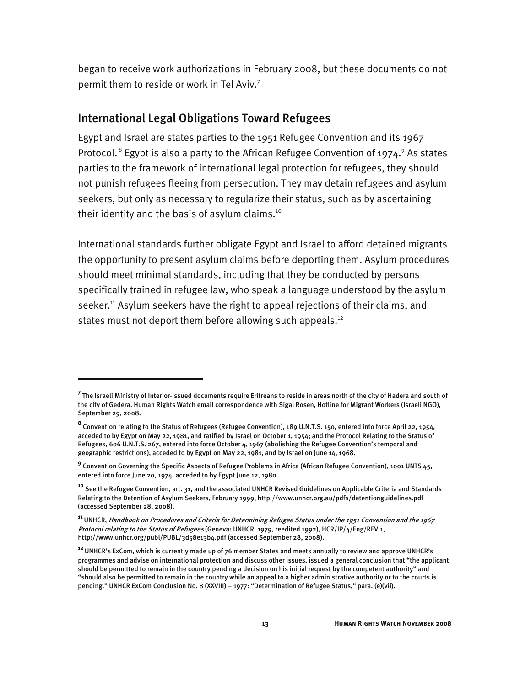began to receive work authorizations in February 2008, but these documents do not permit them to reside or work in Tel Aviv.7

## International Legal Obligations Toward Refugees

I

Egypt and Israel are states parties to the 1951 Refugee Convention and its 1967 Protocol. $^8$  Egypt is also a party to the African Refugee Convention of 1974. $^9$  As states parties to the framework of international legal protection for refugees, they should not punish refugees fleeing from persecution. They may detain refugees and asylum seekers, but only as necessary to regularize their status, such as by ascertaining their identity and the basis of asylum claims.<sup>10</sup>

International standards further obligate Egypt and Israel to afford detained migrants the opportunity to present asylum claims before deporting them. Asylum procedures should meet minimal standards, including that they be conducted by persons specifically trained in refugee law, who speak a language understood by the asylum seeker.<sup>11</sup> Asylum seekers have the right to appeal rejections of their claims, and states must not deport them before allowing such appeals.<sup>12</sup>

**<sup>7</sup>** The Israeli Ministry of Interior-issued documents require Eritreans to reside in areas north of the city of Hadera and south of the city of Gedera. Human Rights Watch email correspondence with Sigal Rosen, Hotline for Migrant Workers (Israeli NGO), September 29, 2008.

**<sup>8</sup>** Convention relating to the Status of Refugees (Refugee Convention), 189 U.N.T.S. 150, entered into force April 22, 1954, acceded to by Egypt on May 22, 1981, and ratified by Israel on October 1, 1954; and the Protocol Relating to the Status of Refugees, 606 U.N.T.S. 267, entered into force October 4, 1967 (abolishing the Refugee Convention's temporal and geographic restrictions), acceded to by Egypt on May 22, 1981, and by Israel on June 14, 1968.

**<sup>9</sup>** Convention Governing the Specific Aspects of Refugee Problems in Africa (African Refugee Convention), 1001 UNTS 45, entered into force June 20, 1974, acceded to by Egypt June 12, 1980.

**<sup>10</sup>** See the Refugee Convention, art. 31, and the associated UNHCR Revised Guidelines on Applicable Criteria and Standards Relating to the Detention of Asylum Seekers, February 1999, http://www.unhcr.org.au/pdfs/detentionguidelines.pdf (accessed September 28, 2008).

**<sup>11</sup>**UNHCR, Handbook on Procedures and Criteria for Determining Refugee Status under the 1951 Convention and the 1967 Protocol relating to the Status of Refugees (Geneva: UNHCR, 1979, reedited 1992), HCR/IP/4/Eng/REV.1, http://www.unhcr.org/publ/PUBL/3d58e13b4.pdf (accessed September 28, 2008).

**<sup>12</sup>**UNHCR's ExCom, which is currently made up of 76 member States and meets annually to review and approve UNHCR's programmes and advise on international protection and discuss other issues, issued a general conclusion that "the applicant should be permitted to remain in the country pending a decision on his initial request by the competent authority" and "should also be permitted to remain in the country while an appeal to a higher administrative authority or to the courts is pending." UNHCR ExCom Conclusion No. 8 (XXVIII) – 1977: "Determination of Refugee Status," para. (e)(vii).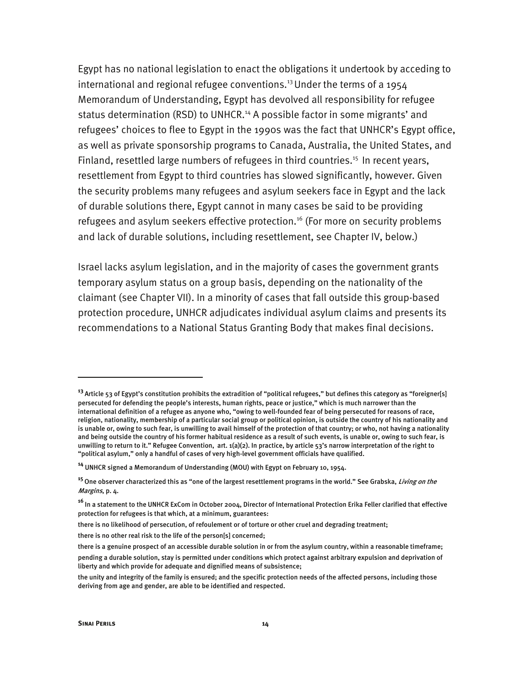Egypt has no national legislation to enact the obligations it undertook by acceding to international and regional refugee conventions.<sup>13</sup> Under the terms of a 1954 Memorandum of Understanding, Egypt has devolved all responsibility for refugee status determination (RSD) to UNHCR.<sup>14</sup> A possible factor in some migrants' and refugees' choices to flee to Egypt in the 1990s was the fact that UNHCR's Egypt office, as well as private sponsorship programs to Canada, Australia, the United States, and Finland, resettled large numbers of refugees in third countries.<sup>15</sup> In recent years, resettlement from Egypt to third countries has slowed significantly, however. Given the security problems many refugees and asylum seekers face in Egypt and the lack of durable solutions there, Egypt cannot in many cases be said to be providing refugees and asylum seekers effective protection.<sup>16</sup> (For more on security problems and lack of durable solutions, including resettlement, see Chapter IV, below.)

Israel lacks asylum legislation, and in the majority of cases the government grants temporary asylum status on a group basis, depending on the nationality of the claimant (see Chapter VII). In a minority of cases that fall outside this group-based protection procedure, UNHCR adjudicates individual asylum claims and presents its recommendations to a National Status Granting Body that makes final decisions.

**<sup>13</sup>**Article 53 of Egypt's constitution prohibits the extradition of "political refugees," but defines this category as "foreigner[s] persecuted for defending the people's interests, human rights, peace or justice," which is much narrower than the international definition of a refugee as anyone who, "owing to well-founded fear of being persecuted for reasons of race, religion, nationality, membership of a particular social group or political opinion, is outside the country of his nationality and is unable or, owing to such fear, is unwilling to avail himself of the protection of that country; or who, not having a nationality and being outside the country of his former habitual residence as a result of such events, is unable or, owing to such fear, is unwilling to return to it." Refugee Convention, art. 1(a)(2). In practice, by article 53's narrow interpretation of the right to "political asylum," only a handful of cases of very high-level government officials have qualified.

**<sup>14</sup>** UNHCR signed a Memorandum of Understanding (MOU) with Egypt on February 10, 1954.

**<sup>15</sup>**One observer characterized this as "one of the largest resettlement programs in the world." See Grabska, Living on the Margins, p. 4.

**<sup>16</sup>**In a statement to the UNHCR ExCom in October 2004, Director of International Protection Erika Feller clarified that effective protection for refugees is that which, at a minimum, guarantees:

there is no likelihood of persecution, of refoulement or of torture or other cruel and degrading treatment;

there is no other real risk to the life of the person[s] concerned;

there is a genuine prospect of an accessible durable solution in or from the asylum country, within a reasonable timeframe;

pending a durable solution, stay is permitted under conditions which protect against arbitrary expulsion and deprivation of liberty and which provide for adequate and dignified means of subsistence;

the unity and integrity of the family is ensured; and the specific protection needs of the affected persons, including those deriving from age and gender, are able to be identified and respected.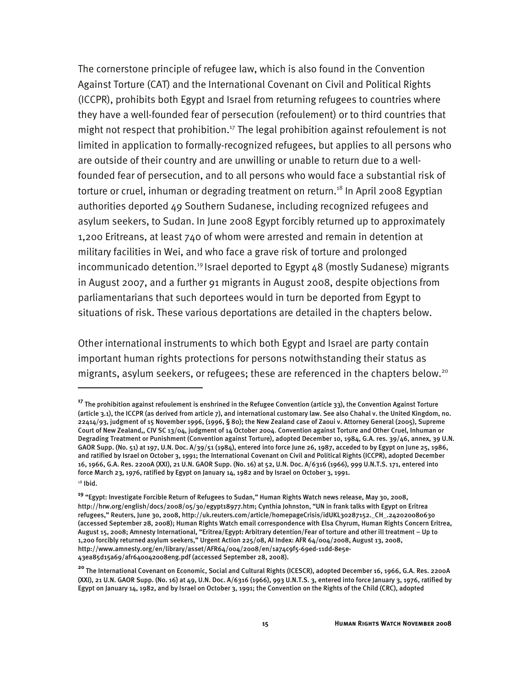The cornerstone principle of refugee law, which is also found in the Convention Against Torture (CAT) and the International Covenant on Civil and Political Rights (ICCPR), prohibits both Egypt and Israel from returning refugees to countries where they have a well-founded fear of persecution (refoulement) or to third countries that might not respect that prohibition.<sup>17</sup> The legal prohibition against refoulement is not limited in application to formally-recognized refugees, but applies to all persons who are outside of their country and are unwilling or unable to return due to a wellfounded fear of persecution, and to all persons who would face a substantial risk of torture or cruel, inhuman or degrading treatment on return.<sup>18</sup> In April 2008 Egyptian authorities deported 49 Southern Sudanese, including recognized refugees and asylum seekers, to Sudan. In June 2008 Egypt forcibly returned up to approximately 1,200 Eritreans, at least 740 of whom were arrested and remain in detention at military facilities in Wei, and who face a grave risk of torture and prolonged incommunicado detention.<sup>19</sup> Israel deported to Egypt  $48$  (mostly Sudanese) migrants in August 2007, and a further 91 migrants in August 2008, despite objections from parliamentarians that such deportees would in turn be deported from Egypt to situations of risk. These various deportations are detailed in the chapters below.

Other international instruments to which both Egypt and Israel are party contain important human rights protections for persons notwithstanding their status as migrants, asylum seekers, or refugees; these are referenced in the chapters below.20

j

**<sup>17</sup>** The prohibition against refoulement is enshrined in the Refugee Convention (article 33), the Convention Against Torture (article 3.1), the ICCPR (as derived from article 7), and international customary law. See also Chahal v. the United Kingdom, no. 22414/93, judgment of 15 November 1996, (1996, § 80); the New Zealand case of Zaoui v. Attorney General (2005), Supreme Court of New Zealand,, CIV SC 13/04, judgment of 14 October 2004. Convention against Torture and Other Cruel, Inhuman or Degrading Treatment or Punishment (Convention against Torture), adopted December 10, 1984, G.A. res. 39/46, annex, 39 U.N. GAOR Supp. (No. 51) at 197, U.N. Doc. A/39/51 (1984), entered into force June 26, 1987, acceded to by Egypt on June 25, 1986, and ratified by Israel on October 3, 1991; the International Covenant on Civil and Political Rights (ICCPR), adopted December 16, 1966, G.A. Res. 2200A (XXI), 21 U.N. GAOR Supp. (No. 16) at 52, U.N. Doc. A/6316 (1966), 999 U.N.T.S. 171, entered into force March 23, 1976, ratified by Egypt on January 14, 1982 and by Israel on October 3, 1991.

 $18$  Ibid.

**<sup>19</sup>** "Egypt: Investigate Forcible Return of Refugees to Sudan," Human Rights Watch news release, May 30, 2008, http://hrw.org/english/docs/2008/05/30/egypt18977.htm; Cynthia Johnston, "UN in frank talks with Egypt on Eritrea refugees," Reuters, June 30, 2008, http://uk.reuters.com/article/homepageCrisis/idUKL30287152.\_CH\_.242020080630 (accessed September 28, 2008); Human Rights Watch email correspondence with Elsa Chyrum, Human Rights Concern Eritrea, August 15, 2008; Amnesty International, "Eritrea/Egypt: Arbitrary detention/Fear of torture and other ill treatment – Up to 1,200 forcibly returned asylum seekers," Urgent Action 225/08, AI Index: AFR 64/004/2008, August 13, 2008, http://www.amnesty.org/en/library/asset/AFR64/004/2008/en/1a74c9f5-69ed-11dd-8e5e-43ea85d15a69/afr640042008eng.pdf (accessed September 28, 2008).

**<sup>20</sup>** The International Covenant on Economic, Social and Cultural Rights (ICESCR), adopted December 16, 1966, G.A. Res. 2200A (XXI), 21 U.N. GAOR Supp. (No. 16) at 49, U.N. Doc. A/6316 (1966), 993 U.N.T.S. 3, entered into force January 3, 1976, ratified by Egypt on January 14, 1982, and by Israel on October 3, 1991; the Convention on the Rights of the Child (CRC), adopted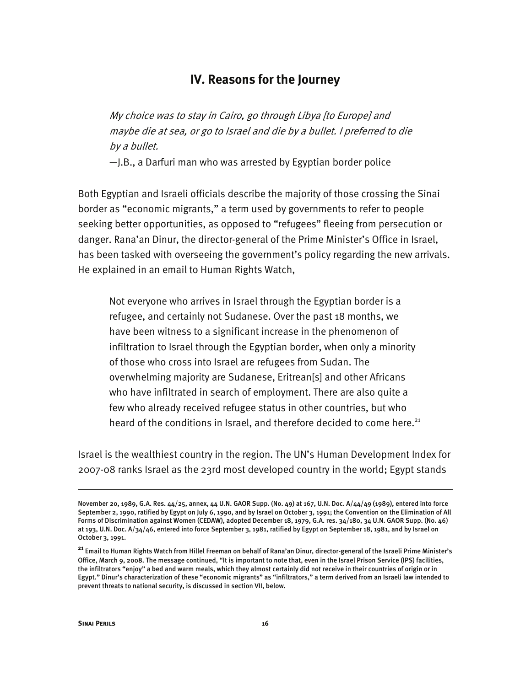# **IV. Reasons for the Journey**

My choice was to stay in Cairo, go through Libya [to Europe] and maybe die at sea, or go to Israel and die by a bullet. I preferred to die by a bullet.

—J.B., a Darfuri man who was arrested by Egyptian border police

Both Egyptian and Israeli officials describe the majority of those crossing the Sinai border as "economic migrants," a term used by governments to refer to people seeking better opportunities, as opposed to "refugees" fleeing from persecution or danger. Rana'an Dinur, the director-general of the Prime Minister's Office in Israel, has been tasked with overseeing the government's policy regarding the new arrivals. He explained in an email to Human Rights Watch,

Not everyone who arrives in Israel through the Egyptian border is a refugee, and certainly not Sudanese. Over the past 18 months, we have been witness to a significant increase in the phenomenon of infiltration to Israel through the Egyptian border, when only a minority of those who cross into Israel are refugees from Sudan. The overwhelming majority are Sudanese, Eritrean[s] and other Africans who have infiltrated in search of employment. There are also quite a few who already received refugee status in other countries, but who heard of the conditions in Israel, and therefore decided to come here. $21$ 

Israel is the wealthiest country in the region. The UN's Human Development Index for 2007-08 ranks Israel as the 23rd most developed country in the world; Egypt stands

-

November 20, 1989, G.A. Res. 44/25, annex, 44 U.N. GAOR Supp. (No. 49) at 167, U.N. Doc. A/44/49 (1989), entered into force September 2, 1990, ratified by Egypt on July 6, 1990, and by Israel on October 3, 1991; the Convention on the Elimination of All Forms of Discrimination against Women (CEDAW), adopted December 18, 1979, G.A. res. 34/180, 34 U.N. GAOR Supp. (No. 46) at 193, U.N. Doc. A/34/46, entered into force September 3, 1981, ratified by Egypt on September 18, 1981, and by Israel on October 3, 1991.

**<sup>21</sup>** Email to Human Rights Watch from Hillel Freeman on behalf of Rana'an Dinur, director-general of the Israeli Prime Minister's Office, March 9, 2008. The message continued, "It is important to note that, even in the Israel Prison Service (IPS) facilities, the infiltrators "enjoy" a bed and warm meals, which they almost certainly did not receive in their countries of origin or in Egypt." Dinur's characterization of these "economic migrants" as "infiltrators," a term derived from an Israeli law intended to prevent threats to national security, is discussed in section VII, below.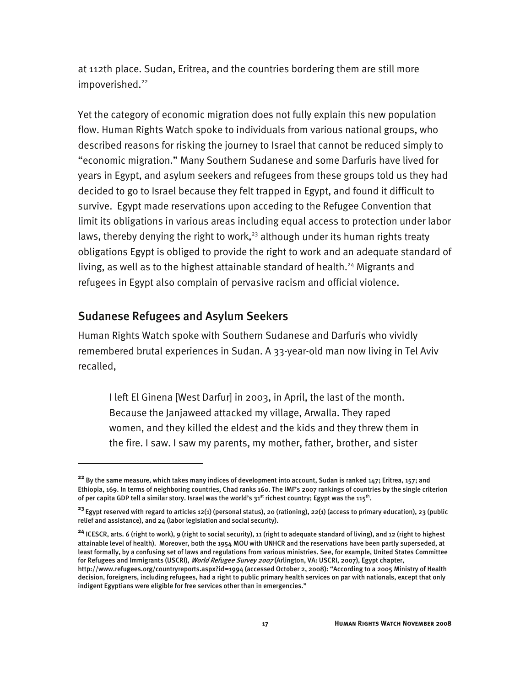at 112th place. Sudan, Eritrea, and the countries bordering them are still more impoverished.<sup>22</sup>

Yet the category of economic migration does not fully explain this new population flow. Human Rights Watch spoke to individuals from various national groups, who described reasons for risking the journey to Israel that cannot be reduced simply to "economic migration." Many Southern Sudanese and some Darfuris have lived for years in Egypt, and asylum seekers and refugees from these groups told us they had decided to go to Israel because they felt trapped in Egypt, and found it difficult to survive. Egypt made reservations upon acceding to the Refugee Convention that limit its obligations in various areas including equal access to protection under labor laws, thereby denying the right to work,<sup>23</sup> although under its human rights treaty obligations Egypt is obliged to provide the right to work and an adequate standard of living, as well as to the highest attainable standard of health.<sup>24</sup> Migrants and refugees in Egypt also complain of pervasive racism and official violence.

## Sudanese Refugees and Asylum Seekers

I

Human Rights Watch spoke with Southern Sudanese and Darfuris who vividly remembered brutal experiences in Sudan. A 33-year-old man now living in Tel Aviv recalled,

I left El Ginena [West Darfur] in 2003, in April, the last of the month. Because the Janjaweed attacked my village, Arwalla. They raped women, and they killed the eldest and the kids and they threw them in the fire. I saw. I saw my parents, my mother, father, brother, and sister

**<sup>24</sup>** ICESCR, arts. 6 (right to work), 9 (right to social security), 11 (right to adequate standard of living), and 12 (right to highest attainable level of health). Moreover, both the 1954 MOU with UNHCR and the reservations have been partly superseded, at least formally, by a confusing set of laws and regulations from various ministries. See, for example, United States Committee for Refugees and Immigrants (USCRI), *World Refugee Survey 2007* (Arlington, VA: USCRI, 2007), Egypt chapter,

**<sup>22</sup>** By the same measure, which takes many indices of development into account, Sudan is ranked 147; Eritrea, 157; and Ethiopia, 169. In terms of neighboring countries, Chad ranks 160. The IMF's 2007 rankings of countries by the single criterion of per capita GDP tell a similar story. Israel was the world's  $31^{st}$  richest country; Egypt was the  $115^{th}$ .

**<sup>23</sup>**Egypt reserved with regard to articles 12(1) (personal status), 20 (rationing), 22(1) (access to primary education), 23 (public relief and assistance), and 24 (labor legislation and social security).

http://www.refugees.org/countryreports.aspx?id=1994 (accessed October 2, 2008): "According to a 2005 Ministry of Health decision, foreigners, including refugees, had a right to public primary health services on par with nationals, except that only indigent Egyptians were eligible for free services other than in emergencies."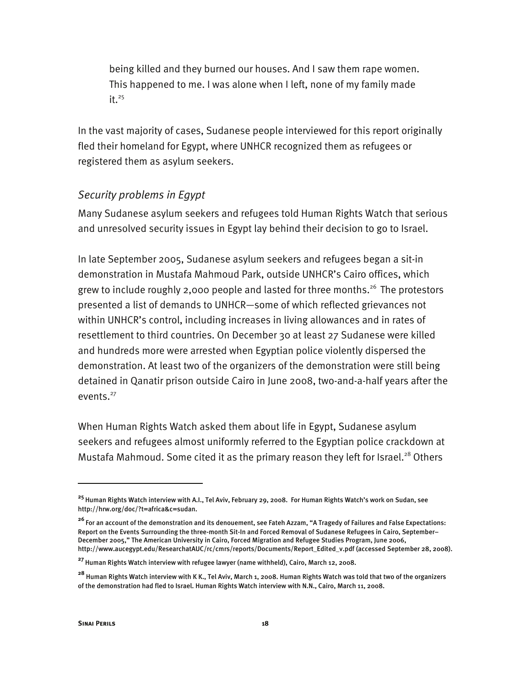being killed and they burned our houses. And I saw them rape women. This happened to me. I was alone when I left, none of my family made  $it.$ <sup>25</sup>

In the vast majority of cases, Sudanese people interviewed for this report originally fled their homeland for Egypt, where UNHCR recognized them as refugees or registered them as asylum seekers.

### *Security problems in Egypt*

Many Sudanese asylum seekers and refugees told Human Rights Watch that serious and unresolved security issues in Egypt lay behind their decision to go to Israel.

In late September 2005, Sudanese asylum seekers and refugees began a sit-in demonstration in Mustafa Mahmoud Park, outside UNHCR's Cairo offices, which grew to include roughly 2,000 people and lasted for three months.<sup>26</sup> The protestors presented a list of demands to UNHCR—some of which reflected grievances not within UNHCR's control, including increases in living allowances and in rates of resettlement to third countries. On December 30 at least 27 Sudanese were killed and hundreds more were arrested when Egyptian police violently dispersed the demonstration. At least two of the organizers of the demonstration were still being detained in Qanatir prison outside Cairo in June 2008, two-and-a-half years after the events.<sup>27</sup>

When Human Rights Watch asked them about life in Egypt, Sudanese asylum seekers and refugees almost uniformly referred to the Egyptian police crackdown at Mustafa Mahmoud. Some cited it as the primary reason they left for Israel.<sup>28</sup> Others

-

**<sup>25</sup>**Human Rights Watch interview with A.I., Tel Aviv, February 29, 2008. For Human Rights Watch's work on Sudan, see http://hrw.org/doc/?t=africa&c=sudan.

**<sup>26</sup>**For an account of the demonstration and its denouement, see Fateh Azzam, "A Tragedy of Failures and False Expectations: Report on the Events Surrounding the three-month Sit-In and Forced Removal of Sudanese Refugees in Cairo, September– December 2005," The American University in Cairo, Forced Migration and Refugee Studies Program, June 2006, http://www.aucegypt.edu/ResearchatAUC/rc/cmrs/reports/Documents/Report\_Edited\_v.pdf (accessed September 28, 2008).

**<sup>27</sup>**Human Rights Watch interview with refugee lawyer (name withheld), Cairo, March 12, 2008.

**<sup>28</sup>** Human Rights Watch interview with K K., Tel Aviv, March 1, 2008. Human Rights Watch was told that two of the organizers of the demonstration had fled to Israel. Human Rights Watch interview with N.N., Cairo, March 11, 2008.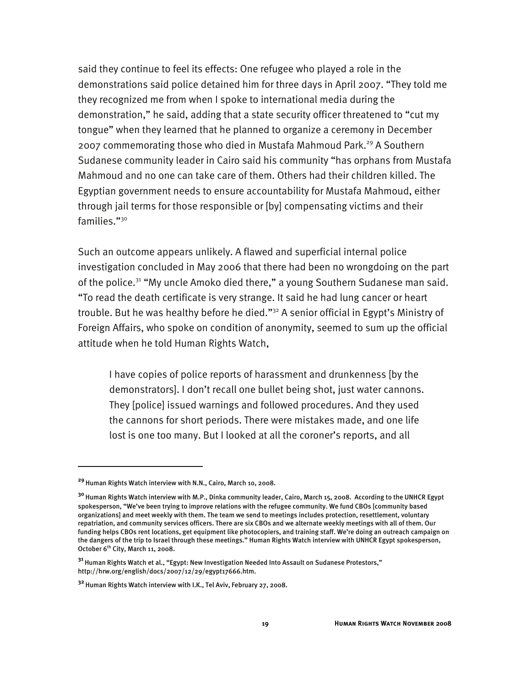said they continue to feel its effects: One refugee who played a role in the demonstrations said police detained him for three days in April 2007. "They told me they recognized me from when I spoke to international media during the demonstration," he said, adding that a state security officer threatened to "cut my tongue" when they learned that he planned to organize a ceremony in December 2007 commemorating those who died in Mustafa Mahmoud Park.<sup>29</sup> A Southern Sudanese community leader in Cairo said his community "has orphans from Mustafa Mahmoud and no one can take care of them. Others had their children killed. The Egyptian government needs to ensure accountability for Mustafa Mahmoud, either through jail terms for those responsible or [by] compensating victims and their families."30

Such an outcome appears unlikely. A flawed and superficial internal police investigation concluded in May 2006 that there had been no wrongdoing on the part of the police.<sup>31</sup> "My uncle Amoko died there," a young Southern Sudanese man said. "To read the death certificate is very strange. It said he had lung cancer or heart trouble. But he was healthy before he died."<sup>32</sup> A senior official in Egypt's Ministry of Foreign Affairs, who spoke on condition of anonymity, seemed to sum up the official attitude when he told Human Rights Watch,

I have copies of police reports of harassment and drunkenness [by the demonstrators]. I don't recall one bullet being shot, just water cannons. They [police] issued warnings and followed procedures. And they used the cannons for short periods. There were mistakes made, and one life lost is one too many. But I looked at all the coroner's reports, and all

**<sup>29</sup>**Human Rights Watch interview with N.N., Cairo, March 10, 2008.

**<sup>30</sup>**Human Rights Watch interview with M.P., Dinka community leader, Cairo, March 15, 2008. According to the UNHCR Egypt spokesperson, "We've been trying to improve relations with the refugee community. We fund CBOs [community based organizations] and meet weekly with them. The team we send to meetings includes protection, resettlement, voluntary repatriation, and community services officers. There are six CBOs and we alternate weekly meetings with all of them. Our funding helps CBOs rent locations, get equipment like photocopiers, and training staff. We're doing an outreach campaign on the dangers of the trip to Israel through these meetings." Human Rights Watch interview with UNHCR Egypt spokesperson, October 6<sup>th</sup> City, March 11, 2008.

<sup>&</sup>lt;sup>31</sup> Human Rights Watch et al., "Egypt: New Investigation Needed Into Assault on Sudanese Protestors," http://hrw.org/english/docs/2007/12/29/egypt17666.htm.

**<sup>32</sup>**Human Rights Watch interview with I.K., Tel Aviv, February 27, 2008.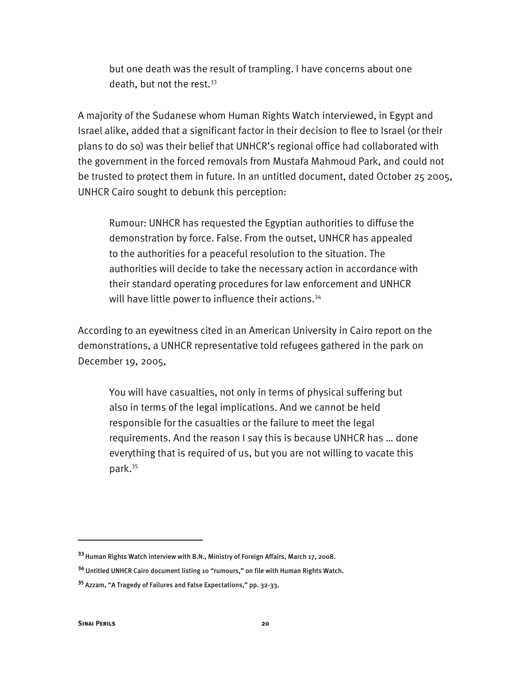but one death was the result of trampling. I have concerns about one death, but not the rest.<sup>33</sup>

A majority of the Sudanese whom Human Rights Watch interviewed, in Egypt and Israel alike, added that a significant factor in their decision to flee to Israel (or their plans to do so) was their belief that UNHCR's regional office had collaborated with the government in the forced removals from Mustafa Mahmoud Park, and could not be trusted to protect them in future. In an untitled document, dated October 25 2005, UNHCR Cairo sought to debunk this perception:

Rumour: UNHCR has requested the Egyptian authorities to diffuse the demonstration by force. False. From the outset, UNHCR has appealed to the authorities for a peaceful resolution to the situation. The authorities will decide to take the necessary action in accordance with their standard operating procedures for law enforcement and UNHCR will have little power to influence their actions.<sup>34</sup>

According to an eyewitness cited in an American University in Cairo report on the demonstrations, a UNHCR representative told refugees gathered in the park on December 19, 2005,

You will have casualties, not only in terms of physical suffering but also in terms of the legal implications. And we cannot be held responsible for the casualties or the failure to meet the legal requirements. And the reason I say this is because UNHCR has … done everything that is required of us, but you are not willing to vacate this park.35

**<sup>33</sup>**Human Rights Watch interview with B.N., Ministry of Foreign Affairs, March 17, 2008.

**<sup>34</sup>** Untitled UNHCR Cairo document listing 10 "rumours," on file with Human Rights Watch.

**<sup>35</sup>**Azzam, "A Tragedy of Failures and False Expectations," pp. 32-33.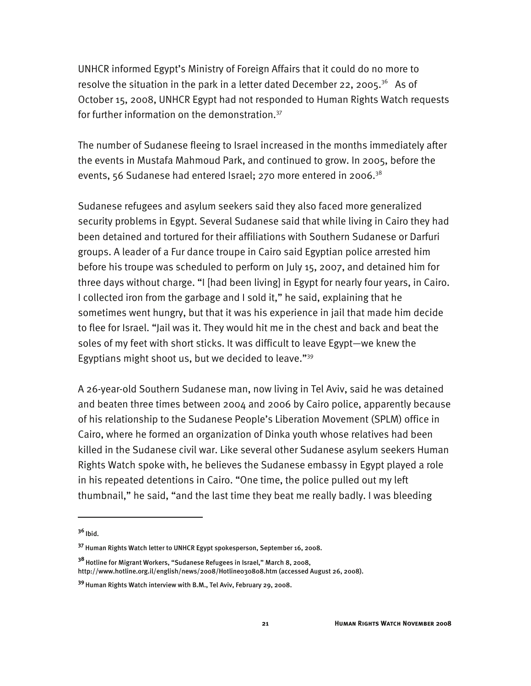UNHCR informed Egypt's Ministry of Foreign Affairs that it could do no more to resolve the situation in the park in a letter dated December 22, 2005.<sup>36</sup> As of October 15, 2008, UNHCR Egypt had not responded to Human Rights Watch requests for further information on the demonstration.<sup>37</sup>

The number of Sudanese fleeing to Israel increased in the months immediately after the events in Mustafa Mahmoud Park, and continued to grow. In 2005, before the events, 56 Sudanese had entered Israel; 270 more entered in 2006.<sup>38</sup>

Sudanese refugees and asylum seekers said they also faced more generalized security problems in Egypt. Several Sudanese said that while living in Cairo they had been detained and tortured for their affiliations with Southern Sudanese or Darfuri groups. A leader of a Fur dance troupe in Cairo said Egyptian police arrested him before his troupe was scheduled to perform on July 15, 2007, and detained him for three days without charge. "I [had been living] in Egypt for nearly four years, in Cairo. I collected iron from the garbage and I sold it," he said, explaining that he sometimes went hungry, but that it was his experience in jail that made him decide to flee for Israel. "Jail was it. They would hit me in the chest and back and beat the soles of my feet with short sticks. It was difficult to leave Egypt—we knew the Egyptians might shoot us, but we decided to leave."39

A 26-year-old Southern Sudanese man, now living in Tel Aviv, said he was detained and beaten three times between 2004 and 2006 by Cairo police, apparently because of his relationship to the Sudanese People's Liberation Movement (SPLM) office in Cairo, where he formed an organization of Dinka youth whose relatives had been killed in the Sudanese civil war. Like several other Sudanese asylum seekers Human Rights Watch spoke with, he believes the Sudanese embassy in Egypt played a role in his repeated detentions in Cairo. "One time, the police pulled out my left thumbnail," he said, "and the last time they beat me really badly. I was bleeding

j

**<sup>36</sup>**Ibid.

**<sup>37</sup>** Human Rights Watch letter to UNHCR Egypt spokesperson, September 16, 2008.

**<sup>38</sup>**Hotline for Migrant Workers, "Sudanese Refugees in Israel," March 8, 2008, http://www.hotline.org.il/english/news/2008/Hotline030808.htm (accessed August 26, 2008).

**<sup>39</sup>**Human Rights Watch interview with B.M., Tel Aviv, February 29, 2008.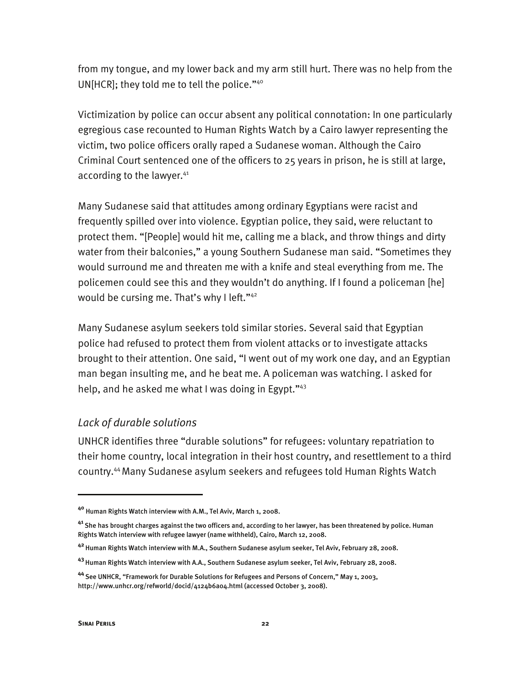from my tongue, and my lower back and my arm still hurt. There was no help from the UN[HCR]; they told me to tell the police."<sup>40</sup>

Victimization by police can occur absent any political connotation: In one particularly egregious case recounted to Human Rights Watch by a Cairo lawyer representing the victim, two police officers orally raped a Sudanese woman. Although the Cairo Criminal Court sentenced one of the officers to 25 years in prison, he is still at large, according to the lawyer.<sup>41</sup>

Many Sudanese said that attitudes among ordinary Egyptians were racist and frequently spilled over into violence. Egyptian police, they said, were reluctant to protect them. "[People] would hit me, calling me a black, and throw things and dirty water from their balconies," a young Southern Sudanese man said. "Sometimes they would surround me and threaten me with a knife and steal everything from me. The policemen could see this and they wouldn't do anything. If I found a policeman [he] would be cursing me. That's why I left."<sup>42</sup>

Many Sudanese asylum seekers told similar stories. Several said that Egyptian police had refused to protect them from violent attacks or to investigate attacks brought to their attention. One said, "I went out of my work one day, and an Egyptian man began insulting me, and he beat me. A policeman was watching. I asked for help, and he asked me what I was doing in Egypt."<sup>43</sup>

#### *Lack of durable solutions*

UNHCR identifies three "durable solutions" for refugees: voluntary repatriation to their home country, local integration in their host country, and resettlement to a third country.44 Many Sudanese asylum seekers and refugees told Human Rights Watch

j

**<sup>40</sup>** Human Rights Watch interview with A.M., Tel Aviv, March 1, 2008.

**<sup>41</sup>**She has brought charges against the two officers and, according to her lawyer, has been threatened by police. Human Rights Watch interview with refugee lawyer (name withheld), Cairo, March 12, 2008.

**<sup>42</sup>**Human Rights Watch interview with M.A., Southern Sudanese asylum seeker, Tel Aviv, February 28, 2008.

**<sup>43</sup>**Human Rights Watch interview with A.A., Southern Sudanese asylum seeker, Tel Aviv, February 28, 2008.

**<sup>44</sup>**See UNHCR, "Framework for Durable Solutions for Refugees and Persons of Concern," May 1, 2003, http://www.unhcr.org/refworld/docid/4124b6a04.html (accessed October 3, 2008).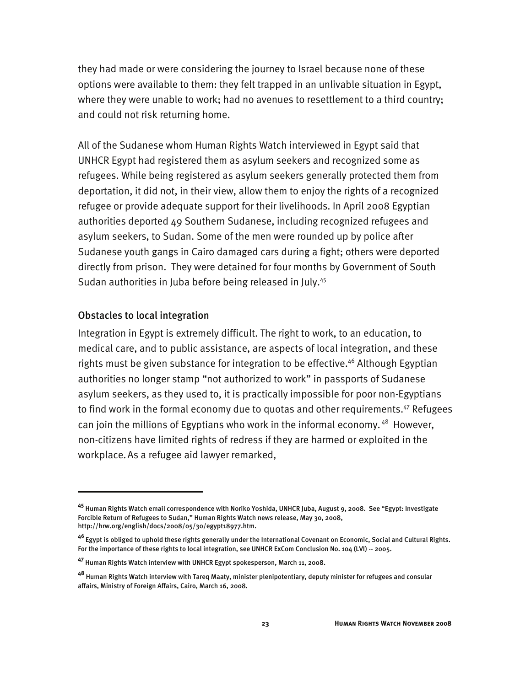they had made or were considering the journey to Israel because none of these options were available to them: they felt trapped in an unlivable situation in Egypt, where they were unable to work; had no avenues to resettlement to a third country; and could not risk returning home.

All of the Sudanese whom Human Rights Watch interviewed in Egypt said that UNHCR Egypt had registered them as asylum seekers and recognized some as refugees. While being registered as asylum seekers generally protected them from deportation, it did not, in their view, allow them to enjoy the rights of a recognized refugee or provide adequate support for their livelihoods. In April 2008 Egyptian authorities deported 49 Southern Sudanese, including recognized refugees and asylum seekers, to Sudan. Some of the men were rounded up by police after Sudanese youth gangs in Cairo damaged cars during a fight; others were deported directly from prison. They were detained for four months by Government of South Sudan authorities in Juba before being released in July.<sup>45</sup>

#### Obstacles to local integration

I

Integration in Egypt is extremely difficult. The right to work, to an education, to medical care, and to public assistance, are aspects of local integration, and these rights must be given substance for integration to be effective.<sup>46</sup> Although Egyptian authorities no longer stamp "not authorized to work" in passports of Sudanese asylum seekers, as they used to, it is practically impossible for poor non-Egyptians to find work in the formal economy due to quotas and other requirements.<sup>47</sup> Refugees can join the millions of Egyptians who work in the informal economy.<sup>48</sup> However, non-citizens have limited rights of redress if they are harmed or exploited in the workplace.As a refugee aid lawyer remarked,

**<sup>45</sup>** Human Rights Watch email correspondence with Noriko Yoshida, UNHCR Juba, August 9, 2008. See "Egypt: Investigate Forcible Return of Refugees to Sudan," Human Rights Watch news release, May 30, 2008, http://hrw.org/english/docs/2008/05/30/egypt18977.htm.

**<sup>46</sup>**Egypt is obliged to uphold these rights generally under the International Covenant on Economic, Social and Cultural Rights. For the importance of these rights to local integration, see UNHCR ExCom Conclusion No. 104 (LVI) -- 2005.

**<sup>47</sup>** Human Rights Watch interview with UNHCR Egypt spokesperson, March 11, 2008.

**<sup>48</sup>** Human Rights Watch interview with Tareq Maaty, minister plenipotentiary, deputy minister for refugees and consular affairs, Ministry of Foreign Affairs, Cairo, March 16, 2008.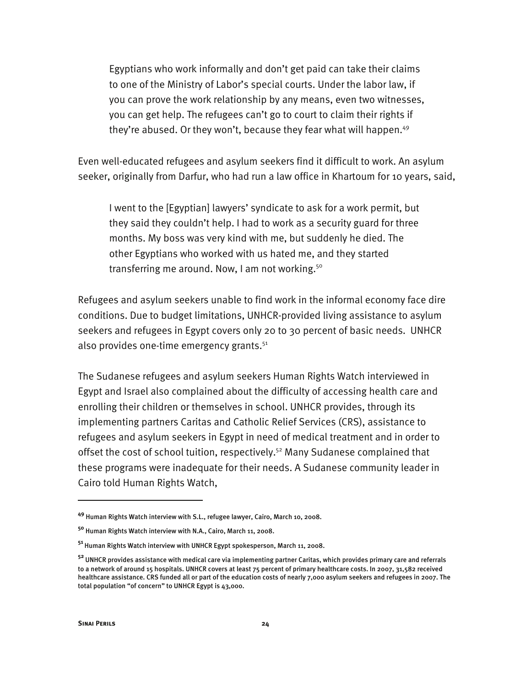Egyptians who work informally and don't get paid can take their claims to one of the Ministry of Labor's special courts. Under the labor law, if you can prove the work relationship by any means, even two witnesses, you can get help. The refugees can't go to court to claim their rights if they're abused. Or they won't, because they fear what will happen. $49$ 

Even well-educated refugees and asylum seekers find it difficult to work. An asylum seeker, originally from Darfur, who had run a law office in Khartoum for 10 years, said,

I went to the [Egyptian] lawyers' syndicate to ask for a work permit, but they said they couldn't help. I had to work as a security guard for three months. My boss was very kind with me, but suddenly he died. The other Egyptians who worked with us hated me, and they started transferring me around. Now, I am not working.<sup>50</sup>

Refugees and asylum seekers unable to find work in the informal economy face dire conditions. Due to budget limitations, UNHCR-provided living assistance to asylum seekers and refugees in Egypt covers only 20 to 30 percent of basic needs. UNHCR also provides one-time emergency grants.<sup>51</sup>

The Sudanese refugees and asylum seekers Human Rights Watch interviewed in Egypt and Israel also complained about the difficulty of accessing health care and enrolling their children or themselves in school. UNHCR provides, through its implementing partners Caritas and Catholic Relief Services (CRS), assistance to refugees and asylum seekers in Egypt in need of medical treatment and in order to offset the cost of school tuition, respectively.<sup>52</sup> Many Sudanese complained that these programs were inadequate for their needs. A Sudanese community leader in Cairo told Human Rights Watch,

**<sup>49</sup>** Human Rights Watch interview with S.L., refugee lawyer, Cairo, March 10, 2008.

**<sup>50</sup>** Human Rights Watch interview with N.A., Cairo, March 11, 2008.

**<sup>51</sup>**Human Rights Watch interview with UNHCR Egypt spokesperson, March 11, 2008.

**<sup>52</sup>**UNHCR provides assistance with medical care via implementing partner Caritas, which provides primary care and referrals to a network of around 15 hospitals. UNHCR covers at least 75 percent of primary healthcare costs. In 2007, 31,582 received healthcare assistance. CRS funded all or part of the education costs of nearly 7,000 asylum seekers and refugees in 2007. The total population "of concern" to UNHCR Egypt is 43,000.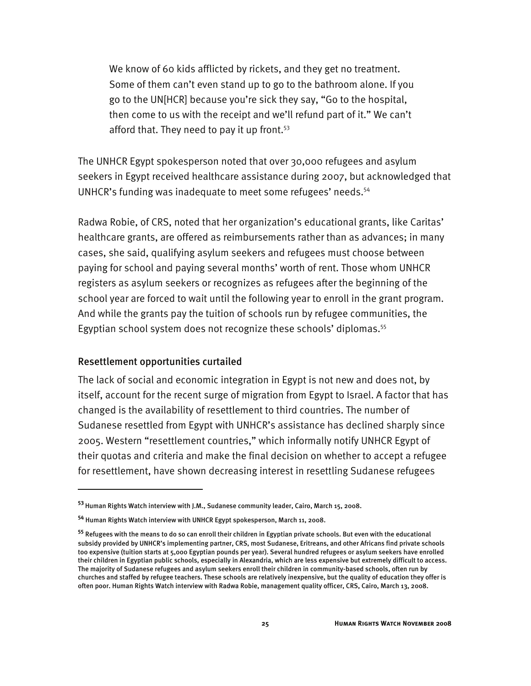We know of 60 kids afflicted by rickets, and they get no treatment. Some of them can't even stand up to go to the bathroom alone. If you go to the UN[HCR] because you're sick they say, "Go to the hospital, then come to us with the receipt and we'll refund part of it." We can't afford that. They need to pay it up front. $53$ 

The UNHCR Egypt spokesperson noted that over 30,000 refugees and asylum seekers in Egypt received healthcare assistance during 2007, but acknowledged that UNHCR's funding was inadequate to meet some refugees' needs.<sup>54</sup>

Radwa Robie, of CRS, noted that her organization's educational grants, like Caritas' healthcare grants, are offered as reimbursements rather than as advances; in many cases, she said, qualifying asylum seekers and refugees must choose between paying for school and paying several months' worth of rent. Those whom UNHCR registers as asylum seekers or recognizes as refugees after the beginning of the school year are forced to wait until the following year to enroll in the grant program. And while the grants pay the tuition of schools run by refugee communities, the Egyptian school system does not recognize these schools' diplomas.<sup>55</sup>

#### Resettlement opportunities curtailed

I

The lack of social and economic integration in Egypt is not new and does not, by itself, account for the recent surge of migration from Egypt to Israel. A factor that has changed is the availability of resettlement to third countries. The number of Sudanese resettled from Egypt with UNHCR's assistance has declined sharply since 2005. Western "resettlement countries," which informally notify UNHCR Egypt of their quotas and criteria and make the final decision on whether to accept a refugee for resettlement, have shown decreasing interest in resettling Sudanese refugees

**<sup>53</sup>**Human Rights Watch interview with J.M., Sudanese community leader, Cairo, March 15, 2008.

**<sup>54</sup>** Human Rights Watch interview with UNHCR Egypt spokesperson, March 11, 2008.

**<sup>55</sup>** Refugees with the means to do so can enroll their children in Egyptian private schools. But even with the educational subsidy provided by UNHCR's implementing partner, CRS, most Sudanese, Eritreans, and other Africans find private schools too expensive (tuition starts at 5,000 Egyptian pounds per year). Several hundred refugees or asylum seekers have enrolled their children in Egyptian public schools, especially in Alexandria, which are less expensive but extremely difficult to access. The majority of Sudanese refugees and asylum seekers enroll their children in community-based schools, often run by churches and staffed by refugee teachers. These schools are relatively inexpensive, but the quality of education they offer is often poor. Human Rights Watch interview with Radwa Robie, management quality officer, CRS, Cairo, March 13, 2008.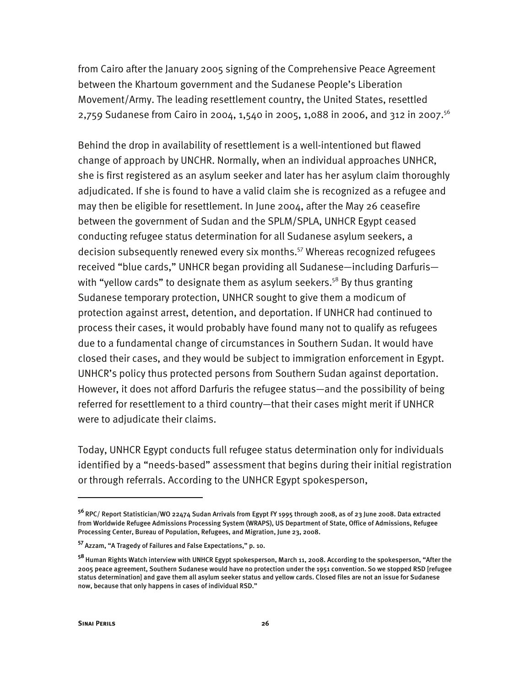from Cairo after the January 2005 signing of the Comprehensive Peace Agreement between the Khartoum government and the Sudanese People's Liberation Movement/Army. The leading resettlement country, the United States, resettled 2,759 Sudanese from Cairo in 2004, 1,540 in 2005, 1,088 in 2006, and 312 in 2007.<sup>56</sup>

Behind the drop in availability of resettlement is a well-intentioned but flawed change of approach by UNCHR. Normally, when an individual approaches UNHCR, she is first registered as an asylum seeker and later has her asylum claim thoroughly adjudicated. If she is found to have a valid claim she is recognized as a refugee and may then be eligible for resettlement. In June 2004, after the May 26 ceasefire between the government of Sudan and the SPLM/SPLA, UNHCR Egypt ceased conducting refugee status determination for all Sudanese asylum seekers, a decision subsequently renewed every six months.57 Whereas recognized refugees received "blue cards," UNHCR began providing all Sudanese—including Darfuris with "yellow cards" to designate them as asylum seekers.<sup>58</sup> By thus granting Sudanese temporary protection, UNHCR sought to give them a modicum of protection against arrest, detention, and deportation. If UNHCR had continued to process their cases, it would probably have found many not to qualify as refugees due to a fundamental change of circumstances in Southern Sudan. It would have closed their cases, and they would be subject to immigration enforcement in Egypt. UNHCR's policy thus protected persons from Southern Sudan against deportation. However, it does not afford Darfuris the refugee status—and the possibility of being referred for resettlement to a third country—that their cases might merit if UNHCR were to adjudicate their claims.

Today, UNHCR Egypt conducts full refugee status determination only for individuals identified by a "needs-based" assessment that begins during their initial registration or through referrals. According to the UNHCR Egypt spokesperson,

-

**<sup>56</sup>**RPC/ Report Statistician/WO 22474 Sudan Arrivals from Egypt FY 1995 through 2008, as of 23 June 2008. Data extracted from Worldwide Refugee Admissions Processing System (WRAPS), US Department of State, Office of Admissions, Refugee Processing Center, Bureau of Population, Refugees, and Migration, June 23, 2008.

**<sup>57</sup>**Azzam, "A Tragedy of Failures and False Expectations," p. 10.

**<sup>58</sup>**Human Rights Watch interview with UNHCR Egypt spokesperson, March 11, 2008. According to the spokesperson, "After the 2005 peace agreement, Southern Sudanese would have no protection under the 1951 convention. So we stopped RSD [refugee status determination] and gave them all asylum seeker status and yellow cards. Closed files are not an issue for Sudanese now, because that only happens in cases of individual RSD."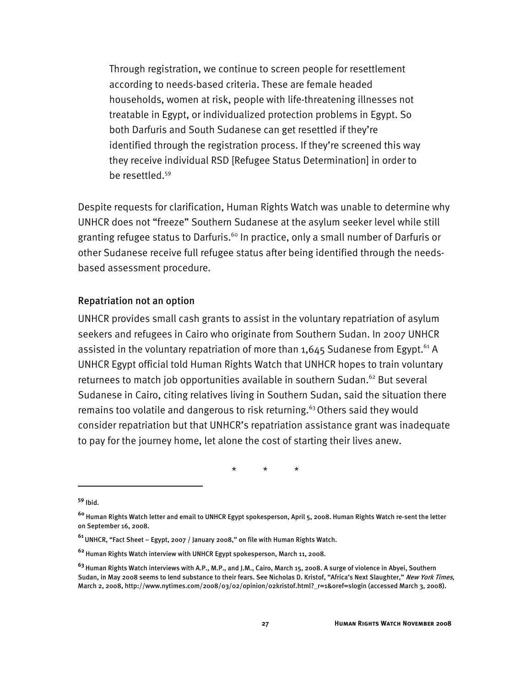Through registration, we continue to screen people for resettlement according to needs-based criteria. These are female headed households, women at risk, people with life-threatening illnesses not treatable in Egypt, or individualized protection problems in Egypt. So both Darfuris and South Sudanese can get resettled if they're identified through the registration process. If they're screened this way they receive individual RSD [Refugee Status Determination] in order to be resettled.<sup>59</sup>

Despite requests for clarification, Human Rights Watch was unable to determine why UNHCR does not "freeze" Southern Sudanese at the asylum seeker level while still granting refugee status to Darfuris.<sup>60</sup> In practice, only a small number of Darfuris or other Sudanese receive full refugee status after being identified through the needsbased assessment procedure.

#### Repatriation not an option

UNHCR provides small cash grants to assist in the voluntary repatriation of asylum seekers and refugees in Cairo who originate from Southern Sudan. In 2007 UNHCR assisted in the voluntary repatriation of more than  $1,645$  Sudanese from Egypt.<sup>61</sup> A UNHCR Egypt official told Human Rights Watch that UNHCR hopes to train voluntary returnees to match job opportunities available in southern Sudan.<sup>62</sup> But several Sudanese in Cairo, citing relatives living in Southern Sudan, said the situation there remains too volatile and dangerous to risk returning.<sup>63</sup> Others said they would consider repatriation but that UNHCR's repatriation assistance grant was inadequate to pay for the journey home, let alone the cost of starting their lives anew.

\* \* \*

j

**<sup>59</sup>** Ibid.

**<sup>60</sup>** Human Rights Watch letter and email to UNHCR Egypt spokesperson, April 5, 2008. Human Rights Watch re-sent the letter on September 16, 2008.

**<sup>61</sup>**UNHCR, "Fact Sheet – Egypt, 2007 / January 2008," on file with Human Rights Watch.

**<sup>62</sup>**Human Rights Watch interview with UNHCR Egypt spokesperson, March 11, 2008.

**<sup>63</sup>**Human Rights Watch interviews with A.P., M.P., and J.M., Cairo, March 15, 2008. A surge of violence in Abyei, Southern Sudan, in May 2008 seems to lend substance to their fears. See Nicholas D. Kristof, "Africa's Next Slaughter," New York Times, March 2, 2008, http://www.nytimes.com/2008/03/02/opinion/02kristof.html? r=1&oref=slogin (accessed March 3, 2008).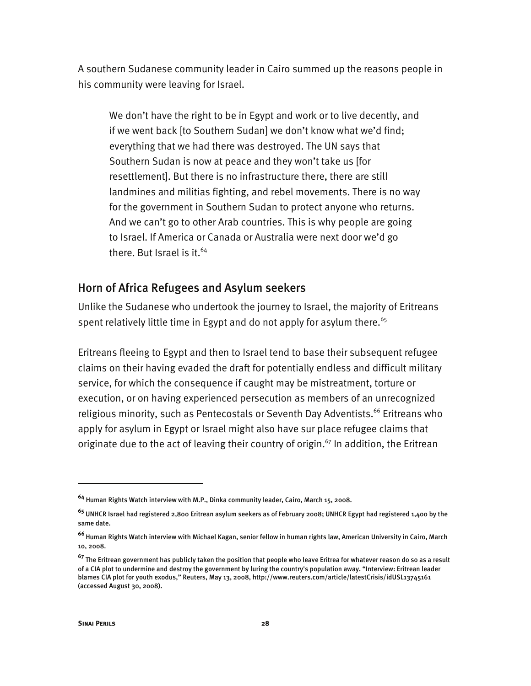A southern Sudanese community leader in Cairo summed up the reasons people in his community were leaving for Israel.

We don't have the right to be in Egypt and work or to live decently, and if we went back [to Southern Sudan] we don't know what we'd find; everything that we had there was destroyed. The UN says that Southern Sudan is now at peace and they won't take us [for resettlement]. But there is no infrastructure there, there are still landmines and militias fighting, and rebel movements. There is no way for the government in Southern Sudan to protect anyone who returns. And we can't go to other Arab countries. This is why people are going to Israel. If America or Canada or Australia were next door we'd go there. But Israel is it.<sup>64</sup>

### Horn of Africa Refugees and Asylum seekers

Unlike the Sudanese who undertook the journey to Israel, the majority of Eritreans spent relatively little time in Egypt and do not apply for asylum there.<sup>65</sup>

Eritreans fleeing to Egypt and then to Israel tend to base their subsequent refugee claims on their having evaded the draft for potentially endless and difficult military service, for which the consequence if caught may be mistreatment, torture or execution, or on having experienced persecution as members of an unrecognized religious minority, such as Pentecostals or Seventh Day Adventists.<sup>66</sup> Eritreans who apply for asylum in Egypt or Israel might also have sur place refugee claims that originate due to the act of leaving their country of origin.<sup>67</sup> In addition, the Eritrean

**<sup>64</sup>** Human Rights Watch interview with M.P., Dinka community leader, Cairo, March 15, 2008.

**<sup>65</sup>** UNHCR Israel had registered 2,800 Eritrean asylum seekers as of February 2008; UNHCR Egypt had registered 1,400 by the same date.

**<sup>66</sup>**Human Rights Watch interview with Michael Kagan, senior fellow in human rights law, American University in Cairo, March 10, 2008.

**<sup>67</sup>** The Eritrean government has publicly taken the position that people who leave Eritrea for whatever reason do so as a result of a CIA plot to undermine and destroy the government by luring the country's population away. "Interview: Eritrean leader blames CIA plot for youth exodus," Reuters, May 13, 2008, http://www.reuters.com/article/latestCrisis/idUSL13745161 (accessed August 30, 2008).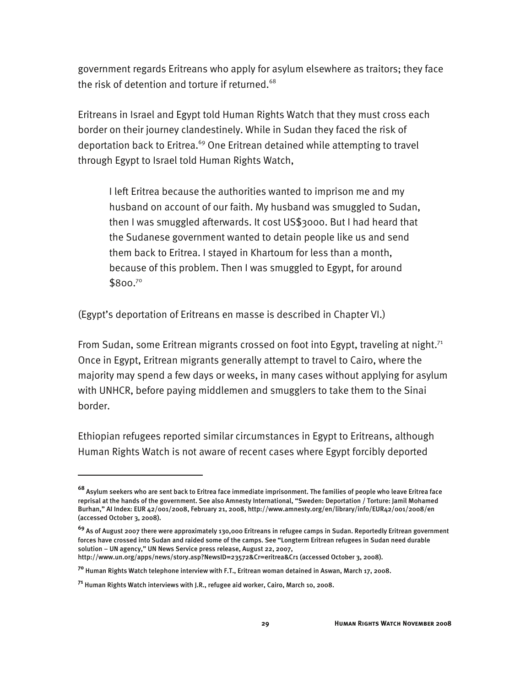government regards Eritreans who apply for asylum elsewhere as traitors; they face the risk of detention and torture if returned.<sup>68</sup>

Eritreans in Israel and Egypt told Human Rights Watch that they must cross each border on their journey clandestinely. While in Sudan they faced the risk of deportation back to Eritrea.<sup>69</sup> One Eritrean detained while attempting to travel through Egypt to Israel told Human Rights Watch,

I left Eritrea because the authorities wanted to imprison me and my husband on account of our faith. My husband was smuggled to Sudan, then I was smuggled afterwards. It cost US\$3000. But I had heard that the Sudanese government wanted to detain people like us and send them back to Eritrea. I stayed in Khartoum for less than a month, because of this problem. Then I was smuggled to Egypt, for around \$800.70

(Egypt's deportation of Eritreans en masse is described in Chapter VI.)

From Sudan, some Eritrean migrants crossed on foot into Egypt, traveling at night.<sup>71</sup> Once in Egypt, Eritrean migrants generally attempt to travel to Cairo, where the majority may spend a few days or weeks, in many cases without applying for asylum with UNHCR, before paying middlemen and smugglers to take them to the Sinai border.

Ethiopian refugees reported similar circumstances in Egypt to Eritreans, although Human Rights Watch is not aware of recent cases where Egypt forcibly deported

http://www.un.org/apps/news/story.asp?NewsID=23572&Cr=eritrea&Cr1 (accessed October 3, 2008).

**<sup>68</sup>** Asylum seekers who are sent back to Eritrea face immediate imprisonment. The families of people who leave Eritrea face reprisal at the hands of the government. See also Amnesty International, "Sweden: Deportation / Torture: Jamil Mohamed Burhan," AI Index: EUR 42/001/2008, February 21, 2008, http://www.amnesty.org/en/library/info/EUR42/001/2008/en (accessed October 3, 2008).

**<sup>69</sup>** As of August 2007 there were approximately 130,000 Eritreans in refugee camps in Sudan. Reportedly Eritrean government forces have crossed into Sudan and raided some of the camps. See "Longterm Eritrean refugees in Sudan need durable solution – UN agency," UN News Service press release, August 22, 2007,

**<sup>70</sup>** Human Rights Watch telephone interview with F.T., Eritrean woman detained in Aswan, March 17, 2008.

**<sup>71</sup>** Human Rights Watch interviews with J.R., refugee aid worker, Cairo, March 10, 2008.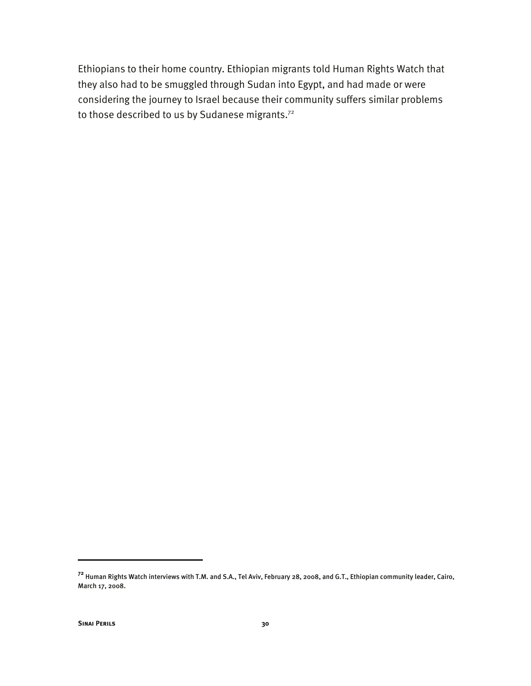Ethiopians to their home country. Ethiopian migrants told Human Rights Watch that they also had to be smuggled through Sudan into Egypt, and had made or were considering the journey to Israel because their community suffers similar problems to those described to us by Sudanese migrants.<sup>72</sup>

-

**<sup>72</sup>** Human Rights Watch interviews with T.M. and S.A., Tel Aviv, February 28, 2008, and G.T., Ethiopian community leader, Cairo, March 17, 2008.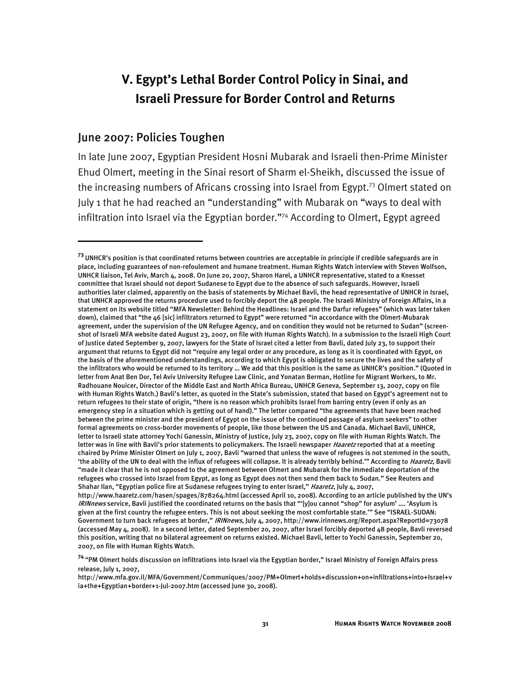# **V. Egypt's Lethal Border Control Policy in Sinai, and Israeli Pressure for Border Control and Returns**

### June 2007: Policies Toughen

j

In late June 2007, Egyptian President Hosni Mubarak and Israeli then-Prime Minister Ehud Olmert, meeting in the Sinai resort of Sharm el-Sheikh, discussed the issue of the increasing numbers of Africans crossing into Israel from Egypt.<sup>73</sup> Olmert stated on July 1 that he had reached an "understanding" with Mubarak on "ways to deal with infiltration into Israel via the Egyptian border."<sup>74</sup> According to Olmert, Egypt agreed

**<sup>73</sup>**UNHCR's position is that coordinated returns between countries are acceptable in principle if credible safeguards are in place, including guarantees of non-refoulement and humane treatment. Human Rights Watch interview with Steven Wolfson, UNHCR liaison, Tel Aviv, March 4, 2008. On June 20, 2007, Sharon Harel, a UNHCR representative, stated to a Knesset committee that Israel should not deport Sudanese to Egypt due to the absence of such safeguards. However, Israeli authorities later claimed, apparently on the basis of statements by Michael Bavli, the head representative of UNHCR in Israel, that UNHCR approved the returns procedure used to forcibly deport the 48 people. The Israeli Ministry of Foreign Affairs, in a statement on its website titled "MFA Newsletter: Behind the Headlines: Israel and the Darfur refugees" (which was later taken down), claimed that "the 46 [sic] infiltrators returned to Egypt" were returned "in accordance with the Olmert-Mubarak agreement, under the supervision of the UN Refugee Agency, and on condition they would not be returned to Sudan" (screenshot of Israeli MFA website dated August 23, 2007, on file with Human Rights Watch). In a submission to the Israeli High Court of Justice dated September 9, 2007, lawyers for the State of Israel cited a letter from Bavli, dated July 23, to support their argument that returns to Egypt did not "require any legal order or any procedure, as long as it is coordinated with Egypt, on the basis of the aforementioned understandings, according to which Egypt is obligated to secure the lives and the safety of the infiltrators who would be returned to its territory … We add that this position is the same as UNHCR's position." (Quoted in letter from Anat Ben Dor, Tel Aviv University Refugee Law Clinic, and Yonatan Berman, Hotline for Migrant Workers, to Mr. Radhouane Nouicer, Director of the Middle East and North Africa Bureau, UNHCR Geneva, September 13, 2007, copy on file with Human Rights Watch.) Bavli's letter, as quoted in the State's submission, stated that based on Egypt's agreement not to return refugees to their state of origin, "there is no reason which prohibits Israel from barring entry (even if only as an emergency step in a situation which is getting out of hand)." The letter compared "the agreements that have been reached between the prime minister and the president of Egypt on the issue of the continued passage of asylum seekers" to other formal agreements on cross-border movements of people, like those between the US and Canada. Michael Bavli, UNHCR, letter to Israeli state attorney Yochi Ganessin, Ministry of Justice, July 23, 2007, copy on file with Human Rights Watch. The letter was in line with Bavli's prior statements to policymakers. The Israeli newspaper *Haaretz* reported that at a meeting chaired by Prime Minister Olmert on July 1, 2007, Bavli "warned that unless the wave of refugees is not stemmed in the south, 'the ability of the UN to deal with the influx of refugees will collapse. It is already terribly behind.'" According to Haaretz, Bavli "made it clear that he is not opposed to the agreement between Olmert and Mubarak for the immediate deportation of the refugees who crossed into Israel from Egypt, as long as Egypt does not then send them back to Sudan." See Reuters and Shahar Ilan, "Egyptian police fire at Sudanese refugees trying to enter Israel," Haaretz, July 4, 2007, http://www.haaretz.com/hasen/spages/878264.html (accessed April 10, 2008). According to an article published by the UN's IRINnews service, Bavli justified the coordinated returns on the basis that "'[y]ou cannot "shop" for asylum' …. 'Asylum is given at the first country the refugee enters. This is not about seeking the most comfortable state.'" See "ISRAEL-SUDAN: Government to turn back refugees at border," IRINnews, July 4, 2007, http://www.irinnews.org/Report.aspx?ReportId=73078 (accessed May 4, 2008). In a second letter, dated September 20, 2007, after Israel forcibly deported 48 people, Bavli reversed this position, writing that no bilateral agreement on returns existed. Michael Bavli, letter to Yochi Ganessin, September 20, 2007, on file with Human Rights Watch.

**<sup>74</sup>**"PM Olmert holds discussion on infiltrations into Israel via the Egyptian border," Israel Ministry of Foreign Affairs press release, July 1, 2007,

http://www.mfa.gov.il/MFA/Government/Communiques/2007/PM+Olmert+holds+discussion+on+infiltrations+into+Israel+v ia+the+Egyptian+border+1-Jul-2007.htm (accessed June 30, 2008).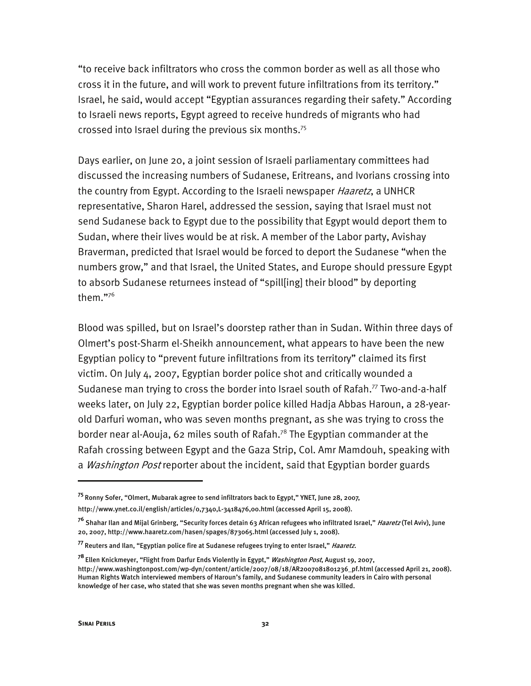"to receive back infiltrators who cross the common border as well as all those who cross it in the future, and will work to prevent future infiltrations from its territory." Israel, he said, would accept "Egyptian assurances regarding their safety." According to Israeli news reports, Egypt agreed to receive hundreds of migrants who had crossed into Israel during the previous six months.75

Days earlier, on June 20, a joint session of Israeli parliamentary committees had discussed the increasing numbers of Sudanese, Eritreans, and Ivorians crossing into the country from Egypt. According to the Israeli newspaper *Haaretz*, a UNHCR representative, Sharon Harel, addressed the session, saying that Israel must not send Sudanese back to Egypt due to the possibility that Egypt would deport them to Sudan, where their lives would be at risk. A member of the Labor party, Avishay Braverman, predicted that Israel would be forced to deport the Sudanese "when the numbers grow," and that Israel, the United States, and Europe should pressure Egypt to absorb Sudanese returnees instead of "spill[ing] their blood" by deporting them."76

Blood was spilled, but on Israel's doorstep rather than in Sudan. Within three days of Olmert's post-Sharm el-Sheikh announcement, what appears to have been the new Egyptian policy to "prevent future infiltrations from its territory" claimed its first victim. On July 4, 2007, Egyptian border police shot and critically wounded a Sudanese man trying to cross the border into Israel south of Rafah.<sup>77</sup> Two-and-a-half weeks later, on July 22, Egyptian border police killed Hadja Abbas Haroun, a 28-yearold Darfuri woman, who was seven months pregnant, as she was trying to cross the border near al-Aouja, 62 miles south of Rafah.<sup>78</sup> The Egyptian commander at the Rafah crossing between Egypt and the Gaza Strip, Col. Amr Mamdouh, speaking with a *Washington Post* reporter about the incident, said that Egyptian border guards

**<sup>75</sup>**Ronny Sofer, "Olmert, Mubarak agree to send infiltrators back to Egypt," YNET, June 28, 2007, http://www.ynet.co.il/english/articles/0,7340,L-3418476,00.html (accessed April 15, 2008).

<sup>&</sup>lt;sup>76</sup> Shahar Ilan and Mijal Grinberg, "Security forces detain 63 African refugees who infiltrated Israel," *Haaretz* (Tel Aviv), June 20, 2007, http://www.haaretz.com/hasen/spages/873065.html (accessed July 1, 2008).

**<sup>77</sup>**Reuters and Ilan, "Egyptian police fire at Sudanese refugees trying to enter Israel," Haaretz.

**<sup>78</sup>**Ellen Knickmeyer, "Flight from Darfur Ends Violently in Egypt," Washington Post, August 19, 2007, http://www.washingtonpost.com/wp-dyn/content/article/2007/08/18/AR2007081801236\_pf.html (accessed April 21, 2008). Human Rights Watch interviewed members of Haroun's family, and Sudanese community leaders in Cairo with personal knowledge of her case, who stated that she was seven months pregnant when she was killed.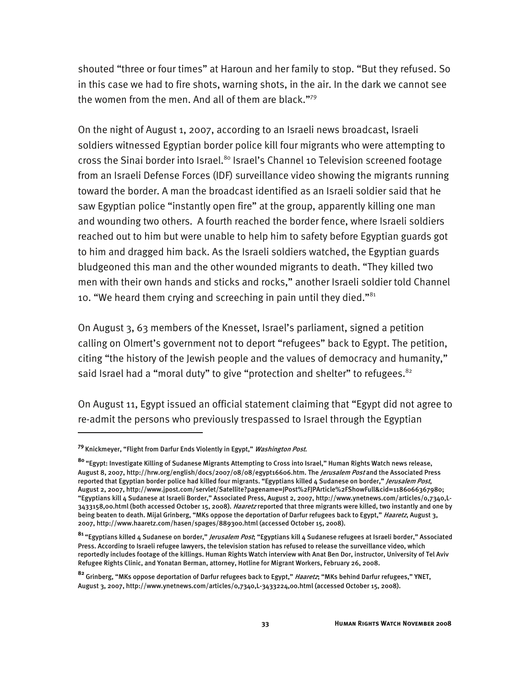shouted "three or four times" at Haroun and her family to stop. "But they refused. So in this case we had to fire shots, warning shots, in the air. In the dark we cannot see the women from the men. And all of them are black."<sup>79</sup>

On the night of August 1, 2007, according to an Israeli news broadcast, Israeli soldiers witnessed Egyptian border police kill four migrants who were attempting to cross the Sinai border into Israel.<sup>80</sup> Israel's Channel 10 Television screened footage from an Israeli Defense Forces (IDF) surveillance video showing the migrants running toward the border. A man the broadcast identified as an Israeli soldier said that he saw Egyptian police "instantly open fire" at the group, apparently killing one man and wounding two others. A fourth reached the border fence, where Israeli soldiers reached out to him but were unable to help him to safety before Egyptian guards got to him and dragged him back. As the Israeli soldiers watched, the Egyptian guards bludgeoned this man and the other wounded migrants to death. "They killed two men with their own hands and sticks and rocks," another Israeli soldier told Channel 10. "We heard them crying and screeching in pain until they died." $81$ 

On August 3, 63 members of the Knesset, Israel's parliament, signed a petition calling on Olmert's government not to deport "refugees" back to Egypt. The petition, citing "the history of the Jewish people and the values of democracy and humanity," said Israel had a "moral duty" to give "protection and shelter" to refugees. <sup>82</sup>

On August 11, Egypt issued an official statement claiming that "Egypt did not agree to re-admit the persons who previously trespassed to Israel through the Egyptian

**<sup>79</sup>**Knickmeyer, "Flight from Darfur Ends Violently in Egypt," Washington Post.

**<sup>80</sup>**"Egypt: Investigate Killing of Sudanese Migrants Attempting to Cross into Israel," Human Rights Watch news release, August 8, 2007, http://hrw.org/english/docs/2007/08/08/egypt16606.htm. The Jerusalem Post and the Associated Press reported that Egyptian border police had killed four migrants. "Egyptians killed 4 Sudanese on border," *Jerusalem Post*, August 2, 2007, http://www.jpost.com/servlet/Satellite?pagename=JPost%2FJPArticle%2FShowFull&cid=1186066367980; "Egyptians kill 4 Sudanese at Israeli Border," Associated Press, August 2, 2007, http://www.ynetnews.com/articles/0,7340,L-3433158,00.html (both accessed October 15, 2008). Haaretz reported that three migrants were killed, two instantly and one by being beaten to death. Mijal Grinberg, "MKs oppose the deportation of Darfur refugees back to Egypt," *Haaretz*, August 3, 2007, http://www.haaretz.com/hasen/spages/889300.html (accessed October 15, 2008).

**<sup>81</sup>**"Egyptians killed 4 Sudanese on border," Jerusalem Post; "Egyptians kill 4 Sudanese refugees at Israeli border," Associated Press. According to Israeli refugee lawyers, the television station has refused to release the surveillance video, which reportedly includes footage of the killings. Human Rights Watch interview with Anat Ben Dor, instructor, University of Tel Aviv Refugee Rights Clinic, and Yonatan Berman, attorney, Hotline for Migrant Workers, February 26, 2008.

**<sup>82</sup>**Grinberg, "MKs oppose deportation of Darfur refugees back to Egypt," Haaretz; "MKs behind Darfur refugees," YNET, August 3, 2007, http://www.ynetnews.com/articles/0,7340,L-3433224,00.html (accessed October 15, 2008).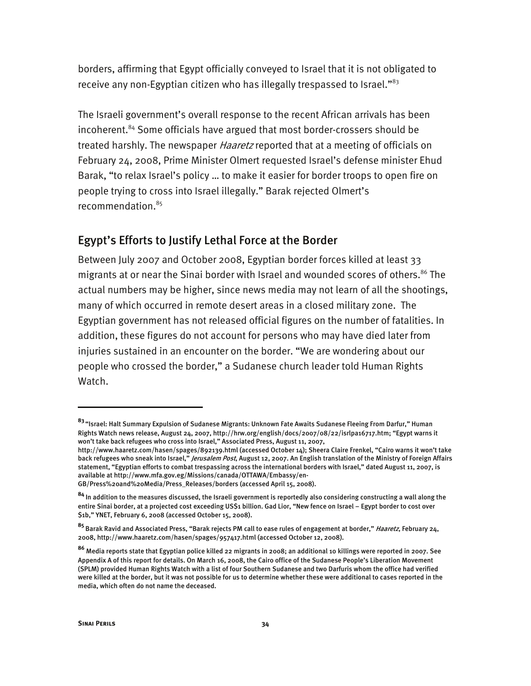borders, affirming that Egypt officially conveyed to Israel that it is not obligated to receive any non-Egyptian citizen who has illegally trespassed to Israel."<sup>83</sup>

The Israeli government's overall response to the recent African arrivals has been incoherent.<sup>84</sup> Some officials have argued that most border-crossers should be treated harshly. The newspaper *Haaretz* reported that at a meeting of officials on February 24, 2008, Prime Minister Olmert requested Israel's defense minister Ehud Barak, "to relax Israel's policy … to make it easier for border troops to open fire on people trying to cross into Israel illegally." Barak rejected Olmert's recommendation.<sup>85</sup>

# Egypt's Efforts to Justify Lethal Force at the Border

Between July 2007 and October 2008, Egyptian border forces killed at least 33 migrants at or near the Sinai border with Israel and wounded scores of others.<sup>86</sup> The actual numbers may be higher, since news media may not learn of all the shootings, many of which occurred in remote desert areas in a closed military zone. The Egyptian government has not released official figures on the number of fatalities. In addition, these figures do not account for persons who may have died later from injuries sustained in an encounter on the border. "We are wondering about our people who crossed the border," a Sudanese church leader told Human Rights Watch.

**<sup>83</sup>** "Israel: Halt Summary Expulsion of Sudanese Migrants: Unknown Fate Awaits Sudanese Fleeing From Darfur," Human Rights Watch news release, August 24, 2007, http://hrw.org/english/docs/2007/08/22/isrlpa16717.htm; "Egypt warns it won't take back refugees who cross into Israel," Associated Press, August 11, 2007,

http://www.haaretz.com/hasen/spages/892139.html (accessed October 14); Sheera Claire Frenkel, "Cairo warns it won't take back refugees who sneak into Israel," *Jerusalem Post*, August 12, 2007. An English translation of the Ministry of Foreign Affairs statement, "Egyptian efforts to combat trespassing across the international borders with Israel," dated August 11, 2007, is available at http://www.mfa.gov.eg/Missions/canada/OTTAWA/Embassy/en-

GB/Press%20and%20Media/Press\_Releases/borders (accessed April 15, 2008).

**<sup>84</sup>**In addition to the measures discussed, the Israeli government is reportedly also considering constructing a wall along the entire Sinai border, at a projected cost exceeding US\$1 billion. Gad Lior, "New fence on Israel – Egypt border to cost over \$1b," YNET, February 6, 2008 (accessed October 15, 2008).

**<sup>85</sup>**Barak Ravid and Associated Press, "Barak rejects PM call to ease rules of engagement at border," Haaretz, February 24, 2008, http://www.haaretz.com/hasen/spages/957417.html (accessed October 12, 2008).

**<sup>86</sup>** Media reports state that Egyptian police killed 22 migrants in 2008; an additional 10 killings were reported in 2007. See Appendix A of this report for details. On March 16, 2008, the Cairo office of the Sudanese People's Liberation Movement (SPLM) provided Human Rights Watch with a list of four Southern Sudanese and two Darfuris whom the office had verified were killed at the border, but it was not possible for us to determine whether these were additional to cases reported in the media, which often do not name the deceased.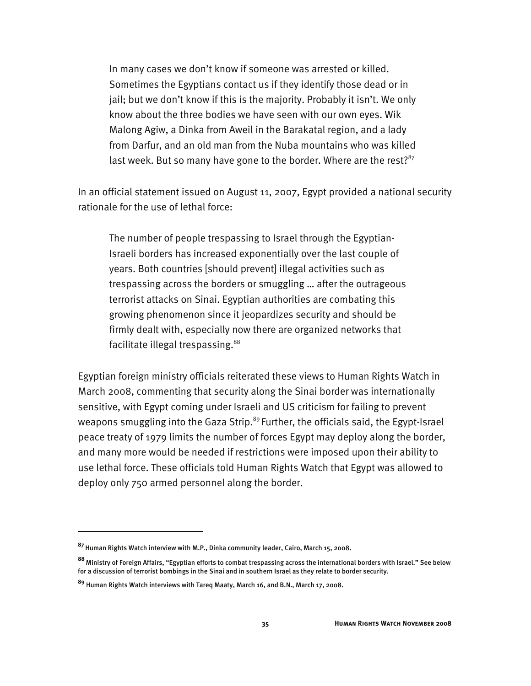In many cases we don't know if someone was arrested or killed. Sometimes the Egyptians contact us if they identify those dead or in jail; but we don't know if this is the majority. Probably it isn't. We only know about the three bodies we have seen with our own eyes. Wik Malong Agiw, a Dinka from Aweil in the Barakatal region, and a lady from Darfur, and an old man from the Nuba mountains who was killed last week. But so many have gone to the border. Where are the rest? $87$ 

In an official statement issued on August 11, 2007, Egypt provided a national security rationale for the use of lethal force:

The number of people trespassing to Israel through the Egyptian-Israeli borders has increased exponentially over the last couple of years. Both countries [should prevent] illegal activities such as trespassing across the borders or smuggling … after the outrageous terrorist attacks on Sinai. Egyptian authorities are combating this growing phenomenon since it jeopardizes security and should be firmly dealt with, especially now there are organized networks that facilitate illegal trespassing.<sup>88</sup>

Egyptian foreign ministry officials reiterated these views to Human Rights Watch in March 2008, commenting that security along the Sinai border was internationally sensitive, with Egypt coming under Israeli and US criticism for failing to prevent weapons smuggling into the Gaza Strip.<sup>89</sup> Further, the officials said, the Egypt-Israel peace treaty of 1979 limits the number of forces Egypt may deploy along the border, and many more would be needed if restrictions were imposed upon their ability to use lethal force. These officials told Human Rights Watch that Egypt was allowed to deploy only 750 armed personnel along the border.

**<sup>87</sup>**Human Rights Watch interview with M.P., Dinka community leader, Cairo, March 15, 2008.

**<sup>88</sup>**Ministry of Foreign Affairs, "Egyptian efforts to combat trespassing across the international borders with Israel." See below for a discussion of terrorist bombings in the Sinai and in southern Israel as they relate to border security.

**<sup>89</sup>** Human Rights Watch interviews with Tareq Maaty, March 16, and B.N., March 17, 2008.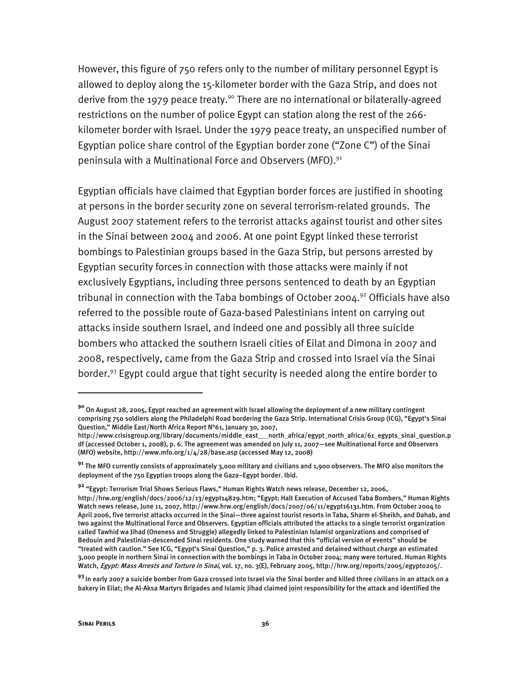However, this figure of 750 refers only to the number of military personnel Egypt is allowed to deploy along the 15-kilometer border with the Gaza Strip, and does not derive from the 1979 peace treaty.<sup>90</sup> There are no international or bilaterally-agreed restrictions on the number of police Egypt can station along the rest of the 266 kilometer border with Israel. Under the 1979 peace treaty, an unspecified number of Egyptian police share control of the Egyptian border zone ("Zone C") of the Sinai peninsula with a Multinational Force and Observers (MFO).<sup>91</sup>

Egyptian officials have claimed that Egyptian border forces are justified in shooting at persons in the border security zone on several terrorism-related grounds. The August 2007 statement refers to the terrorist attacks against tourist and other sites in the Sinai between 2004 and 2006. At one point Egypt linked these terrorist bombings to Palestinian groups based in the Gaza Strip, but persons arrested by Egyptian security forces in connection with those attacks were mainly if not exclusively Egyptians, including three persons sentenced to death by an Egyptian tribunal in connection with the Taba bombings of October 2004.<sup>92</sup> Officials have also referred to the possible route of Gaza-based Palestinians intent on carrying out attacks inside southern Israel, and indeed one and possibly all three suicide bombers who attacked the southern Israeli cities of Eilat and Dimona in 2007 and 2008, respectively, came from the Gaza Strip and crossed into Israel via the Sinai border.<sup>93</sup> Egypt could argue that tight security is needed along the entire border to

**<sup>90</sup>** On August 28, 2005, Egypt reached an agreement with Israel allowing the deployment of a new military contingent comprising 750 soldiers along the Philadelphi Road bordering the Gaza Strip. International Crisis Group (ICG), "Egypt's Sinai Question," Middle East/North Africa Report N°61, January 30, 2007,

http://www.crisisgroup.org/library/documents/middle\_east\_\_\_north\_africa/egypt\_north\_africa/61\_egypts\_sinai\_question.p df (accessed October 1, 2008), p. 6. The agreement was amended on July 11, 2007—see Multinational Force and Observers (MFO) website, http://www.mfo.org/1/4/28/base.asp (accessed May 12, 2008)

**<sup>91</sup>** The MFO currently consists of approximately 3,000 military and civilians and 1,900 observers. The MFO also monitors the deployment of the 750 Egyptian troops along the Gaza–Egypt border. Ibid.

**<sup>92</sup>** "Egypt: Terrorism Trial Shows Serious Flaws," Human Rights Watch news release, December 12, 2006,

http://hrw.org/english/docs/2006/12/13/egypt14829.htm; "Egypt: Halt Execution of Accused Taba Bombers," Human Rights Watch news release, June 11, 2007, http://www.hrw.org/english/docs/2007/06/11/egypt16131.htm. From October 2004 to April 2006, five terrorist attacks occurred in the Sinai—three against tourist resorts in Taba, Sharm el-Sheikh, and Dahab, and two against the Multinational Force and Observers. Egyptian officials attributed the attacks to a single terrorist organization called Tawhid wa Jihad (Oneness and Struggle) allegedly linked to Palestinian Islamist organizations and comprised of Bedouin and Palestinian-descended Sinai residents. One study warned that this "official version of events" should be "treated with caution." See ICG, "Egypt's Sinai Question," p. 3. Police arrested and detained without charge an estimated 3,000 people in northern Sinai in connection with the bombings in Taba in October 2004; many were tortured. Human Rights Watch, Egypt: Mass Arrests and Torture in Sinai, vol. 17, no. 3(E), February 2005, http://hrw.org/reports/2005/egypto205/.

**<sup>93</sup>**In early 2007 a suicide bomber from Gaza crossed into Israel via the Sinai border and killed three civilians in an attack on a bakery in Eilat; the Al-Aksa Martyrs Brigades and Islamic Jihad claimed joint responsibility for the attack and identified the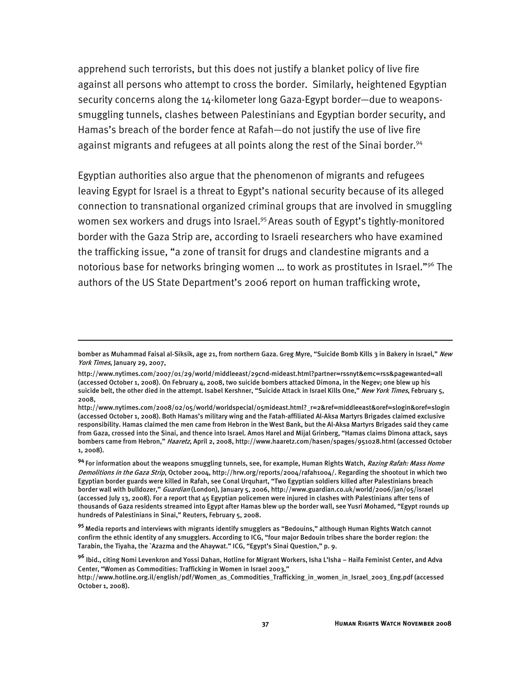apprehend such terrorists, but this does not justify a blanket policy of live fire against all persons who attempt to cross the border. Similarly, heightened Egyptian security concerns along the 14-kilometer long Gaza-Egypt border—due to weaponssmuggling tunnels, clashes between Palestinians and Egyptian border security, and Hamas's breach of the border fence at Rafah—do not justify the use of live fire against migrants and refugees at all points along the rest of the Sinai border.<sup>94</sup>

Egyptian authorities also argue that the phenomenon of migrants and refugees leaving Egypt for Israel is a threat to Egypt's national security because of its alleged connection to transnational organized criminal groups that are involved in smuggling women sex workers and drugs into Israel.<sup>95</sup> Areas south of Egypt's tightly-monitored border with the Gaza Strip are, according to Israeli researchers who have examined the trafficking issue, "a zone of transit for drugs and clandestine migrants and a notorious base for networks bringing women … to work as prostitutes in Israel."96 The authors of the US State Department's 2006 report on human trafficking wrote,

bomber as Muhammad Faisal al-Siksik, age 21, from northern Gaza. Greg Myre, "Suicide Bomb Kills 3 in Bakery in Israel," New York Times, January 29, 2007,

http://www.nytimes.com/2007/01/29/world/middleeast/29cnd-mideast.html?partner=rssnyt&emc=rss&pagewanted=all (accessed October 1, 2008). On February 4, 2008, two suicide bombers attacked Dimona, in the Negev; one blew up his suicide belt, the other died in the attempt. Isabel Kershner, "Suicide Attack in Israel Kills One," New York Times, February 5, 2008,

http://www.nytimes.com/2008/02/05/world/worldspecial/05mideast.html?\_r=2&ref=middleeast&oref=slogin&oref=slogin (accessed October 1, 2008). Both Hamas's military wing and the Fatah-affiliated Al-Aksa Martyrs Brigades claimed exclusive responsibility. Hamas claimed the men came from Hebron in the West Bank, but the Al-Aksa Martyrs Brigades said they came from Gaza, crossed into the Sinai, and thence into Israel. Amos Harel and Mijal Grinberg, "Hamas claims Dimona attack, says bombers came from Hebron," Haaretz, April 2, 2008, http://www.haaretz.com/hasen/spages/951028.html (accessed October 1, 2008).

**<sup>94</sup>**For information about the weapons smuggling tunnels, see, for example, Human Rights Watch, Razing Rafah: Mass Home Demolitions in the Gaza Strip, October 2004, http://hrw.org/reports/2004/rafah1004/. Regarding the shootout in which two Egyptian border guards were killed in Rafah, see Conal Urquhart, "Two Egyptian soldiers killed after Palestinians breach border wall with bulldozer," Guardian (London), January 5, 2006, http://www.guardian.co.uk/world/2006/jan/05/israel (accessed July 13, 2008). For a report that 45 Egyptian policemen were injured in clashes with Palestinians after tens of thousands of Gaza residents streamed into Egypt after Hamas blew up the border wall, see Yusri Mohamed, "Egypt rounds up hundreds of Palestinians in Sinai," Reuters, February 5, 2008.

**<sup>95</sup>**Media reports and interviews with migrants identify smugglers as "Bedouins," although Human Rights Watch cannot confirm the ethnic identity of any smugglers. According to ICG, "four major Bedouin tribes share the border region: the Tarabin, the Tiyaha, the `Azazma and the Ahaywat." ICG, "Egypt's Sinai Question," p. 9.

**<sup>96</sup>** Ibid., citing Nomi Levenkron and Yossi Dahan, Hotline for Migrant Workers, Isha L'Isha – Haifa Feminist Center, and Adva Center, "Women as Commodities: Trafficking in Women in Israel 2003,"

http://www.hotline.org.il/english/pdf/Women\_as\_Commodities\_Trafficking\_in\_women\_in\_Israel\_2003\_Eng.pdf (accessed October 1, 2008).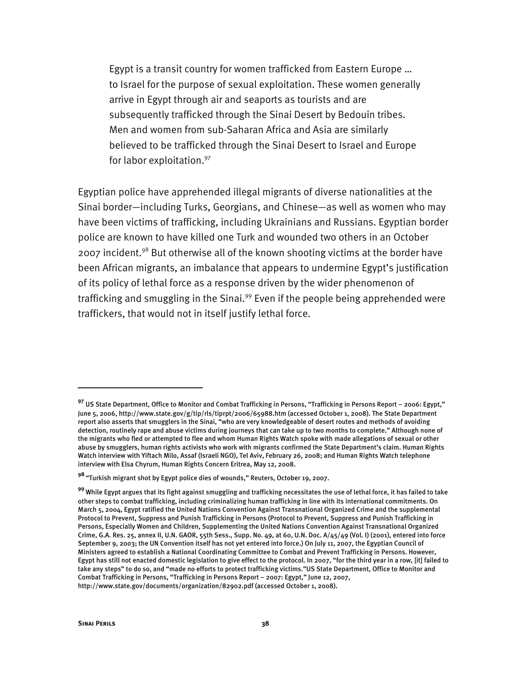Egypt is a transit country for women trafficked from Eastern Europe … to Israel for the purpose of sexual exploitation. These women generally arrive in Egypt through air and seaports as tourists and are subsequently trafficked through the Sinai Desert by Bedouin tribes. Men and women from sub-Saharan Africa and Asia are similarly believed to be trafficked through the Sinai Desert to Israel and Europe for labor exploitation.<sup>97</sup>

Egyptian police have apprehended illegal migrants of diverse nationalities at the Sinai border—including Turks, Georgians, and Chinese—as well as women who may have been victims of trafficking, including Ukrainians and Russians. Egyptian border police are known to have killed one Turk and wounded two others in an October 2007 incident.<sup>98</sup> But otherwise all of the known shooting victims at the border have been African migrants, an imbalance that appears to undermine Egypt's justification of its policy of lethal force as a response driven by the wider phenomenon of trafficking and smuggling in the Sinai.<sup>99</sup> Even if the people being apprehended were traffickers, that would not in itself justify lethal force.

**<sup>97</sup>** US State Department, Office to Monitor and Combat Trafficking in Persons, "Trafficking in Persons Report – 2006: Egypt," June 5, 2006, http://www.state.gov/g/tip/rls/tiprpt/2006/65988.htm (accessed October 1, 2008). The State Department report also asserts that smugglers in the Sinai, "who are very knowledgeable of desert routes and methods of avoiding detection, routinely rape and abuse victims during journeys that can take up to two months to complete." Although none of the migrants who fled or attempted to flee and whom Human Rights Watch spoke with made allegations of sexual or other abuse by smugglers, human rights activists who work with migrants confirmed the State Department's claim. Human Rights Watch interview with Yiftach Milo, Assaf (Israeli NGO), Tel Aviv, February 26, 2008; and Human Rights Watch telephone interview with Elsa Chyrum, Human Rights Concern Eritrea, May 12, 2008.

**<sup>98</sup>**"Turkish migrant shot by Egypt police dies of wounds," Reuters, October 19, 2007.

**<sup>99</sup>**While Egypt argues that its fight against smuggling and trafficking necessitates the use of lethal force, it has failed to take other steps to combat trafficking, including criminalizing human trafficking in line with its international commitments. On March 5, 2004, Egypt ratified the United Nations Convention Against Transnational Organized Crime and the supplemental Protocol to Prevent, Suppress and Punish Trafficking in Persons (Protocol to Prevent, Suppress and Punish Trafficking in Persons, Especially Women and Children, Supplementing the United Nations Convention Against Transnational Organized Crime, G.A. Res. 25, annex II, U.N. GAOR, 55th Sess., Supp. No. 49, at 60, U.N. Doc. A/45/49 (Vol. I) (2001), entered into force September 9, 2003; the UN Convention itself has not yet entered into force.) On July 11, 2007, the Egyptian Council of Ministers agreed to establish a National Coordinating Committee to Combat and Prevent Trafficking in Persons. However, Egypt has still not enacted domestic legislation to give effect to the protocol. In 2007, "for the third year in a row, [it] failed to take any steps" to do so, and "made no efforts to protect trafficking victims."US State Department, Office to Monitor and Combat Trafficking in Persons, "Trafficking in Persons Report – 2007: Egypt," June 12, 2007, http://www.state.gov/documents/organization/82902.pdf (accessed October 1, 2008).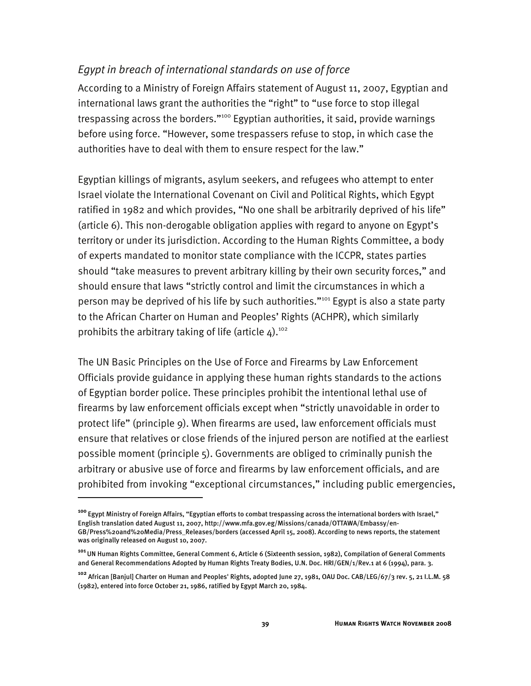# *Egypt in breach of international standards on use of force*

According to a Ministry of Foreign Affairs statement of August 11, 2007, Egyptian and international laws grant the authorities the "right" to "use force to stop illegal trespassing across the borders."<sup>100</sup> Egyptian authorities, it said, provide warnings before using force. "However, some trespassers refuse to stop, in which case the authorities have to deal with them to ensure respect for the law."

Egyptian killings of migrants, asylum seekers, and refugees who attempt to enter Israel violate the International Covenant on Civil and Political Rights, which Egypt ratified in 1982 and which provides, "No one shall be arbitrarily deprived of his life" (article 6). This non-derogable obligation applies with regard to anyone on Egypt's territory or under its jurisdiction. According to the Human Rights Committee, a body of experts mandated to monitor state compliance with the ICCPR, states parties should "take measures to prevent arbitrary killing by their own security forces," and should ensure that laws "strictly control and limit the circumstances in which a person may be deprived of his life by such authorities."<sup>101</sup> Egypt is also a state party to the African Charter on Human and Peoples' Rights (ACHPR), which similarly prohibits the arbitrary taking of life (article  $4$ ).<sup>102</sup>

The UN Basic Principles on the Use of Force and Firearms by Law Enforcement Officials provide guidance in applying these human rights standards to the actions of Egyptian border police. These principles prohibit the intentional lethal use of firearms by law enforcement officials except when "strictly unavoidable in order to protect life" (principle 9). When firearms are used, law enforcement officials must ensure that relatives or close friends of the injured person are notified at the earliest possible moment (principle 5). Governments are obliged to criminally punish the arbitrary or abusive use of force and firearms by law enforcement officials, and are prohibited from invoking "exceptional circumstances," including public emergencies,

**<sup>100</sup>**Egypt Ministry of Foreign Affairs, "Egyptian efforts to combat trespassing across the international borders with Israel," English translation dated August 11, 2007, http://www.mfa.gov.eg/Missions/canada/OTTAWA/Embassy/en-GB/Press%20and%20Media/Press\_Releases/borders (accessed April 15, 2008). According to news reports, the statement was originally released on August 10, 2007.

**<sup>101</sup>**UN Human Rights Committee, General Comment 6, Article 6 (Sixteenth session, 1982), Compilation of General Comments and General Recommendations Adopted by Human Rights Treaty Bodies, U.N. Doc. HRI/GEN/1/Rev.1 at 6 (1994), para. 3.

**<sup>102</sup>** African [Banjul] Charter on Human and Peoples' Rights, adopted June 27, 1981, OAU Doc. CAB/LEG/67/3 rev. 5, 21 I.L.M. 58 (1982), entered into force October 21, 1986, ratified by Egypt March 20, 1984.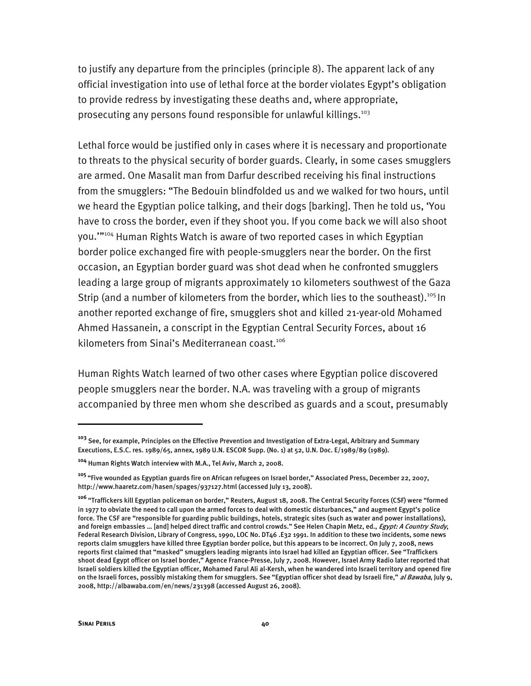to justify any departure from the principles (principle 8). The apparent lack of any official investigation into use of lethal force at the border violates Egypt's obligation to provide redress by investigating these deaths and, where appropriate, prosecuting any persons found responsible for unlawful killings.<sup>103</sup>

Lethal force would be justified only in cases where it is necessary and proportionate to threats to the physical security of border guards. Clearly, in some cases smugglers are armed. One Masalit man from Darfur described receiving his final instructions from the smugglers: "The Bedouin blindfolded us and we walked for two hours, until we heard the Egyptian police talking, and their dogs [barking]. Then he told us, 'You have to cross the border, even if they shoot you. If you come back we will also shoot you.'"104 Human Rights Watch is aware of two reported cases in which Egyptian border police exchanged fire with people-smugglers near the border. On the first occasion, an Egyptian border guard was shot dead when he confronted smugglers leading a large group of migrants approximately 10 kilometers southwest of the Gaza Strip (and a number of kilometers from the border, which lies to the southeast).<sup>105</sup> In another reported exchange of fire, smugglers shot and killed 21-year-old Mohamed Ahmed Hassanein, a conscript in the Egyptian Central Security Forces, about 16 kilometers from Sinai's Mediterranean coast.<sup>106</sup>

Human Rights Watch learned of two other cases where Egyptian police discovered people smugglers near the border. N.A. was traveling with a group of migrants accompanied by three men whom she described as guards and a scout, presumably

**<sup>103</sup>** See, for example, Principles on the Effective Prevention and Investigation of Extra-Legal, Arbitrary and Summary Executions, E.S.C. res. 1989/65, annex, 1989 U.N. ESCOR Supp. (No. 1) at 52, U.N. Doc. E/1989/89 (1989).

**<sup>104</sup>** Human Rights Watch interview with M.A., Tel Aviv, March 2, 2008.

**<sup>105</sup>**"Five wounded as Egyptian guards fire on African refugees on Israel border," Associated Press, December 22, 2007, http://www.haaretz.com/hasen/spages/937127.html (accessed July 13, 2008).

**<sup>106</sup>**"Traffickers kill Egyptian policeman on border," Reuters, August 18, 2008. The Central Security Forces (CSF) were "formed in 1977 to obviate the need to call upon the armed forces to deal with domestic disturbances," and augment Egypt's police force. The CSF are "responsible for guarding public buildings, hotels, strategic sites (such as water and power installations), and foreign embassies … [and] helped direct traffic and control crowds." See Helen Chapin Metz, ed., *Egypt: A Country Study*, Federal Research Division, Library of Congress, 1990, LOC No. DT46 .E32 1991. In addition to these two incidents, some news reports claim smugglers have killed three Egyptian border police, but this appears to be incorrect. On July 7, 2008, news reports first claimed that "masked" smugglers leading migrants into Israel had killed an Egyptian officer. See "Traffickers shoot dead Egypt officer on Israel border," Agence France-Presse, July 7, 2008. However, Israel Army Radio later reported that Israeli soldiers killed the Egyptian officer, Mohamed Farul Ali al-Kersh, when he wandered into Israeli territory and opened fire on the Israeli forces, possibly mistaking them for smugglers. See "Egyptian officer shot dead by Israeli fire," al Bawaba, July 9, 2008, http://albawaba.com/en/news/231398 (accessed August 26, 2008).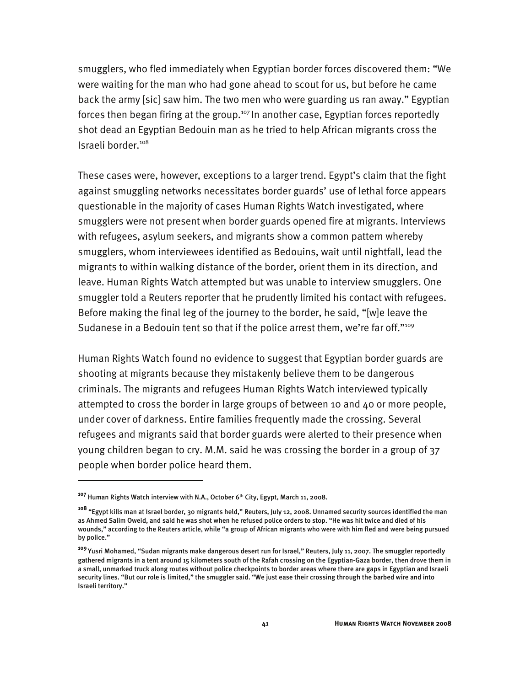smugglers, who fled immediately when Egyptian border forces discovered them: "We were waiting for the man who had gone ahead to scout for us, but before he came back the army [sic] saw him. The two men who were guarding us ran away." Egyptian forces then began firing at the group.<sup>107</sup> In another case, Egyptian forces reportedly shot dead an Egyptian Bedouin man as he tried to help African migrants cross the Israeli border<sup>108</sup>

These cases were, however, exceptions to a larger trend. Egypt's claim that the fight against smuggling networks necessitates border guards' use of lethal force appears questionable in the majority of cases Human Rights Watch investigated, where smugglers were not present when border guards opened fire at migrants. Interviews with refugees, asylum seekers, and migrants show a common pattern whereby smugglers, whom interviewees identified as Bedouins, wait until nightfall, lead the migrants to within walking distance of the border, orient them in its direction, and leave. Human Rights Watch attempted but was unable to interview smugglers. One smuggler told a Reuters reporter that he prudently limited his contact with refugees. Before making the final leg of the journey to the border, he said, "[w]e leave the Sudanese in a Bedouin tent so that if the police arrest them, we're far off."<sup>109</sup>

Human Rights Watch found no evidence to suggest that Egyptian border guards are shooting at migrants because they mistakenly believe them to be dangerous criminals. The migrants and refugees Human Rights Watch interviewed typically attempted to cross the border in large groups of between 10 and 40 or more people, under cover of darkness. Entire families frequently made the crossing. Several refugees and migrants said that border guards were alerted to their presence when young children began to cry. M.M. said he was crossing the border in a group of 37 people when border police heard them.

<sup>&</sup>lt;sup>107</sup> Human Rights Watch interview with N.A., October 6<sup>th</sup> City, Egypt, March 11, 2008.

**<sup>108</sup>** "Egypt kills man at Israel border, 30 migrants held," Reuters, July 12, 2008. Unnamed security sources identified the man as Ahmed Salim Oweid, and said he was shot when he refused police orders to stop. "He was hit twice and died of his wounds," according to the Reuters article, while "a group of African migrants who were with him fled and were being pursued by police."

**<sup>109</sup>**Yusri Mohamed, "Sudan migrants make dangerous desert run for Israel," Reuters, July 11, 2007. The smuggler reportedly gathered migrants in a tent around 15 kilometers south of the Rafah crossing on the Egyptian-Gaza border, then drove them in a small, unmarked truck along routes without police checkpoints to border areas where there are gaps in Egyptian and Israeli security lines. "But our role is limited," the smuggler said. "We just ease their crossing through the barbed wire and into Israeli territory."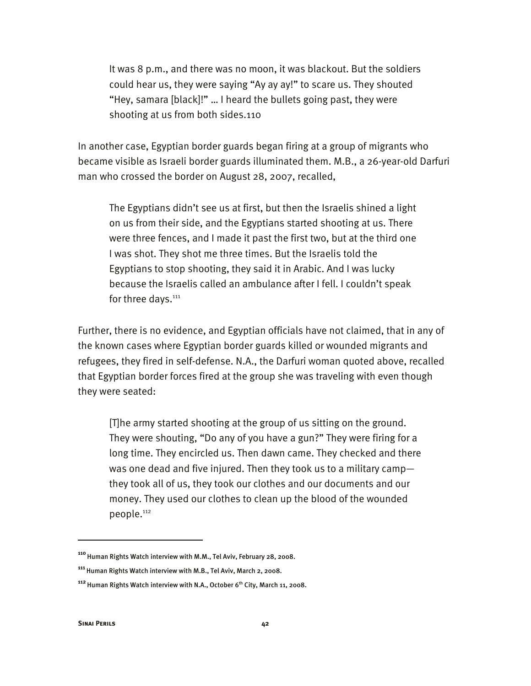It was 8 p.m., and there was no moon, it was blackout. But the soldiers could hear us, they were saying "Ay ay ay!" to scare us. They shouted "Hey, samara [black]!" … I heard the bullets going past, they were shooting at us from both sides.110

In another case, Egyptian border guards began firing at a group of migrants who became visible as Israeli border guards illuminated them. M.B., a 26-year-old Darfuri man who crossed the border on August 28, 2007, recalled,

The Egyptians didn't see us at first, but then the Israelis shined a light on us from their side, and the Egyptians started shooting at us. There were three fences, and I made it past the first two, but at the third one I was shot. They shot me three times. But the Israelis told the Egyptians to stop shooting, they said it in Arabic. And I was lucky because the Israelis called an ambulance after I fell. I couldn't speak for three days.<sup>111</sup>

Further, there is no evidence, and Egyptian officials have not claimed, that in any of the known cases where Egyptian border guards killed or wounded migrants and refugees, they fired in self-defense. N.A., the Darfuri woman quoted above, recalled that Egyptian border forces fired at the group she was traveling with even though they were seated:

[T]he army started shooting at the group of us sitting on the ground. They were shouting, "Do any of you have a gun?" They were firing for a long time. They encircled us. Then dawn came. They checked and there was one dead and five injured. Then they took us to a military camp they took all of us, they took our clothes and our documents and our money. They used our clothes to clean up the blood of the wounded people.<sup>112</sup>

**<sup>110</sup>**Human Rights Watch interview with M.M., Tel Aviv, February 28, 2008.

**<sup>111</sup>**Human Rights Watch interview with M.B., Tel Aviv, March 2, 2008.

<sup>&</sup>lt;sup>112</sup> Human Rights Watch interview with N.A., October 6<sup>th</sup> City, March 11, 2008.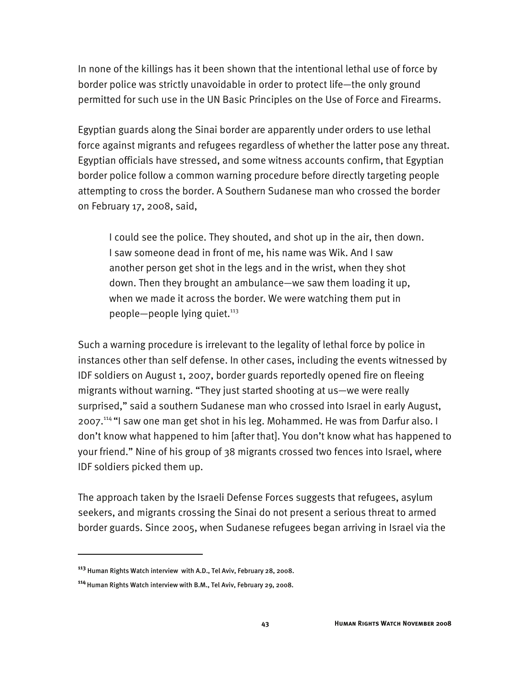In none of the killings has it been shown that the intentional lethal use of force by border police was strictly unavoidable in order to protect life—the only ground permitted for such use in the UN Basic Principles on the Use of Force and Firearms.

Egyptian guards along the Sinai border are apparently under orders to use lethal force against migrants and refugees regardless of whether the latter pose any threat. Egyptian officials have stressed, and some witness accounts confirm, that Egyptian border police follow a common warning procedure before directly targeting people attempting to cross the border. A Southern Sudanese man who crossed the border on February 17, 2008, said,

I could see the police. They shouted, and shot up in the air, then down. I saw someone dead in front of me, his name was Wik. And I saw another person get shot in the legs and in the wrist, when they shot down. Then they brought an ambulance—we saw them loading it up, when we made it across the border. We were watching them put in people—people lying quiet. $113$ 

Such a warning procedure is irrelevant to the legality of lethal force by police in instances other than self defense. In other cases, including the events witnessed by IDF soldiers on August 1, 2007, border guards reportedly opened fire on fleeing migrants without warning. "They just started shooting at us—we were really surprised," said a southern Sudanese man who crossed into Israel in early August, 2007.114 "I saw one man get shot in his leg. Mohammed. He was from Darfur also. I don't know what happened to him [after that]. You don't know what has happened to your friend." Nine of his group of 38 migrants crossed two fences into Israel, where IDF soldiers picked them up.

The approach taken by the Israeli Defense Forces suggests that refugees, asylum seekers, and migrants crossing the Sinai do not present a serious threat to armed border guards. Since 2005, when Sudanese refugees began arriving in Israel via the

**<sup>113</sup>** Human Rights Watch interview with A.D., Tel Aviv, February 28, 2008.

<sup>&</sup>lt;sup>114</sup> Human Rights Watch interview with B.M., Tel Aviv, February 29, 2008.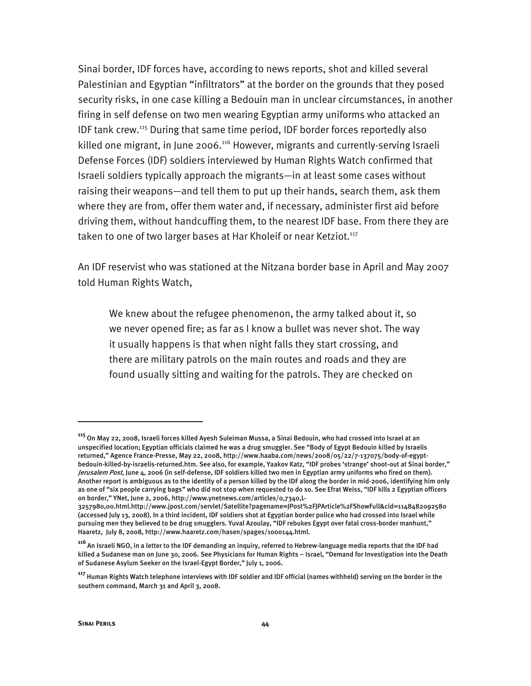Sinai border, IDF forces have, according to news reports, shot and killed several Palestinian and Egyptian "infiltrators" at the border on the grounds that they posed security risks, in one case killing a Bedouin man in unclear circumstances, in another firing in self defense on two men wearing Egyptian army uniforms who attacked an IDF tank crew.115 During that same time period, IDF border forces reportedly also killed one migrant, in June 2006.<sup>116</sup> However, migrants and currently-serving Israeli Defense Forces (IDF) soldiers interviewed by Human Rights Watch confirmed that Israeli soldiers typically approach the migrants—in at least some cases without raising their weapons—and tell them to put up their hands, search them, ask them where they are from, offer them water and, if necessary, administer first aid before driving them, without handcuffing them, to the nearest IDF base. From there they are taken to one of two larger bases at Har Kholeif or near Ketziot.<sup>117</sup>

An IDF reservist who was stationed at the Nitzana border base in April and May 2007 told Human Rights Watch,

We knew about the refugee phenomenon, the army talked about it, so we never opened fire; as far as I know a bullet was never shot. The way it usually happens is that when night falls they start crossing, and there are military patrols on the main routes and roads and they are found usually sitting and waiting for the patrols. They are checked on

j

**<sup>115</sup>**On May 22, 2008, Israeli forces killed Ayesh Suleiman Mussa, a Sinai Bedouin, who had crossed into Israel at an unspecified location; Egyptian officials claimed he was a drug smuggler. See "Body of Egypt Bedouin killed by Israelis returned," Agence France-Presse, May 22, 2008, http://www.haaba.com/news/2008/05/22/7-137075/body-of-egyptbedouin-killed-by-israelis-returned.htm. See also, for example, Yaakov Katz, "IDF probes 'strange' shoot-out at Sinai border," Jerusalem Post, June 4, 2006 (in self-defense, IDF soldiers killed two men in Egyptian army uniforms who fired on them). Another report is ambiguous as to the identity of a person killed by the IDF along the border in mid-2006, identifying him only as one of "six people carrying bags" who did not stop when requested to do so. See Efrat Weiss, "IDF kills 2 Egyptian officers on border," YNet, June 2, 2006, http://www.ynetnews.com/articles/0,7340,L-

<sup>3257980,00.</sup>html.http://www.jpost.com/servlet/Satellite?pagename=JPost%2FJPArticle%2FShowFull&cid=1148482092580 (accessed July 13, 2008). In a third incident, IDF soldiers shot at Egyptian border police who had crossed into Israel while pursuing men they believed to be drug smugglers. Yuval Azoulay, "IDF rebukes Egypt over fatal cross-border manhunt," Haaretz, July 8, 2008, http://www.haaretz.com/hasen/spages/1000144.html.

**<sup>116</sup>**An Israeli NGO, in a letter to the IDF demanding an inquiry, referred to Hebrew-language media reports that the IDF had killed a Sudanese man on June 30, 2006. See Physicians for Human Rights – Israel, "Demand for Investigation into the Death of Sudanese Asylum Seeker on the Israel-Egypt Border," July 1, 2006.

**<sup>117</sup>**Human Rights Watch telephone interviews with IDF soldier and IDF official (names withheld) serving on the border in the southern command, March 31 and April 3, 2008.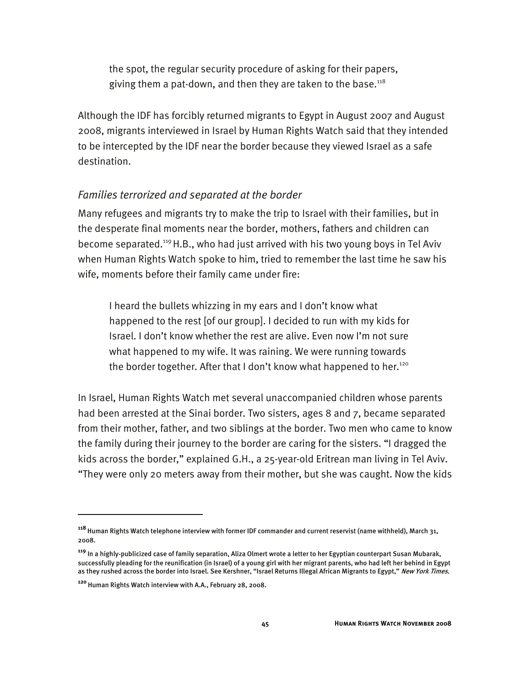the spot, the regular security procedure of asking for their papers, giving them a pat-down, and then they are taken to the base. $118$ 

Although the IDF has forcibly returned migrants to Egypt in August 2007 and August 2008, migrants interviewed in Israel by Human Rights Watch said that they intended to be intercepted by the IDF near the border because they viewed Israel as a safe destination.

# *Families terrorized and separated at the border*

Many refugees and migrants try to make the trip to Israel with their families, but in the desperate final moments near the border, mothers, fathers and children can become separated.<sup>119</sup> H.B., who had just arrived with his two young boys in Tel Aviv when Human Rights Watch spoke to him, tried to remember the last time he saw his wife, moments before their family came under fire:

I heard the bullets whizzing in my ears and I don't know what happened to the rest [of our group]. I decided to run with my kids for Israel. I don't know whether the rest are alive. Even now I'm not sure what happened to my wife. It was raining. We were running towards the border together. After that I don't know what happened to her.<sup>120</sup>

In Israel, Human Rights Watch met several unaccompanied children whose parents had been arrested at the Sinai border. Two sisters, ages 8 and 7, became separated from their mother, father, and two siblings at the border. Two men who came to know the family during their journey to the border are caring for the sisters. "I dragged the kids across the border," explained G.H., a 25-year-old Eritrean man living in Tel Aviv. "They were only 20 meters away from their mother, but she was caught. Now the kids

**<sup>118</sup>**Human Rights Watch telephone interview with former IDF commander and current reservist (name withheld), March 31, 2008.

**<sup>119</sup>** In a highly-publicized case of family separation, Aliza Olmert wrote a letter to her Egyptian counterpart Susan Mubarak, successfully pleading for the reunification (in Israel) of a young girl with her migrant parents, who had left her behind in Egypt as they rushed across the border into Israel. See Kershner, "Israel Returns Illegal African Migrants to Egypt," New York Times.

<sup>&</sup>lt;sup>120</sup> Human Rights Watch interview with A.A., February 28, 2008.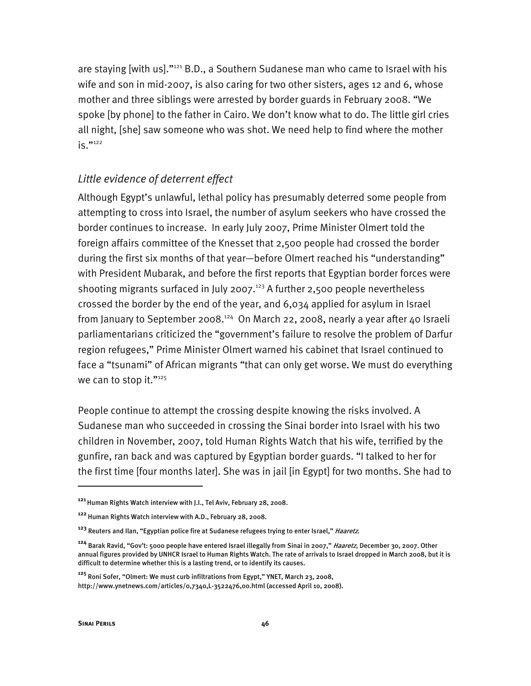are staying [with us]."<sup>121</sup> B.D., a Southern Sudanese man who came to Israel with his wife and son in mid-2007, is also caring for two other sisters, ages 12 and 6, whose mother and three siblings were arrested by border guards in February 2008. "We spoke [by phone] to the father in Cairo. We don't know what to do. The little girl cries all night, [she] saw someone who was shot. We need help to find where the mother  $iS$ ."122

#### *Little evidence of deterrent effect*

Although Egypt's unlawful, lethal policy has presumably deterred some people from attempting to cross into Israel, the number of asylum seekers who have crossed the border continues to increase. In early July 2007, Prime Minister Olmert told the foreign affairs committee of the Knesset that 2,500 people had crossed the border during the first six months of that year—before Olmert reached his "understanding" with President Mubarak, and before the first reports that Egyptian border forces were shooting migrants surfaced in July 2007.<sup>123</sup> A further 2,500 people nevertheless crossed the border by the end of the year, and 6,034 applied for asylum in Israel from January to September 2008.<sup>124</sup> On March 22, 2008, nearly a year after 40 Israeli parliamentarians criticized the "government's failure to resolve the problem of Darfur region refugees," Prime Minister Olmert warned his cabinet that Israel continued to face a "tsunami" of African migrants "that can only get worse. We must do everything we can to stop it."125

People continue to attempt the crossing despite knowing the risks involved. A Sudanese man who succeeded in crossing the Sinai border into Israel with his two children in November, 2007, told Human Rights Watch that his wife, terrified by the gunfire, ran back and was captured by Egyptian border guards. "I talked to her for the first time [four months later]. She was in jail [in Egypt] for two months. She had to

j

**<sup>121</sup>**Human Rights Watch interview with J.I., Tel Aviv, February 28, 2008.

<sup>&</sup>lt;sup>122</sup> Human Rights Watch interview with A.D., February 28, 2008.

**<sup>123</sup>** Reuters and Ilan, "Egyptian police fire at Sudanese refugees trying to enter Israel," Haaretz.

**<sup>124</sup>** Barak Ravid, "Gov't: 5000 people have entered Israel illegally from Sinai in 2007," Haaretz, December 30, 2007. Other annual figures provided by UNHCR Israel to Human Rights Watch. The rate of arrivals to Israel dropped in March 2008, but it is difficult to determine whether this is a lasting trend, or to identify its causes.

**<sup>125</sup>** Roni Sofer, "Olmert: We must curb infiltrations from Egypt," YNET, March 23, 2008, http://www.ynetnews.com/articles/0,7340,L-3522476,00.html (accessed April 10, 2008).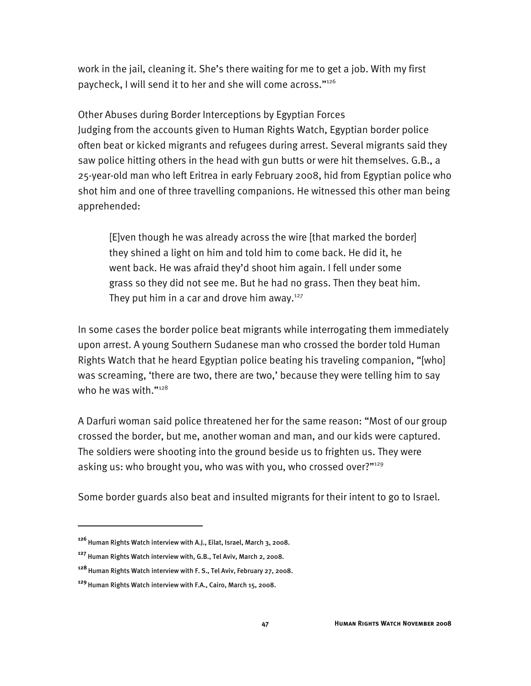work in the jail, cleaning it. She's there waiting for me to get a job. With my first paycheck, I will send it to her and she will come across."126

Other Abuses during Border Interceptions by Egyptian Forces Judging from the accounts given to Human Rights Watch, Egyptian border police often beat or kicked migrants and refugees during arrest. Several migrants said they saw police hitting others in the head with gun butts or were hit themselves. G.B., a 25-year-old man who left Eritrea in early February 2008, hid from Egyptian police who shot him and one of three travelling companions. He witnessed this other man being apprehended:

[E]ven though he was already across the wire [that marked the border] they shined a light on him and told him to come back. He did it, he went back. He was afraid they'd shoot him again. I fell under some grass so they did not see me. But he had no grass. Then they beat him. They put him in a car and drove him away. $127$ 

In some cases the border police beat migrants while interrogating them immediately upon arrest. A young Southern Sudanese man who crossed the border told Human Rights Watch that he heard Egyptian police beating his traveling companion, "[who] was screaming, 'there are two, there are two,' because they were telling him to say who he was with."<sup>128</sup>

A Darfuri woman said police threatened her for the same reason: "Most of our group crossed the border, but me, another woman and man, and our kids were captured. The soldiers were shooting into the ground beside us to frighten us. They were asking us: who brought you, who was with you, who crossed over?"<sup>129</sup>

Some border guards also beat and insulted migrants for their intent to go to Israel.

j

<sup>&</sup>lt;sup>126</sup> Human Rights Watch interview with A.J., Eilat, Israel, March 3, 2008.

**<sup>127</sup>** Human Rights Watch interview with, G.B., Tel Aviv, March 2, 2008.

**<sup>128</sup>**Human Rights Watch interview with F. S., Tel Aviv, February 27, 2008.

**<sup>129</sup>**Human Rights Watch interview with F.A., Cairo, March 15, 2008.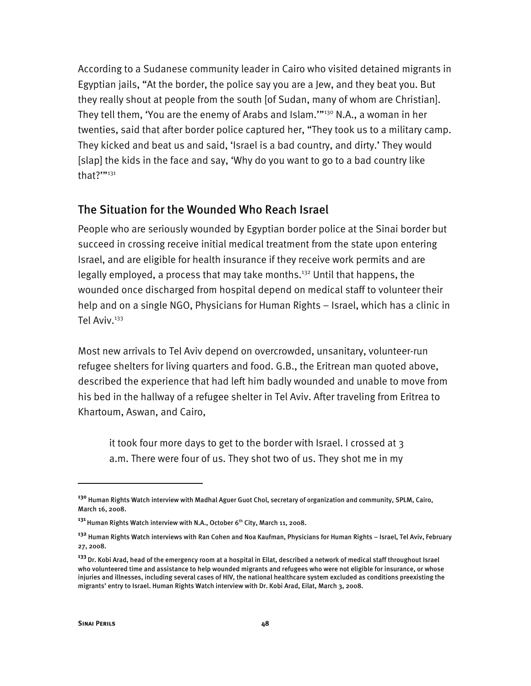According to a Sudanese community leader in Cairo who visited detained migrants in Egyptian jails, "At the border, the police say you are a Jew, and they beat you. But they really shout at people from the south [of Sudan, many of whom are Christian]. They tell them, 'You are the enemy of Arabs and Islam.'"<sup>130</sup> N.A., a woman in her twenties, said that after border police captured her, "They took us to a military camp. They kicked and beat us and said, 'Israel is a bad country, and dirty.' They would [slap] the kids in the face and say, 'Why do you want to go to a bad country like that?""<sup>131</sup>

## The Situation for the Wounded Who Reach Israel

People who are seriously wounded by Egyptian border police at the Sinai border but succeed in crossing receive initial medical treatment from the state upon entering Israel, and are eligible for health insurance if they receive work permits and are legally employed, a process that may take months.<sup>132</sup> Until that happens, the wounded once discharged from hospital depend on medical staff to volunteer their help and on a single NGO, Physicians for Human Rights – Israel, which has a clinic in Tel Aviv.<sup>133</sup>

Most new arrivals to Tel Aviv depend on overcrowded, unsanitary, volunteer-run refugee shelters for living quarters and food. G.B., the Eritrean man quoted above, described the experience that had left him badly wounded and unable to move from his bed in the hallway of a refugee shelter in Tel Aviv. After traveling from Eritrea to Khartoum, Aswan, and Cairo,

it took four more days to get to the border with Israel. I crossed at 3 a.m. There were four of us. They shot two of us. They shot me in my

**<sup>130</sup>** Human Rights Watch interview with Madhal Aguer Guot Chol, secretary of organization and community, SPLM, Cairo, March 16, 2008.

<sup>&</sup>lt;sup>131</sup> Human Rights Watch interview with N.A., October 6<sup>th</sup> City, March 11, 2008.

**<sup>132</sup>** Human Rights Watch interviews with Ran Cohen and Noa Kaufman, Physicians for Human Rights – Israel, Tel Aviv, February 27, 2008.

**<sup>133</sup>**Dr. Kobi Arad, head of the emergency room at a hospital in Eilat, described a network of medical staff throughout Israel who volunteered time and assistance to help wounded migrants and refugees who were not eligible for insurance, or whose injuries and illnesses, including several cases of HIV, the national healthcare system excluded as conditions preexisting the migrants' entry to Israel. Human Rights Watch interview with Dr. Kobi Arad, Eilat, March 3, 2008.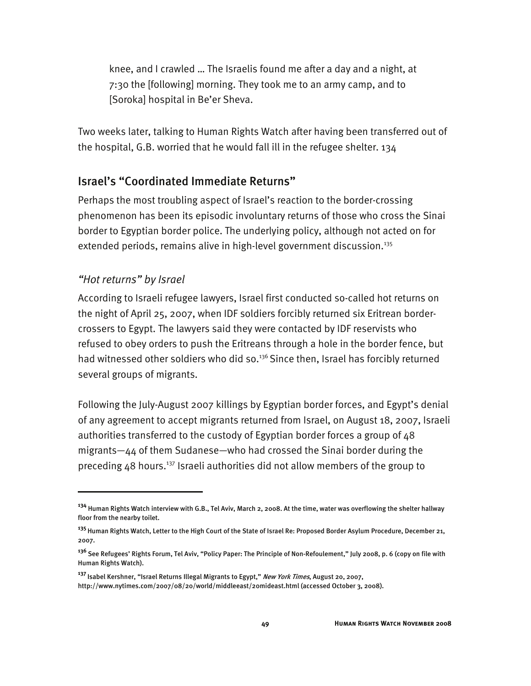knee, and I crawled … The Israelis found me after a day and a night, at 7:30 the [following] morning. They took me to an army camp, and to [Soroka] hospital in Be'er Sheva.

Two weeks later, talking to Human Rights Watch after having been transferred out of the hospital, G.B. worried that he would fall ill in the refugee shelter. 134

## Israel's "Coordinated Immediate Returns"

Perhaps the most troubling aspect of Israel's reaction to the border-crossing phenomenon has been its episodic involuntary returns of those who cross the Sinai border to Egyptian border police. The underlying policy, although not acted on for extended periods, remains alive in high-level government discussion.<sup>135</sup>

#### *"Hot returns" by Israel*

-

According to Israeli refugee lawyers, Israel first conducted so-called hot returns on the night of April 25, 2007, when IDF soldiers forcibly returned six Eritrean bordercrossers to Egypt. The lawyers said they were contacted by IDF reservists who refused to obey orders to push the Eritreans through a hole in the border fence, but had witnessed other soldiers who did so.<sup>136</sup> Since then, Israel has forcibly returned several groups of migrants.

Following the July-August 2007 killings by Egyptian border forces, and Egypt's denial of any agreement to accept migrants returned from Israel, on August 18, 2007, Israeli authorities transferred to the custody of Egyptian border forces a group of 48 migrants—44 of them Sudanese—who had crossed the Sinai border during the preceding 48 hours.137 Israeli authorities did not allow members of the group to

**<sup>134</sup>** Human Rights Watch interview with G.B., Tel Aviv, March 2, 2008. At the time, water was overflowing the shelter hallway floor from the nearby toilet.

**<sup>135</sup>**Human Rights Watch, Letter to the High Court of the State of Israel Re: Proposed Border Asylum Procedure, December 21, 2007.

**<sup>136</sup>**See Refugees' Rights Forum, Tel Aviv, "Policy Paper: The Principle of Non-Refoulement," July 2008, p. 6 (copy on file with Human Rights Watch).

**<sup>137</sup>**Isabel Kershner, "Israel Returns Illegal Migrants to Egypt," New York Times, August 20, 2007, http://www.nytimes.com/2007/08/20/world/middleeast/20mideast.html (accessed October 3, 2008).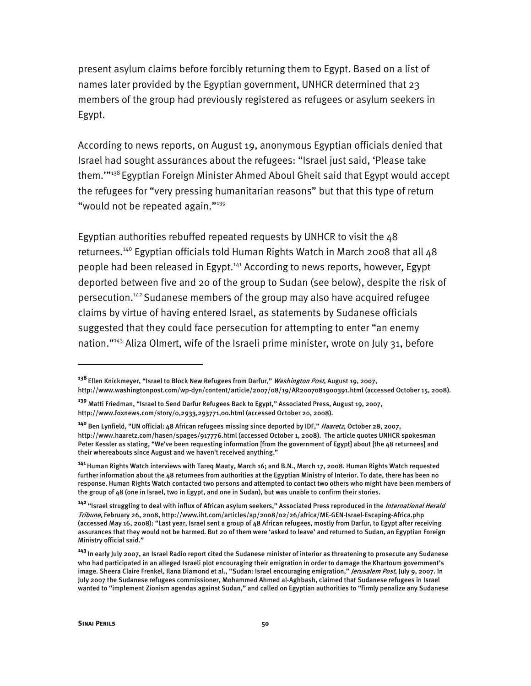present asylum claims before forcibly returning them to Egypt. Based on a list of names later provided by the Egyptian government, UNHCR determined that 23 members of the group had previously registered as refugees or asylum seekers in Egypt.

According to news reports, on August 19, anonymous Egyptian officials denied that Israel had sought assurances about the refugees: "Israel just said, 'Please take them.""<sup>138</sup> Egyptian Foreign Minister Ahmed Aboul Gheit said that Egypt would accept the refugees for "very pressing humanitarian reasons" but that this type of return "would not be repeated again."<sup>139</sup>

Egyptian authorities rebuffed repeated requests by UNHCR to visit the 48 returnees.<sup>140</sup> Egyptian officials told Human Rights Watch in March 2008 that all 48 people had been released in Egypt.<sup>141</sup> According to news reports, however, Egypt deported between five and 20 of the group to Sudan (see below), despite the risk of persecution.142 Sudanese members of the group may also have acquired refugee claims by virtue of having entered Israel, as statements by Sudanese officials suggested that they could face persecution for attempting to enter "an enemy nation."<sup>143</sup> Aliza Olmert, wife of the Israeli prime minister, wrote on July 31, before

**<sup>138</sup>**Ellen Knickmeyer, "Israel to Block New Refugees from Darfur," Washington Post, August 19, 2007, http://www.washingtonpost.com/wp-dyn/content/article/2007/08/19/AR2007081900391.html (accessed October 15, 2008).

**<sup>139</sup>** Matti Friedman, "Israel to Send Darfur Refugees Back to Egypt," Associated Press, August 19, 2007, http://www.foxnews.com/story/0,2933,293771,00.html (accessed October 20, 2008).

**<sup>140</sup>** Ben Lynfield, "UN official: 48 African refugees missing since deported by IDF," Haaretz, October 28, 2007, http://www.haaretz.com/hasen/spages/917776.html (accessed October 1, 2008). The article quotes UNHCR spokesman Peter Kessler as stating, "We've been requesting information [from the government of Egypt] about [the 48 returnees] and their whereabouts since August and we haven't received anything."

**<sup>141</sup>**Human Rights Watch interviews with Tareq Maaty, March 16; and B.N., March 17, 2008. Human Rights Watch requested further information about the 48 returnees from authorities at the Egyptian Ministry of Interior. To date, there has been no response. Human Rights Watch contacted two persons and attempted to contact two others who might have been members of the group of 48 (one in Israel, two in Egypt, and one in Sudan), but was unable to confirm their stories.

**<sup>142</sup>**"Israel struggling to deal with influx of African asylum seekers," Associated Press reproduced in the International Herald Tribune, February 26, 2008, http://www.iht.com/articles/ap/2008/02/26/africa/ME-GEN-Israel-Escaping-Africa.php (accessed May 16, 2008): "Last year, Israel sent a group of 48 African refugees, mostly from Darfur, to Egypt after receiving assurances that they would not be harmed. But 20 of them were 'asked to leave' and returned to Sudan, an Egyptian Foreign Ministry official said."

**<sup>143</sup>**In early July 2007, an Israel Radio report cited the Sudanese minister of interior as threatening to prosecute any Sudanese who had participated in an alleged Israeli plot encouraging their emigration in order to damage the Khartoum government's image. Sheera Claire Frenkel, Ilana Diamond et al., "Sudan: Israel encouraging emigration," *Jerusalem Post*, July 9, 2007. In July 2007 the Sudanese refugees commissioner, Mohammed Ahmed al-Aghbash, claimed that Sudanese refugees in Israel wanted to "implement Zionism agendas against Sudan," and called on Egyptian authorities to "firmly penalize any Sudanese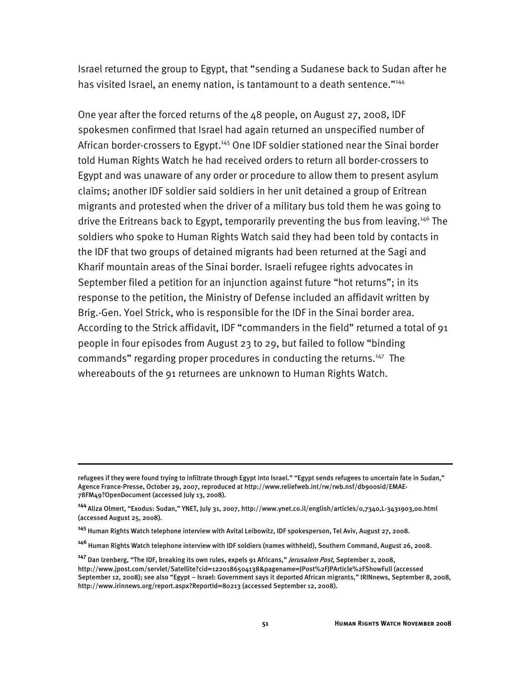Israel returned the group to Egypt, that "sending a Sudanese back to Sudan after he has visited Israel, an enemy nation, is tantamount to a death sentence."<sup>144</sup>

One year after the forced returns of the 48 people, on August 27, 2008, IDF spokesmen confirmed that Israel had again returned an unspecified number of African border-crossers to Egypt.<sup>145</sup> One IDF soldier stationed near the Sinai border told Human Rights Watch he had received orders to return all border-crossers to Egypt and was unaware of any order or procedure to allow them to present asylum claims; another IDF soldier said soldiers in her unit detained a group of Eritrean migrants and protested when the driver of a military bus told them he was going to drive the Eritreans back to Egypt, temporarily preventing the bus from leaving.146 The soldiers who spoke to Human Rights Watch said they had been told by contacts in the IDF that two groups of detained migrants had been returned at the Sagi and Kharif mountain areas of the Sinai border. Israeli refugee rights advocates in September filed a petition for an injunction against future "hot returns"; in its response to the petition, the Ministry of Defense included an affidavit written by Brig.-Gen. Yoel Strick, who is responsible for the IDF in the Sinai border area. According to the Strick affidavit, IDF "commanders in the field" returned a total of 91 people in four episodes from August 23 to 29, but failed to follow "binding commands" regarding proper procedures in conducting the returns.<sup>147</sup> The whereabouts of the 91 returnees are unknown to Human Rights Watch.

refugees if they were found trying to infiltrate through Egypt into Israel." "Egypt sends refugees to uncertain fate in Sudan," Agence France-Presse, October 29, 2007, reproduced at http://www.reliefweb.int/rw/rwb.nsf/db900sid/EMAE-78FM49?OpenDocument (accessed July 13, 2008).

**<sup>144</sup>**Aliza Olmert, "Exodus: Sudan," YNET, July 31, 2007, http://www.ynet.co.il/english/articles/0,7340,L-3431903,00.html (accessed August 25, 2008).

**<sup>145</sup>** Human Rights Watch telephone interview with Avital Leibowitz, IDF spokesperson, Tel Aviv, August 27, 2008.

**<sup>146</sup>** Human Rights Watch telephone interview with IDF soldiers (names withheld), Southern Command, August 26, 2008.

**<sup>147</sup>** Dan Izenberg, "The IDF, breaking its own rules, expels 91 Africans," Jerusalem Post, September 2, 2008, http://www.jpost.com/servlet/Satellite?cid=1220186504138&pagename=JPost%2FJPArticle%2FShowFull (accessed September 12, 2008); see also "Egypt – Israel: Government says it deported African migrants," IRINnews, September 8, 2008, http://www.irinnews.org/report.aspx?ReportId=80213 (accessed September 12, 2008).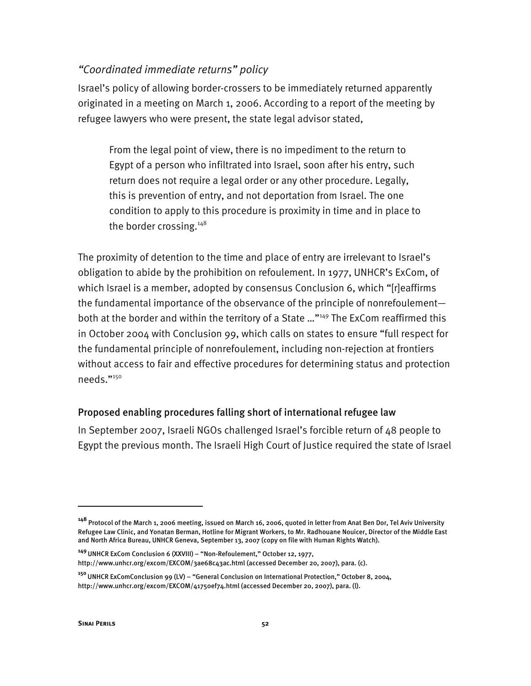#### *"Coordinated immediate returns" policy*

Israel's policy of allowing border-crossers to be immediately returned apparently originated in a meeting on March 1, 2006. According to a report of the meeting by refugee lawyers who were present, the state legal advisor stated,

From the legal point of view, there is no impediment to the return to Egypt of a person who infiltrated into Israel, soon after his entry, such return does not require a legal order or any other procedure. Legally, this is prevention of entry, and not deportation from Israel. The one condition to apply to this procedure is proximity in time and in place to the border crossing.<sup>148</sup>

The proximity of detention to the time and place of entry are irrelevant to Israel's obligation to abide by the prohibition on refoulement. In 1977, UNHCR's ExCom, of which Israel is a member, adopted by consensus Conclusion 6, which "[r]eaffirms the fundamental importance of the observance of the principle of nonrefoulement both at the border and within the territory of a State ..."<sup>149</sup> The ExCom reaffirmed this in October 2004 with Conclusion 99, which calls on states to ensure "full respect for the fundamental principle of nonrefoulement, including non-rejection at frontiers without access to fair and effective procedures for determining status and protection needs."150

#### Proposed enabling procedures falling short of international refugee law

In September 2007, Israeli NGOs challenged Israel's forcible return of 48 people to Egypt the previous month. The Israeli High Court of Justice required the state of Israel

**<sup>148</sup>** Protocol of the March 1, 2006 meeting, issued on March 16, 2006, quoted in letter from Anat Ben Dor, Tel Aviv University Refugee Law Clinic, and Yonatan Berman, Hotline for Migrant Workers, to Mr. Radhouane Nouicer, Director of the Middle East and North Africa Bureau, UNHCR Geneva, September 13, 2007 (copy on file with Human Rights Watch).

**<sup>149</sup>**UNHCR ExCom Conclusion 6 (XXVIII) – "Non-Refoulement," October 12, 1977, http://www.unhcr.org/excom/EXCOM/3ae68c43ac.html (accessed December 20, 2007), para. (c).

**<sup>150</sup>**UNHCR ExComConclusion 99 (LV) – "General Conclusion on International Protection," October 8, 2004, http://www.unhcr.org/excom/EXCOM/41750ef74.html (accessed December 20, 2007), para. (l).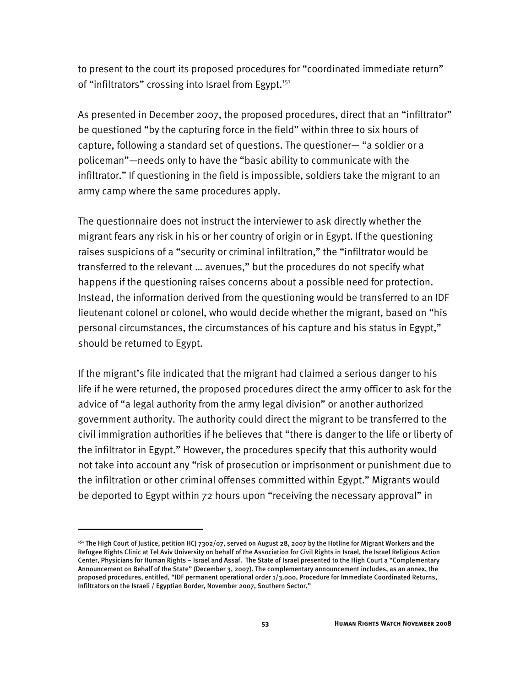to present to the court its proposed procedures for "coordinated immediate return" of "infiltrators" crossing into Israel from Egypt.<sup>151</sup>

As presented in December 2007, the proposed procedures, direct that an "infiltrator" be questioned "by the capturing force in the field" within three to six hours of capture, following a standard set of questions. The questioner— "a soldier or a policeman"—needs only to have the "basic ability to communicate with the infiltrator." If questioning in the field is impossible, soldiers take the migrant to an army camp where the same procedures apply.

The questionnaire does not instruct the interviewer to ask directly whether the migrant fears any risk in his or her country of origin or in Egypt. If the questioning raises suspicions of a "security or criminal infiltration," the "infiltrator would be transferred to the relevant … avenues," but the procedures do not specify what happens if the questioning raises concerns about a possible need for protection. Instead, the information derived from the questioning would be transferred to an IDF lieutenant colonel or colonel, who would decide whether the migrant, based on "his personal circumstances, the circumstances of his capture and his status in Egypt," should be returned to Egypt.

If the migrant's file indicated that the migrant had claimed a serious danger to his life if he were returned, the proposed procedures direct the army officer to ask for the advice of "a legal authority from the army legal division" or another authorized government authority. The authority could direct the migrant to be transferred to the civil immigration authorities if he believes that "there is danger to the life or liberty of the infiltrator in Egypt." However, the procedures specify that this authority would not take into account any "risk of prosecution or imprisonment or punishment due to the infiltration or other criminal offenses committed within Egypt." Migrants would be deported to Egypt within 72 hours upon "receiving the necessary approval" in

j

<sup>&</sup>lt;sup>151</sup> The High Court of Justice, petition HCJ 7302/07, served on August 28, 2007 by the Hotline for Migrant Workers and the Refugee Rights Clinic at Tel Aviv University on behalf of the Association for Civil Rights in Israel, the Israel Religious Action Center, Physicians for Human Rights – Israel and Assaf. The State of Israel presented to the High Court a "Complementary Announcement on Behalf of the State" (December 3, 2007). The complementary announcement includes, as an annex, the proposed procedures, entitled, "IDF permanent operational order 1/3.000, Procedure for Immediate Coordinated Returns, Infiltrators on the Israeli / Egyptian Border, November 2007, Southern Sector."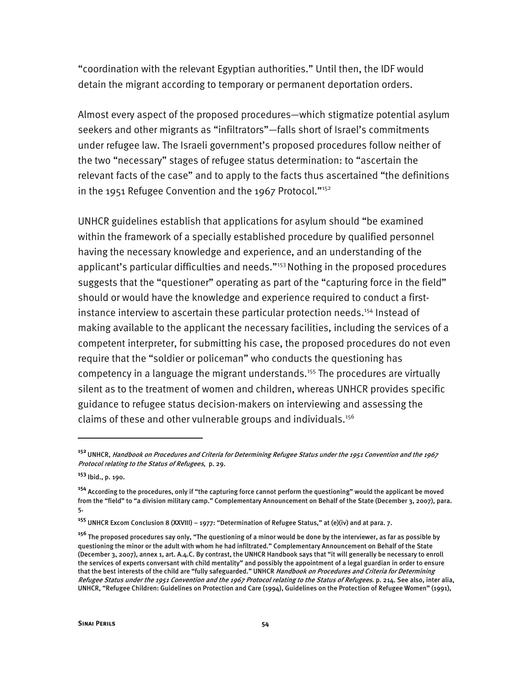"coordination with the relevant Egyptian authorities." Until then, the IDF would detain the migrant according to temporary or permanent deportation orders.

Almost every aspect of the proposed procedures—which stigmatize potential asylum seekers and other migrants as "infiltrators"—falls short of Israel's commitments under refugee law. The Israeli government's proposed procedures follow neither of the two "necessary" stages of refugee status determination: to "ascertain the relevant facts of the case" and to apply to the facts thus ascertained "the definitions in the 1951 Refugee Convention and the 1967 Protocol."<sup>152</sup>

UNHCR guidelines establish that applications for asylum should "be examined within the framework of a specially established procedure by qualified personnel having the necessary knowledge and experience, and an understanding of the applicant's particular difficulties and needs."<sup>153</sup> Nothing in the proposed procedures suggests that the "questioner" operating as part of the "capturing force in the field" should or would have the knowledge and experience required to conduct a firstinstance interview to ascertain these particular protection needs.<sup>154</sup> Instead of making available to the applicant the necessary facilities, including the services of a competent interpreter, for submitting his case, the proposed procedures do not even require that the "soldier or policeman" who conducts the questioning has competency in a language the migrant understands.<sup>155</sup> The procedures are virtually silent as to the treatment of women and children, whereas UNHCR provides specific guidance to refugee status decision-makers on interviewing and assessing the claims of these and other vulnerable groups and individuals.<sup>156</sup>

**<sup>152</sup>**UNHCR, Handbook on Procedures and Criteria for Determining Refugee Status under the 1951 Convention and the 1967 Protocol relating to the Status of Refugees, p. 29.

**<sup>153</sup>** Ibid., p. 190.

**<sup>154</sup>** According to the procedures, only if "the capturing force cannot perform the questioning" would the applicant be moved from the "field" to "a division military camp." Complementary Announcement on Behalf of the State (December 3, 2007), para. 5.

**<sup>155</sup>** UNHCR Excom Conclusion 8 (XXVIII) – 1977: "Determination of Refugee Status," at (e)(iv) and at para. 7.

**<sup>156</sup>** The proposed procedures say only, "The questioning of a minor would be done by the interviewer, as far as possible by questioning the minor or the adult with whom he had infiltrated." Complementary Announcement on Behalf of the State (December 3, 2007), annex 1, art. A.4.C. By contrast, the UNHCR Handbook says that "it will generally be necessary to enroll the services of experts conversant with child mentality" and possibly the appointment of a legal guardian in order to ensure that the best interests of the child are "fully safeguarded." UNHCR Handbook on Procedures and Criteria for Determining Refugee Status under the 1951 Convention and the 1967 Protocol relating to the Status of Refugees. p. 214. See also, inter alia, UNHCR, "Refugee Children: Guidelines on Protection and Care (1994), Guidelines on the Protection of Refugee Women" (1991),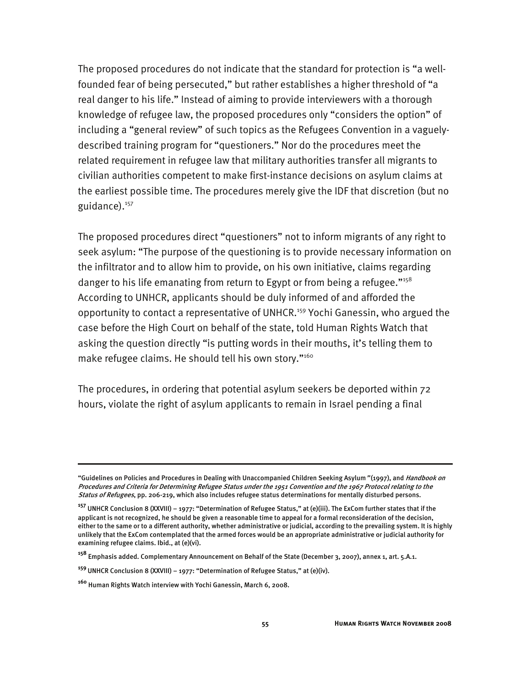The proposed procedures do not indicate that the standard for protection is "a wellfounded fear of being persecuted," but rather establishes a higher threshold of "a real danger to his life." Instead of aiming to provide interviewers with a thorough knowledge of refugee law, the proposed procedures only "considers the option" of including a "general review" of such topics as the Refugees Convention in a vaguelydescribed training program for "questioners." Nor do the procedures meet the related requirement in refugee law that military authorities transfer all migrants to civilian authorities competent to make first-instance decisions on asylum claims at the earliest possible time. The procedures merely give the IDF that discretion (but no guidance).<sup>157</sup>

The proposed procedures direct "questioners" not to inform migrants of any right to seek asylum: "The purpose of the questioning is to provide necessary information on the infiltrator and to allow him to provide, on his own initiative, claims regarding danger to his life emanating from return to Egypt or from being a refugee."<sup>158</sup> According to UNHCR, applicants should be duly informed of and afforded the opportunity to contact a representative of UNHCR.159 Yochi Ganessin, who argued the case before the High Court on behalf of the state, told Human Rights Watch that asking the question directly "is putting words in their mouths, it's telling them to make refugee claims. He should tell his own story."<sup>160</sup>

The procedures, in ordering that potential asylum seekers be deported within 72 hours, violate the right of asylum applicants to remain in Israel pending a final

<sup>&</sup>quot;Guidelines on Policies and Procedures in Dealing with Unaccompanied Children Seeking Asylum" (1997), and Handbook on Procedures and Criteria for Determining Refugee Status under the 1951 Convention and the 1967 Protocol relating to the Status of Refugees, pp. 206-219, which also includes refugee status determinations for mentally disturbed persons.

**<sup>157</sup>** UNHCR Conclusion 8 (XXVIII) – 1977: "Determination of Refugee Status," at (e)(iii). The ExCom further states that if the applicant is not recognized, he should be given a reasonable time to appeal for a formal reconsideration of the decision, either to the same or to a different authority, whether administrative or judicial, according to the prevailing system. It is highly unlikely that the ExCom contemplated that the armed forces would be an appropriate administrative or judicial authority for examining refugee claims. Ibid., at (e)(vi).

**<sup>158</sup>** Emphasis added. Complementary Announcement on Behalf of the State (December 3, 2007), annex 1, art. 5.A.1.

**<sup>159</sup>**UNHCR Conclusion 8 (XXVIII) – 1977: "Determination of Refugee Status," at (e)(iv).

**<sup>160</sup>** Human Rights Watch interview with Yochi Ganessin, March 6, 2008.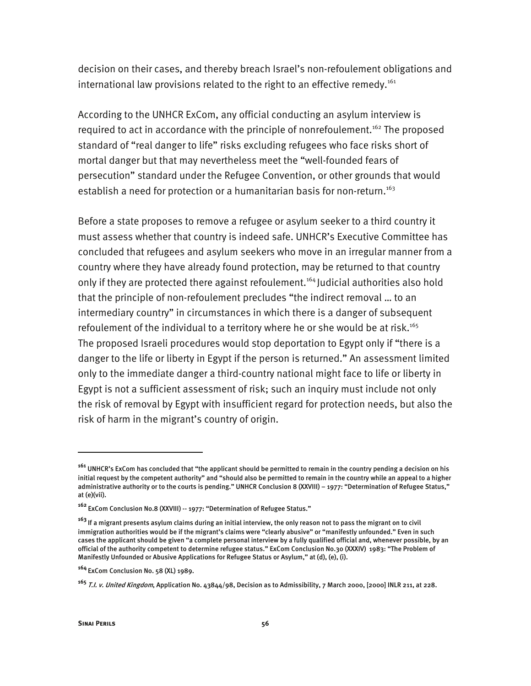decision on their cases, and thereby breach Israel's non-refoulement obligations and international law provisions related to the right to an effective remedy.<sup>161</sup>

According to the UNHCR ExCom, any official conducting an asylum interview is required to act in accordance with the principle of nonrefoulement.<sup>162</sup> The proposed standard of "real danger to life" risks excluding refugees who face risks short of mortal danger but that may nevertheless meet the "well-founded fears of persecution" standard under the Refugee Convention, or other grounds that would establish a need for protection or a humanitarian basis for non-return.<sup>163</sup>

Before a state proposes to remove a refugee or asylum seeker to a third country it must assess whether that country is indeed safe. UNHCR's Executive Committee has concluded that refugees and asylum seekers who move in an irregular manner from a country where they have already found protection, may be returned to that country only if they are protected there against refoulement.<sup>164</sup> Judicial authorities also hold that the principle of non-refoulement precludes "the indirect removal … to an intermediary country" in circumstances in which there is a danger of subsequent refoulement of the individual to a territory where he or she would be at risk.<sup>165</sup> The proposed Israeli procedures would stop deportation to Egypt only if "there is a danger to the life or liberty in Egypt if the person is returned." An assessment limited only to the immediate danger a third-country national might face to life or liberty in Egypt is not a sufficient assessment of risk; such an inquiry must include not only the risk of removal by Egypt with insufficient regard for protection needs, but also the risk of harm in the migrant's country of origin.

**<sup>161</sup>** UNHCR's ExCom has concluded that "the applicant should be permitted to remain in the country pending a decision on his initial request by the competent authority" and "should also be permitted to remain in the country while an appeal to a higher administrative authority or to the courts is pending." UNHCR Conclusion 8 (XXVIII) – 1977: "Determination of Refugee Status," at (e)(vii).

**<sup>162</sup>**ExCom Conclusion No.8 (XXVIII) -- 1977: "Determination of Refugee Status."

**<sup>163</sup>**If a migrant presents asylum claims during an initial interview, the only reason not to pass the migrant on to civil immigration authorities would be if the migrant's claims were "clearly abusive" or "manifestly unfounded." Even in such cases the applicant should be given "a complete personal interview by a fully qualified official and, whenever possible, by an official of the authority competent to determine refugee status." ExCom Conclusion No.30 (XXXIV) 1983: "The Problem of Manifestly Unfounded or Abusive Applications for Refugee Status or Asylum," at (d), (e), (i).

**<sup>164</sup>**ExCom Conclusion No. 58 (XL) 1989.

**<sup>165</sup>**T.I. v. United Kingdom, Application No. 43844/98, Decision as to Admissibility, 7 March 2000, [2000] INLR 211, at 228.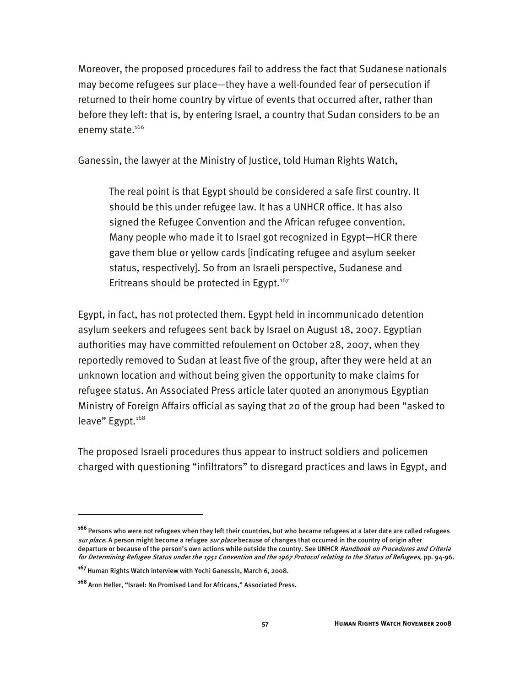Moreover, the proposed procedures fail to address the fact that Sudanese nationals may become refugees sur place—they have a well-founded fear of persecution if returned to their home country by virtue of events that occurred after, rather than before they left: that is, by entering Israel, a country that Sudan considers to be an enemy state.<sup>166</sup>

Ganessin, the lawyer at the Ministry of Justice, told Human Rights Watch,

The real point is that Egypt should be considered a safe first country. It should be this under refugee law. It has a UNHCR office. It has also signed the Refugee Convention and the African refugee convention. Many people who made it to Israel got recognized in Egypt—HCR there gave them blue or yellow cards [indicating refugee and asylum seeker status, respectively]. So from an Israeli perspective, Sudanese and Eritreans should be protected in Egypt.<sup>167</sup>

Egypt, in fact, has not protected them. Egypt held in incommunicado detention asylum seekers and refugees sent back by Israel on August 18, 2007. Egyptian authorities may have committed refoulement on October 28, 2007, when they reportedly removed to Sudan at least five of the group, after they were held at an unknown location and without being given the opportunity to make claims for refugee status. An Associated Press article later quoted an anonymous Egyptian Ministry of Foreign Affairs official as saying that 20 of the group had been "asked to leave" Egypt.<sup>168</sup>

The proposed Israeli procedures thus appear to instruct soldiers and policemen charged with questioning "infiltrators" to disregard practices and laws in Egypt, and

**<sup>166</sup>**Persons who were not refugees when they left their countries, but who became refugees at a later date are called refugees sur place. A person might become a refugee sur place because of changes that occurred in the country of origin after departure or because of the person's own actions while outside the country. See UNHCR Handbook on Procedures and Criteria for Determining Refugee Status under the 1951 Convention and the 1967 Protocol relating to the Status of Refugees, pp. 94-96.

**<sup>167</sup>**Human Rights Watch interview with Yochi Ganessin, March 6, 2008.

**<sup>168</sup>**Aron Heller, "Israel: No Promised Land for Africans," Associated Press.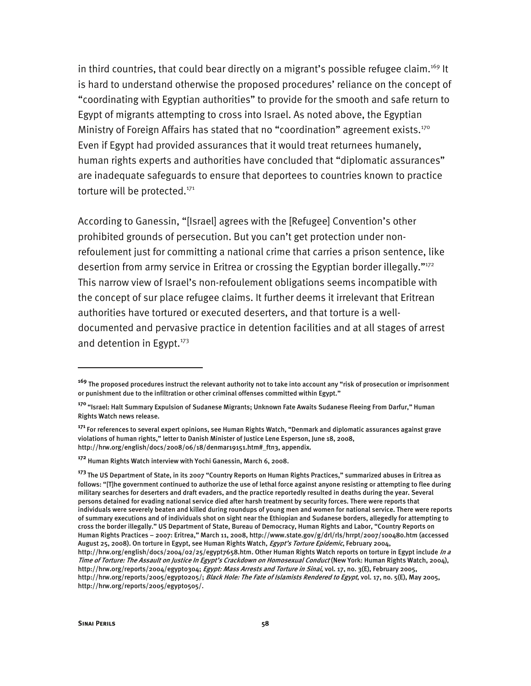in third countries, that could bear directly on a migrant's possible refugee claim.<sup>169</sup> It is hard to understand otherwise the proposed procedures' reliance on the concept of "coordinating with Egyptian authorities" to provide for the smooth and safe return to Egypt of migrants attempting to cross into Israel. As noted above, the Egyptian Ministry of Foreign Affairs has stated that no "coordination" agreement exists.<sup>170</sup> Even if Egypt had provided assurances that it would treat returnees humanely, human rights experts and authorities have concluded that "diplomatic assurances" are inadequate safeguards to ensure that deportees to countries known to practice torture will be protected.<sup>171</sup>

According to Ganessin, "[Israel] agrees with the [Refugee] Convention's other prohibited grounds of persecution. But you can't get protection under nonrefoulement just for committing a national crime that carries a prison sentence, like desertion from army service in Eritrea or crossing the Egyptian border illegally."172 This narrow view of Israel's non-refoulement obligations seems incompatible with the concept of sur place refugee claims. It further deems it irrelevant that Eritrean authorities have tortured or executed deserters, and that torture is a welldocumented and pervasive practice in detention facilities and at all stages of arrest and detention in Egypt. $173$ 

**<sup>169</sup>** The proposed procedures instruct the relevant authority not to take into account any "risk of prosecution or imprisonment or punishment due to the infiltration or other criminal offenses committed within Egypt."

**<sup>170</sup>**"Israel: Halt Summary Expulsion of Sudanese Migrants; Unknown Fate Awaits Sudanese Fleeing From Darfur," Human Rights Watch news release.

**<sup>171</sup>**For references to several expert opinions, see Human Rights Watch, "Denmark and diplomatic assurances against grave violations of human rights," letter to Danish Minister of Justice Lene Esperson, June 18, 2008, http://hrw.org/english/docs/2008/06/18/denmar19151.htm#\_ftn3, appendix.

**<sup>172</sup>** Human Rights Watch interview with Yochi Ganessin, March 6, 2008.

**<sup>173</sup>**The US Department of State, in its 2007 "Country Reports on Human Rights Practices," summarized abuses in Eritrea as follows: "[T]he government continued to authorize the use of lethal force against anyone resisting or attempting to flee during military searches for deserters and draft evaders, and the practice reportedly resulted in deaths during the year. Several persons detained for evading national service died after harsh treatment by security forces. There were reports that individuals were severely beaten and killed during roundups of young men and women for national service. There were reports of summary executions and of individuals shot on sight near the Ethiopian and Sudanese borders, allegedly for attempting to cross the border illegally." US Department of State, Bureau of Democracy, Human Rights and Labor, "Country Reports on Human Rights Practices – 2007: Eritrea," March 11, 2008, http://www.state.gov/g/drl/rls/hrrpt/2007/100480.htm (accessed August 25, 2008). On torture in Egypt, see Human Rights Watch, Egypt's Torture Epidemic, February 2004, http://hrw.org/english/docs/2004/02/25/egypt7658.htm. Other Human Rights Watch reports on torture in Egypt include In a Time of Torture: The Assault on Justice In Egypt's Crackdown on Homosexual Conduct (New York: Human Rights Watch, 2004), http://hrw.org/reports/2004/egypt0304; Egypt: Mass Arrests and Torture in Sinai, vol. 17, no. 3(E), February 2005, http://hrw.org/reports/2005/egypt0205/; Black Hole: The Fate of Islamists Rendered to Egypt, vol. 17, no. 5(E), May 2005, http://hrw.org/reports/2005/egypt0505/.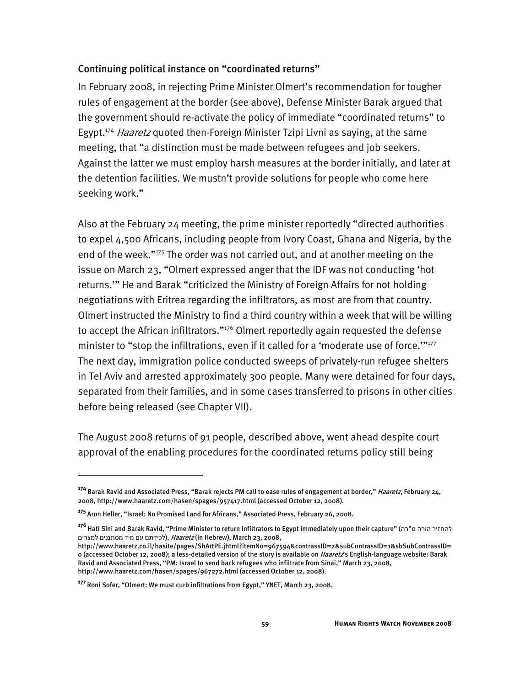#### Continuing political instance on "coordinated returns"

In February 2008, in rejecting Prime Minister Olmert's recommendation for tougher rules of engagement at the border (see above), Defense Minister Barak argued that the government should re-activate the policy of immediate "coordinated returns" to Egypt.<sup>174</sup> Haaretz quoted then-Foreign Minister Tzipi Livni as saying, at the same meeting, that "a distinction must be made between refugees and job seekers. Against the latter we must employ harsh measures at the border initially, and later at the detention facilities. We mustn't provide solutions for people who come here seeking work."

Also at the February 24 meeting, the prime minister reportedly "directed authorities to expel 4,500 Africans, including people from Ivory Coast, Ghana and Nigeria, by the end of the week."175 The order was not carried out, and at another meeting on the issue on March 23, "Olmert expressed anger that the IDF was not conducting 'hot returns.'" He and Barak "criticized the Ministry of Foreign Affairs for not holding negotiations with Eritrea regarding the infiltrators, as most are from that country. Olmert instructed the Ministry to find a third country within a week that will be willing to accept the African infiltrators." $176$  Olmert reportedly again requested the defense minister to "stop the infiltrations, even if it called for a 'moderate use of force.""<sup>177</sup> The next day, immigration police conducted sweeps of privately-run refugee shelters in Tel Aviv and arrested approximately 300 people. Many were detained for four days, separated from their families, and in some cases transferred to prisons in other cities before being released (see Chapter VII).

The August 2008 returns of 91 people, described above, went ahead despite court approval of the enabling procedures for the coordinated returns policy still being

**<sup>174</sup>**Barak Ravid and Associated Press, "Barak rejects PM call to ease rules of engagement at border," Haaretz, February 24, 2008, http://www.haaretz.com/hasen/spages/957417.html (accessed October 12, 2008).

**<sup>175</sup>**Aron Heller, "Israel: No Promised Land for Africans," Associated Press, February 26, 2008.

**<sup>176</sup>**Hati Sini and Barak Ravid, "Prime Minister to return infiltrators to Egypt immediately upon their capture" (רה"מ הורה להחזיר לכידתם עם מיד מסתננים למצרים), *Haaretz* (in Hebrew), March 23, 2008,

http://www.haaretz.co.il/hasite/pages/ShArtPE.jhtml?itemNo=967594&contrassID=2&subContrassID=1&sbSubContrassID= 0 (accessed October 12, 2008); a less-detailed version of the story is available on *Haaretz*'s English-language website: Barak Ravid and Associated Press, "PM: Israel to send back refugees who infiltrate from Sinai," March 23, 2008, http://www.haaretz.com/hasen/spages/967272.html (accessed October 12, 2008).

**<sup>177</sup>**Roni Sofer, "Olmert: We must curb infiltrations from Egypt," YNET, March 23, 2008.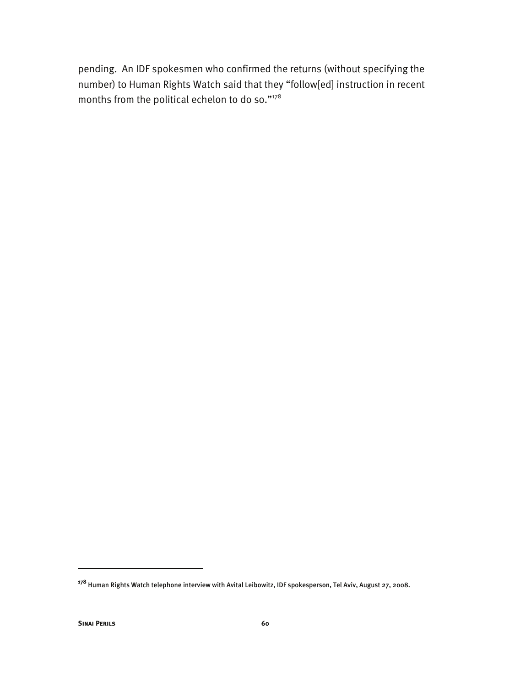pending. An IDF spokesmen who confirmed the returns (without specifying the number) to Human Rights Watch said that they "follow[ed] instruction in recent months from the political echelon to do so."178

**<sup>178</sup>** Human Rights Watch telephone interview with Avital Leibowitz, IDF spokesperson, Tel Aviv, August 27, 2008.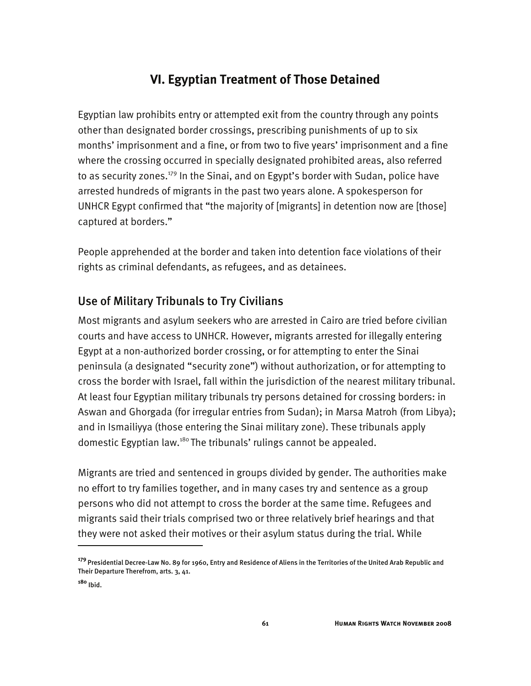# **VI. Egyptian Treatment of Those Detained**

Egyptian law prohibits entry or attempted exit from the country through any points other than designated border crossings, prescribing punishments of up to six months' imprisonment and a fine, or from two to five years' imprisonment and a fine where the crossing occurred in specially designated prohibited areas, also referred to as security zones.<sup>179</sup> In the Sinai, and on Egypt's border with Sudan, police have arrested hundreds of migrants in the past two years alone. A spokesperson for UNHCR Egypt confirmed that "the majority of [migrants] in detention now are [those] captured at borders."

People apprehended at the border and taken into detention face violations of their rights as criminal defendants, as refugees, and as detainees.

# Use of Military Tribunals to Try Civilians

Most migrants and asylum seekers who are arrested in Cairo are tried before civilian courts and have access to UNHCR. However, migrants arrested for illegally entering Egypt at a non-authorized border crossing, or for attempting to enter the Sinai peninsula (a designated "security zone") without authorization, or for attempting to cross the border with Israel, fall within the jurisdiction of the nearest military tribunal. At least four Egyptian military tribunals try persons detained for crossing borders: in Aswan and Ghorgada (for irregular entries from Sudan); in Marsa Matroh (from Libya); and in Ismailiyya (those entering the Sinai military zone). These tribunals apply domestic Egyptian law.<sup>180</sup> The tribunals' rulings cannot be appealed.

Migrants are tried and sentenced in groups divided by gender. The authorities make no effort to try families together, and in many cases try and sentence as a group persons who did not attempt to cross the border at the same time. Refugees and migrants said their trials comprised two or three relatively brief hearings and that they were not asked their motives or their asylum status during the trial. While

**<sup>179</sup>**Presidential Decree-Law No. 89 for 1960, Entry and Residence of Aliens in the Territories of the United Arab Republic and Their Departure Therefrom, arts. 3, 41.

**<sup>180</sup>** Ibid.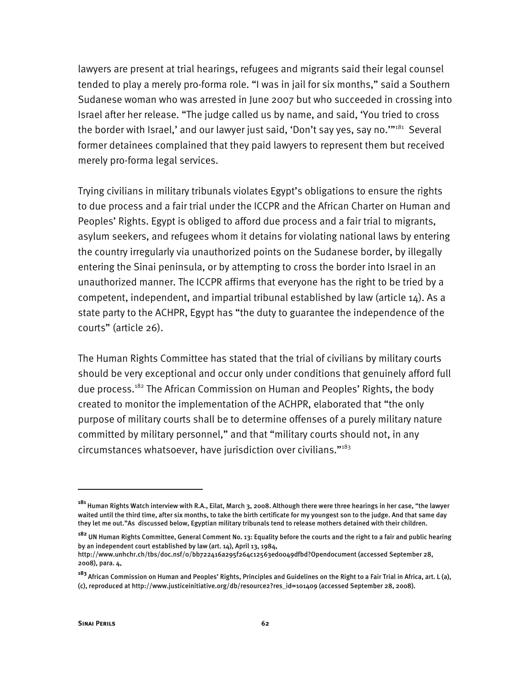lawyers are present at trial hearings, refugees and migrants said their legal counsel tended to play a merely pro-forma role. "I was in jail for six months," said a Southern Sudanese woman who was arrested in June 2007 but who succeeded in crossing into Israel after her release. "The judge called us by name, and said, 'You tried to cross the border with Israel,' and our lawyer just said, 'Don't say yes, say no."<sup>181</sup> Several former detainees complained that they paid lawyers to represent them but received merely pro-forma legal services.

Trying civilians in military tribunals violates Egypt's obligations to ensure the rights to due process and a fair trial under the ICCPR and the African Charter on Human and Peoples' Rights. Egypt is obliged to afford due process and a fair trial to migrants, asylum seekers, and refugees whom it detains for violating national laws by entering the country irregularly via unauthorized points on the Sudanese border, by illegally entering the Sinai peninsula, or by attempting to cross the border into Israel in an unauthorized manner. The ICCPR affirms that everyone has the right to be tried by a competent, independent, and impartial tribunal established by law (article 14). As a state party to the ACHPR, Egypt has "the duty to guarantee the independence of the courts" (article 26).

The Human Rights Committee has stated that the trial of civilians by military courts should be very exceptional and occur only under conditions that genuinely afford full due process.<sup>182</sup> The African Commission on Human and Peoples' Rights, the body created to monitor the implementation of the ACHPR, elaborated that "the only purpose of military courts shall be to determine offenses of a purely military nature committed by military personnel," and that "military courts should not, in any circumstances whatsoever, have jurisdiction over civilians."183

**<sup>181</sup>**Human Rights Watch interview with R.A., Eilat, March 3, 2008. Although there were three hearings in her case, "the lawyer waited until the third time, after six months, to take the birth certificate for my youngest son to the judge. And that same day they let me out."As discussed below, Egyptian military tribunals tend to release mothers detained with their children.

**<sup>182</sup>** UN Human Rights Committee, General Comment No. 13: Equality before the courts and the right to a fair and public hearing by an independent court established by law (art. 14), April 13, 1984,

http://www.unhchr.ch/tbs/doc.nsf/0/bb722416a295f264c12563ed0049dfbd?Opendocument (accessed September 28, 2008), para. 4,

**<sup>183</sup>**African Commission on Human and Peoples' Rights, Principles and Guidelines on the Right to a Fair Trial in Africa, art. L (a), (c), reproduced at http://www.justiceinitiative.org/db/resource2?res\_id=101409 (accessed September 28, 2008).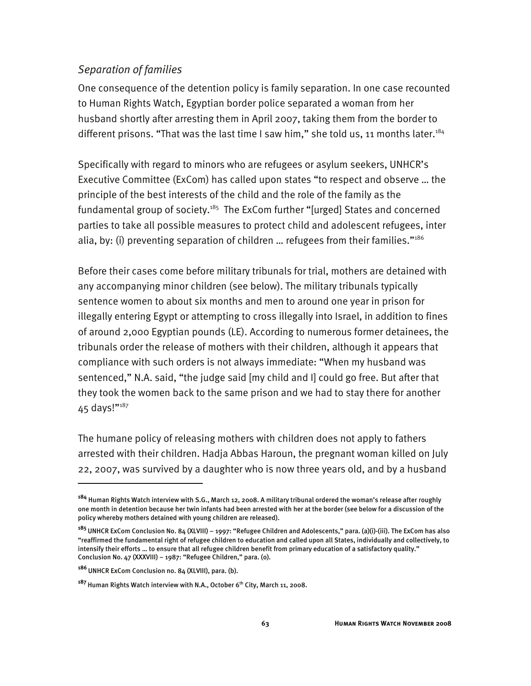# *Separation of families*

One consequence of the detention policy is family separation. In one case recounted to Human Rights Watch, Egyptian border police separated a woman from her husband shortly after arresting them in April 2007, taking them from the border to different prisons. "That was the last time I saw him," she told us, 11 months later.<sup>184</sup>

Specifically with regard to minors who are refugees or asylum seekers, UNHCR's Executive Committee (ExCom) has called upon states "to respect and observe … the principle of the best interests of the child and the role of the family as the fundamental group of society.<sup>185</sup> The ExCom further "[urged] States and concerned parties to take all possible measures to protect child and adolescent refugees, inter alia, by: (i) preventing separation of children … refugees from their families."186

Before their cases come before military tribunals for trial, mothers are detained with any accompanying minor children (see below). The military tribunals typically sentence women to about six months and men to around one year in prison for illegally entering Egypt or attempting to cross illegally into Israel, in addition to fines of around 2,000 Egyptian pounds (LE). According to numerous former detainees, the tribunals order the release of mothers with their children, although it appears that compliance with such orders is not always immediate: "When my husband was sentenced," N.A. said, "the judge said [my child and I] could go free. But after that they took the women back to the same prison and we had to stay there for another 45 days!" $^{187}$ 

The humane policy of releasing mothers with children does not apply to fathers arrested with their children. Hadja Abbas Haroun, the pregnant woman killed on July 22, 2007, was survived by a daughter who is now three years old, and by a husband

**<sup>184</sup>** Human Rights Watch interview with S.G., March 12, 2008. A military tribunal ordered the woman's release after roughly one month in detention because her twin infants had been arrested with her at the border (see below for a discussion of the policy whereby mothers detained with young children are released).

**<sup>185</sup>**UNHCR ExCom Conclusion No. 84 (XLVIII) – 1997: "Refugee Children and Adolescents," para. (a)(i)-(iii). The ExCom has also "reaffirmed the fundamental right of refugee children to education and called upon all States, individually and collectively, to intensify their efforts … to ensure that all refugee children benefit from primary education of a satisfactory quality." Conclusion No. 47 (XXXVIII) – 1987: "Refugee Children," para. (o).

**<sup>186</sup>**UNHCR ExCom Conclusion no. 84 (XLVIII), para. (b).

<sup>&</sup>lt;sup>187</sup> Human Rights Watch interview with N.A., October 6<sup>th</sup> City, March 11, 2008.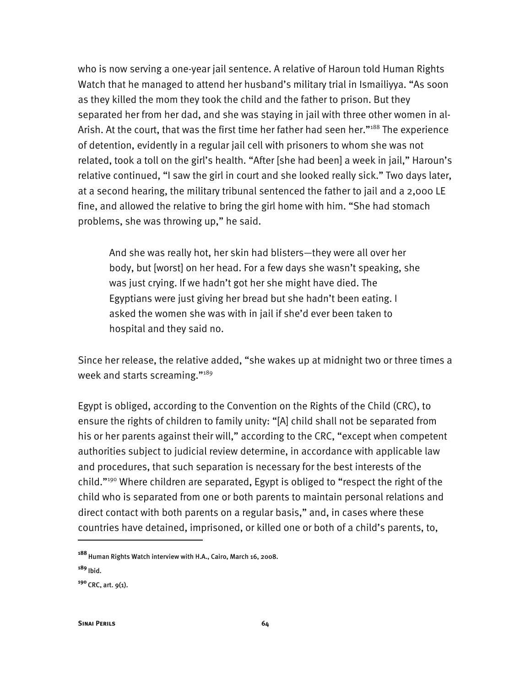who is now serving a one-year jail sentence. A relative of Haroun told Human Rights Watch that he managed to attend her husband's military trial in Ismailiyya. "As soon as they killed the mom they took the child and the father to prison. But they separated her from her dad, and she was staying in jail with three other women in al-Arish. At the court, that was the first time her father had seen her."<sup>188</sup> The experience of detention, evidently in a regular jail cell with prisoners to whom she was not related, took a toll on the girl's health. "After [she had been] a week in jail," Haroun's relative continued, "I saw the girl in court and she looked really sick." Two days later, at a second hearing, the military tribunal sentenced the father to jail and a 2,000 LE fine, and allowed the relative to bring the girl home with him. "She had stomach problems, she was throwing up," he said.

And she was really hot, her skin had blisters—they were all over her body, but [worst] on her head. For a few days she wasn't speaking, she was just crying. If we hadn't got her she might have died. The Egyptians were just giving her bread but she hadn't been eating. I asked the women she was with in jail if she'd ever been taken to hospital and they said no.

Since her release, the relative added, "she wakes up at midnight two or three times a week and starts screaming."<sup>189</sup>

Egypt is obliged, according to the Convention on the Rights of the Child (CRC), to ensure the rights of children to family unity: "[A] child shall not be separated from his or her parents against their will," according to the CRC, "except when competent authorities subject to judicial review determine, in accordance with applicable law and procedures, that such separation is necessary for the best interests of the child."<sup>190</sup> Where children are separated, Egypt is obliged to "respect the right of the child who is separated from one or both parents to maintain personal relations and direct contact with both parents on a regular basis," and, in cases where these countries have detained, imprisoned, or killed one or both of a child's parents, to,

**<sup>188</sup>**Human Rights Watch interview with H.A., Cairo, March 16, 2008.

**<sup>189</sup>**Ibid.

**<sup>190</sup>**CRC, art. 9(1).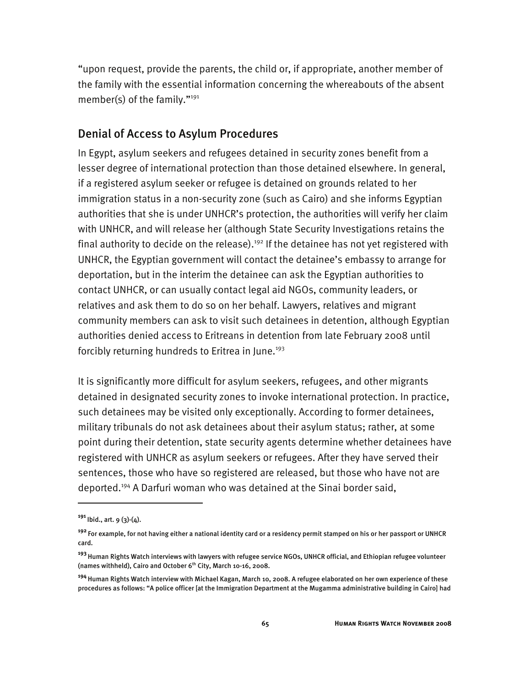"upon request, provide the parents, the child or, if appropriate, another member of the family with the essential information concerning the whereabouts of the absent member(s) of the family."<sup>191</sup>

## Denial of Access to Asylum Procedures

In Egypt, asylum seekers and refugees detained in security zones benefit from a lesser degree of international protection than those detained elsewhere. In general, if a registered asylum seeker or refugee is detained on grounds related to her immigration status in a non-security zone (such as Cairo) and she informs Egyptian authorities that she is under UNHCR's protection, the authorities will verify her claim with UNHCR, and will release her (although State Security Investigations retains the final authority to decide on the release).<sup>192</sup> If the detainee has not yet registered with UNHCR, the Egyptian government will contact the detainee's embassy to arrange for deportation, but in the interim the detainee can ask the Egyptian authorities to contact UNHCR, or can usually contact legal aid NGOs, community leaders, or relatives and ask them to do so on her behalf. Lawyers, relatives and migrant community members can ask to visit such detainees in detention, although Egyptian authorities denied access to Eritreans in detention from late February 2008 until forcibly returning hundreds to Eritrea in June.<sup>193</sup>

It is significantly more difficult for asylum seekers, refugees, and other migrants detained in designated security zones to invoke international protection. In practice, such detainees may be visited only exceptionally. According to former detainees, military tribunals do not ask detainees about their asylum status; rather, at some point during their detention, state security agents determine whether detainees have registered with UNHCR as asylum seekers or refugees. After they have served their sentences, those who have so registered are released, but those who have not are deported.194 A Darfuri woman who was detained at the Sinai border said,

**<sup>191</sup>**Ibid., art. 9 (3)-(4).

**<sup>192</sup>**For example, for not having either a national identity card or a residency permit stamped on his or her passport or UNHCR card.

**<sup>193</sup>**Human Rights Watch interviews with lawyers with refugee service NGOs, UNHCR official, and Ethiopian refugee volunteer (names withheld), Cairo and October 6<sup>th</sup> City, March 10-16, 2008.

**<sup>194</sup>**Human Rights Watch interview with Michael Kagan, March 10, 2008. A refugee elaborated on her own experience of these procedures as follows: "A police officer [at the Immigration Department at the Mugamma administrative building in Cairo] had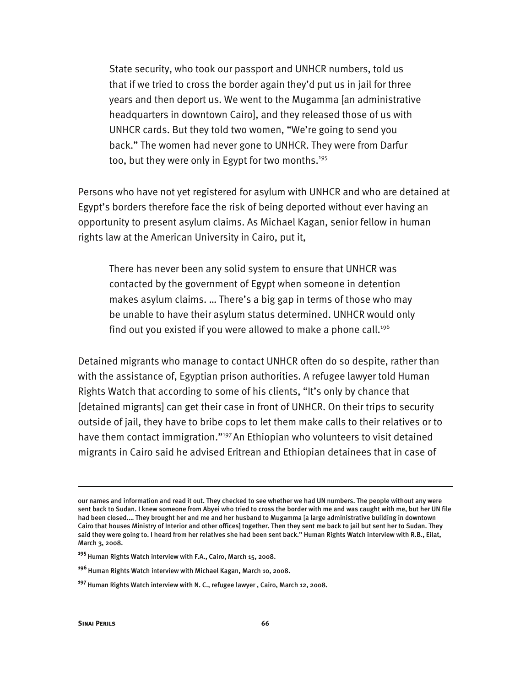State security, who took our passport and UNHCR numbers, told us that if we tried to cross the border again they'd put us in jail for three years and then deport us. We went to the Mugamma [an administrative headquarters in downtown Cairo], and they released those of us with UNHCR cards. But they told two women, "We're going to send you back." The women had never gone to UNHCR. They were from Darfur too, but they were only in Egypt for two months.<sup>195</sup>

Persons who have not yet registered for asylum with UNHCR and who are detained at Egypt's borders therefore face the risk of being deported without ever having an opportunity to present asylum claims. As Michael Kagan, senior fellow in human rights law at the American University in Cairo, put it,

There has never been any solid system to ensure that UNHCR was contacted by the government of Egypt when someone in detention makes asylum claims. … There's a big gap in terms of those who may be unable to have their asylum status determined. UNHCR would only find out you existed if you were allowed to make a phone call.<sup>196</sup>

Detained migrants who manage to contact UNHCR often do so despite, rather than with the assistance of, Egyptian prison authorities. A refugee lawyer told Human Rights Watch that according to some of his clients, "It's only by chance that [detained migrants] can get their case in front of UNHCR. On their trips to security outside of jail, they have to bribe cops to let them make calls to their relatives or to have them contact immigration."<sup>197</sup> An Ethiopian who volunteers to visit detained migrants in Cairo said he advised Eritrean and Ethiopian detainees that in case of

our names and information and read it out. They checked to see whether we had UN numbers. The people without any were sent back to Sudan. I knew someone from Abyei who tried to cross the border with me and was caught with me, but her UN file had been closed.… They brought her and me and her husband to Mugamma [a large administrative building in downtown Cairo that houses Ministry of Interior and other offices] together. Then they sent me back to jail but sent her to Sudan. They said they were going to. I heard from her relatives she had been sent back." Human Rights Watch interview with R.B., Eilat, March 3, 2008.

<sup>&</sup>lt;sup>195</sup> Human Rights Watch interview with F.A., Cairo, March 15, 2008.

**<sup>196</sup>**Human Rights Watch interview with Michael Kagan, March 10, 2008.

**<sup>197</sup>**Human Rights Watch interview with N. C., refugee lawyer , Cairo, March 12, 2008.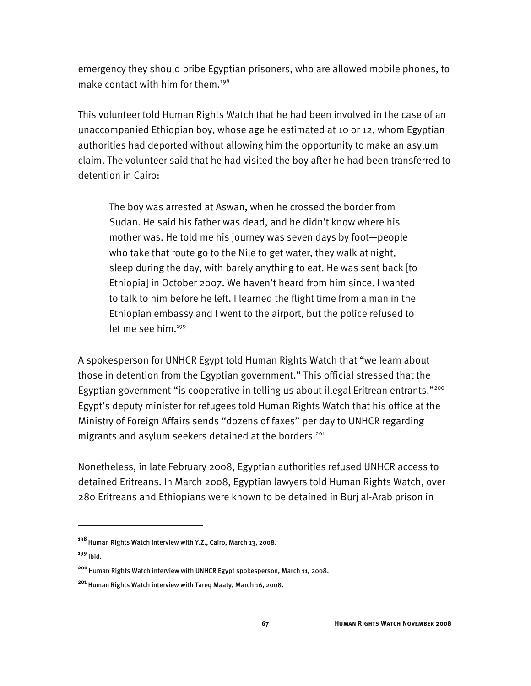emergency they should bribe Egyptian prisoners, who are allowed mobile phones, to make contact with him for them.198

This volunteer told Human Rights Watch that he had been involved in the case of an unaccompanied Ethiopian boy, whose age he estimated at 10 or 12, whom Egyptian authorities had deported without allowing him the opportunity to make an asylum claim. The volunteer said that he had visited the boy after he had been transferred to detention in Cairo:

The boy was arrested at Aswan, when he crossed the border from Sudan. He said his father was dead, and he didn't know where his mother was. He told me his journey was seven days by foot—people who take that route go to the Nile to get water, they walk at night, sleep during the day, with barely anything to eat. He was sent back [to Ethiopia] in October 2007. We haven't heard from him since. I wanted to talk to him before he left. I learned the flight time from a man in the Ethiopian embassy and I went to the airport, but the police refused to let me see him.<sup>199</sup>

A spokesperson for UNHCR Egypt told Human Rights Watch that "we learn about those in detention from the Egyptian government." This official stressed that the Egyptian government "is cooperative in telling us about illegal Eritrean entrants."<sup>200</sup> Egypt's deputy minister for refugees told Human Rights Watch that his office at the Ministry of Foreign Affairs sends "dozens of faxes" per day to UNHCR regarding migrants and asylum seekers detained at the borders.<sup>201</sup>

Nonetheless, in late February 2008, Egyptian authorities refused UNHCR access to detained Eritreans. In March 2008, Egyptian lawyers told Human Rights Watch, over 280 Eritreans and Ethiopians were known to be detained in Burj al-Arab prison in

j

**<sup>198</sup>**Human Rights Watch interview with Y.Z., Cairo, March 13, 2008.

**<sup>199</sup>** Ibid.

**<sup>200</sup>**Human Rights Watch interview with UNHCR Egypt spokesperson, March 11, 2008.

**<sup>201</sup>** Human Rights Watch interview with Tareq Maaty, March 16, 2008.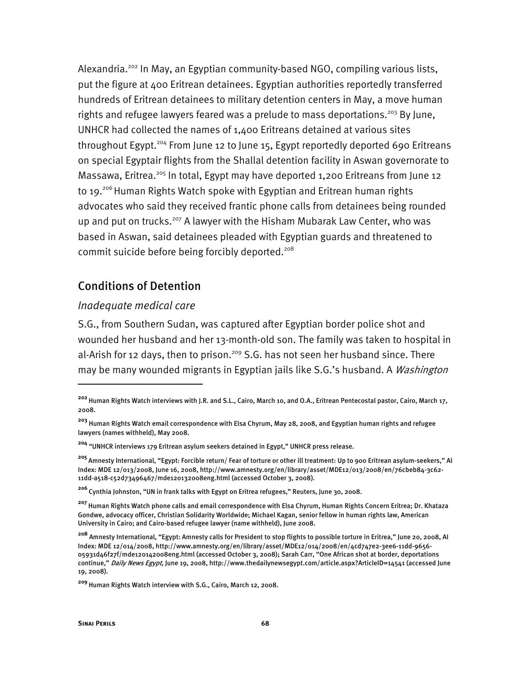Alexandria.<sup>202</sup> In May, an Egyptian community-based NGO, compiling various lists, put the figure at 400 Eritrean detainees. Egyptian authorities reportedly transferred hundreds of Eritrean detainees to military detention centers in May, a move human rights and refugee lawyers feared was a prelude to mass deportations.<sup>203</sup> By June, UNHCR had collected the names of 1,400 Eritreans detained at various sites throughout Egypt.<sup>204</sup> From June 12 to June 15, Egypt reportedly deported 690 Eritreans on special Egyptair flights from the Shallal detention facility in Aswan governorate to Massawa, Eritrea.<sup>205</sup> In total, Egypt may have deported 1,200 Eritreans from June 12 to 19.<sup>206</sup> Human Rights Watch spoke with Egyptian and Eritrean human rights advocates who said they received frantic phone calls from detainees being rounded up and put on trucks.<sup>207</sup> A lawyer with the Hisham Mubarak Law Center, who was based in Aswan, said detainees pleaded with Egyptian guards and threatened to commit suicide before being forcibly deported.<sup>208</sup>

## Conditions of Detention

#### *Inadequate medical care*

S.G., from Southern Sudan, was captured after Egyptian border police shot and wounded her husband and her 13-month-old son. The family was taken to hospital in al-Arish for 12 days, then to prison.<sup>209</sup> S.G. has not seen her husband since. There may be many wounded migrants in Egyptian jails like S.G.'s husband. A *Washington* 

**<sup>206</sup>**Cynthia Johnston, "UN in frank talks with Egypt on Eritrea refugees," Reuters, June 30, 2008.

**<sup>202</sup>**Human Rights Watch interviews with J.R. and S.L., Cairo, March 10, and O.A., Eritrean Pentecostal pastor, Cairo, March 17, 2008.

**<sup>203</sup>** Human Rights Watch email correspondence with Elsa Chyrum, May 28, 2008, and Egyptian human rights and refugee lawyers (names withheld), May 2008.

**<sup>204</sup>** "UNHCR interviews 179 Eritrean asylum seekers detained in Egypt," UNHCR press release.

**<sup>205</sup>**Amnesty International, "Egypt: Forcible return/ Fear of torture or other ill treatment: Up to 900 Eritrean asylum-seekers," AI Index: MDE 12/013/2008, June 16, 2008, http://www.amnesty.org/en/library/asset/MDE12/013/2008/en/76cbeb84-3c62- 11dd-a518-c52d73496467/mde120132008eng.html (accessed October 3, 2008).

**<sup>207</sup>**Human Rights Watch phone calls and email correspondence with Elsa Chyrum, Human Rights Concern Eritrea; Dr. Khataza Gondwe, advocacy officer, Christian Solidarity Worldwide; Michael Kagan, senior fellow in human rights law, American University in Cairo; and Cairo-based refugee lawyer (name withheld), June 2008.

**<sup>208</sup>** Amnesty International, "Egypt: Amnesty calls for President to stop flights to possible torture in Eritrea," June 20, 2008, AI Index: MDE 12/014/2008, http://www.amnesty.org/en/library/asset/MDE12/014/2008/en/4cd747e2-3ee6-11dd-9656- 05931d46f27f/mde120142008eng.html (accessed October 3, 2008); Sarah Carr, "One African shot at border, deportations continue," Daily News Egypt, June 19, 2008, http://www.thedailynewsegypt.com/article.aspx?ArticleID=14541 (accessed June 19, 2008).

**<sup>209</sup>**Human Rights Watch interview with S.G., Cairo, March 12, 2008.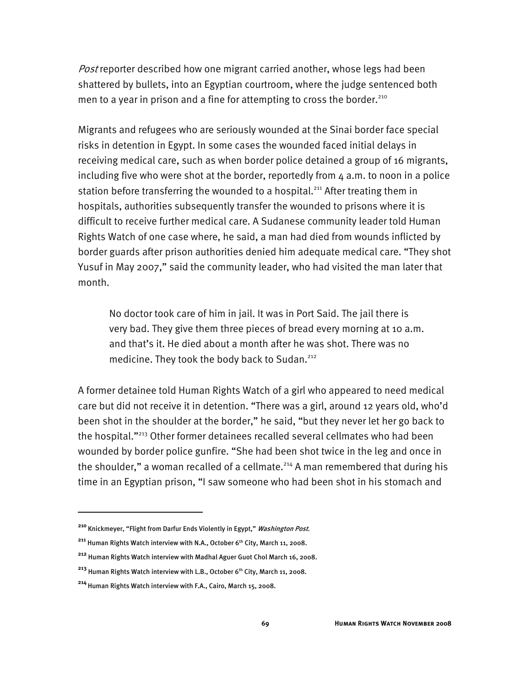Post reporter described how one migrant carried another, whose legs had been shattered by bullets, into an Egyptian courtroom, where the judge sentenced both men to a year in prison and a fine for attempting to cross the border.<sup>210</sup>

Migrants and refugees who are seriously wounded at the Sinai border face special risks in detention in Egypt. In some cases the wounded faced initial delays in receiving medical care, such as when border police detained a group of 16 migrants, including five who were shot at the border, reportedly from  $4$  a.m. to noon in a police station before transferring the wounded to a hospital.<sup>211</sup> After treating them in hospitals, authorities subsequently transfer the wounded to prisons where it is difficult to receive further medical care. A Sudanese community leader told Human Rights Watch of one case where, he said, a man had died from wounds inflicted by border guards after prison authorities denied him adequate medical care. "They shot Yusuf in May 2007," said the community leader, who had visited the man later that month.

No doctor took care of him in jail. It was in Port Said. The jail there is very bad. They give them three pieces of bread every morning at 10 a.m. and that's it. He died about a month after he was shot. There was no medicine. They took the body back to Sudan.<sup>212</sup>

A former detainee told Human Rights Watch of a girl who appeared to need medical care but did not receive it in detention. "There was a girl, around 12 years old, who'd been shot in the shoulder at the border," he said, "but they never let her go back to the hospital."213 Other former detainees recalled several cellmates who had been wounded by border police gunfire. "She had been shot twice in the leg and once in the shoulder," a woman recalled of a cellmate.<sup>214</sup> A man remembered that during his time in an Egyptian prison, "I saw someone who had been shot in his stomach and

**<sup>210</sup>**Knickmeyer, "Flight from Darfur Ends Violently in Egypt," Washington Post.

<sup>&</sup>lt;sup>211</sup> Human Rights Watch interview with N.A., October 6<sup>th</sup> City, March 11, 2008.

**<sup>212</sup>** Human Rights Watch interview with Madhal Aguer Guot Chol March 16, 2008.

<sup>&</sup>lt;sup>213</sup> Human Rights Watch interview with L.B., October 6<sup>th</sup> City, March 11, 2008.

**<sup>214</sup>**Human Rights Watch interview with F.A., Cairo, March 15, 2008.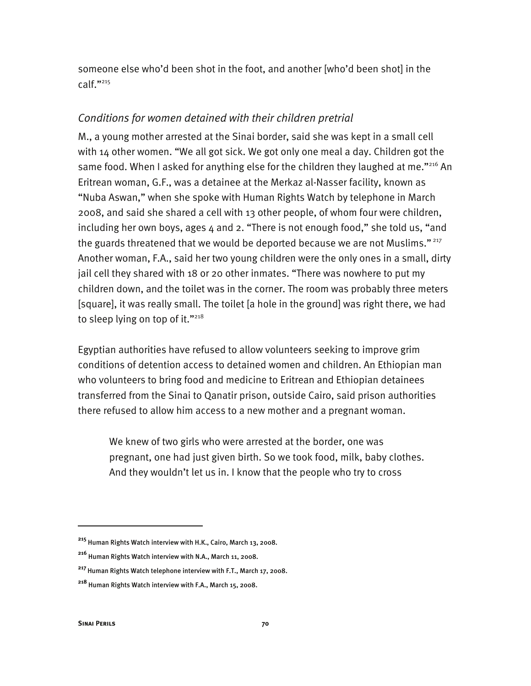someone else who'd been shot in the foot, and another [who'd been shot] in the calf."215

# *Conditions for women detained with their children pretrial*

M., a young mother arrested at the Sinai border, said she was kept in a small cell with 14 other women. "We all got sick. We got only one meal a day. Children got the same food. When I asked for anything else for the children they laughed at me."<sup>216</sup> An Eritrean woman, G.F., was a detainee at the Merkaz al-Nasser facility, known as "Nuba Aswan," when she spoke with Human Rights Watch by telephone in March 2008, and said she shared a cell with 13 other people, of whom four were children, including her own boys, ages 4 and 2. "There is not enough food," she told us, "and the guards threatened that we would be deported because we are not Muslims."<sup>217</sup> Another woman, F.A., said her two young children were the only ones in a small, dirty jail cell they shared with 18 or 20 other inmates. "There was nowhere to put my children down, and the toilet was in the corner. The room was probably three meters [square], it was really small. The toilet [a hole in the ground] was right there, we had to sleep lying on top of it."218

Egyptian authorities have refused to allow volunteers seeking to improve grim conditions of detention access to detained women and children. An Ethiopian man who volunteers to bring food and medicine to Eritrean and Ethiopian detainees transferred from the Sinai to Qanatir prison, outside Cairo, said prison authorities there refused to allow him access to a new mother and a pregnant woman.

We knew of two girls who were arrested at the border, one was pregnant, one had just given birth. So we took food, milk, baby clothes. And they wouldn't let us in. I know that the people who try to cross

j

**<sup>215</sup>** Human Rights Watch interview with H.K., Cairo, March 13, 2008.

**<sup>216</sup>** Human Rights Watch interview with N.A., March 11, 2008.

**<sup>217</sup>**Human Rights Watch telephone interview with F.T., March 17, 2008.

**<sup>218</sup>** Human Rights Watch interview with F.A., March 15, 2008.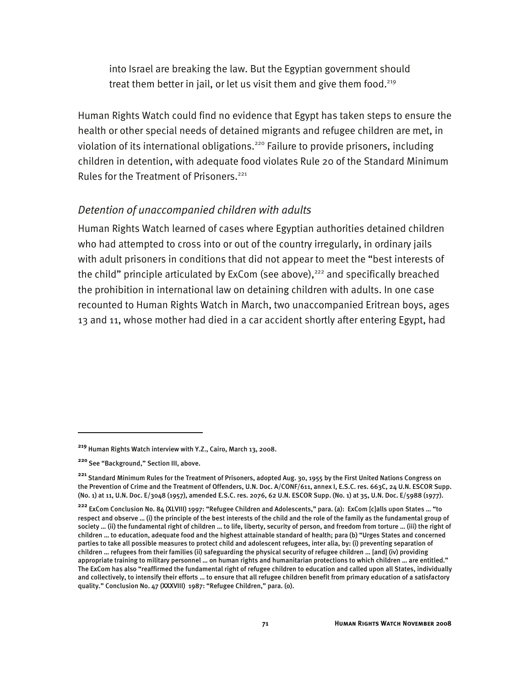into Israel are breaking the law. But the Egyptian government should treat them better in jail, or let us visit them and give them food.<sup>219</sup>

Human Rights Watch could find no evidence that Egypt has taken steps to ensure the health or other special needs of detained migrants and refugee children are met, in violation of its international obligations.<sup>220</sup> Failure to provide prisoners, including children in detention, with adequate food violates Rule 20 of the Standard Minimum Rules for the Treatment of Prisoners.<sup>221</sup>

## *Detention of unaccompanied children with adults*

Human Rights Watch learned of cases where Egyptian authorities detained children who had attempted to cross into or out of the country irregularly, in ordinary jails with adult prisoners in conditions that did not appear to meet the "best interests of the child" principle articulated by ExCom (see above), $222$  and specifically breached the prohibition in international law on detaining children with adults. In one case recounted to Human Rights Watch in March, two unaccompanied Eritrean boys, ages 13 and 11, whose mother had died in a car accident shortly after entering Egypt, had

**<sup>219</sup>** Human Rights Watch interview with Y.Z., Cairo, March 13, 2008.

**<sup>220</sup>**See "Background," Section III, above.

**<sup>221</sup>** Standard Minimum Rules for the Treatment of Prisoners, adopted Aug. 30, 1955 by the First United Nations Congress on the Prevention of Crime and the Treatment of Offenders, U.N. Doc. A/CONF/611, annex I, E.S.C. res. 663C, 24 U.N. ESCOR Supp. (No. 1) at 11, U.N. Doc. E/3048 (1957), amended E.S.C. res. 2076, 62 U.N. ESCOR Supp. (No. 1) at 35, U.N. Doc. E/5988 (1977).

**<sup>222</sup>** ExCom Conclusion No. 84 (XLVIII) 1997: "Refugee Children and Adolescents," para. (a): ExCom [c]alls upon States … "to respect and observe … (i) the principle of the best interests of the child and the role of the family as the fundamental group of society … (ii) the fundamental right of children … to life, liberty, security of person, and freedom from torture … (iii) the right of children … to education, adequate food and the highest attainable standard of health; para (b) "Urges States and concerned parties to take all possible measures to protect child and adolescent refugees, inter alia, by: (i) preventing separation of children … refugees from their families (ii) safeguarding the physical security of refugee children … [and] (iv) providing appropriate training to military personnel … on human rights and humanitarian protections to which children … are entitled." The ExCom has also "reaffirmed the fundamental right of refugee children to education and called upon all States, individually and collectively, to intensify their efforts … to ensure that all refugee children benefit from primary education of a satisfactory quality." Conclusion No. 47 (XXXVIII) 1987: "Refugee Children," para. (o).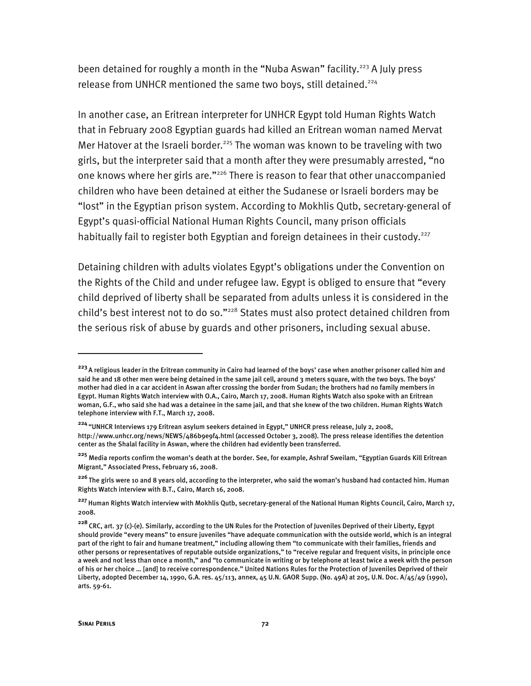been detained for roughly a month in the "Nuba Aswan" facility.<sup>223</sup> A July press release from UNHCR mentioned the same two boys, still detained.<sup>224</sup>

In another case, an Eritrean interpreter for UNHCR Egypt told Human Rights Watch that in February 2008 Egyptian guards had killed an Eritrean woman named Mervat Mer Hatover at the Israeli border.<sup>225</sup> The woman was known to be traveling with two girls, but the interpreter said that a month after they were presumably arrested, "no one knows where her girls are."226 There is reason to fear that other unaccompanied children who have been detained at either the Sudanese or Israeli borders may be "lost" in the Egyptian prison system. According to Mokhlis Qutb, secretary-general of Egypt's quasi-official National Human Rights Council, many prison officials habitually fail to register both Egyptian and foreign detainees in their custody.<sup>227</sup>

Detaining children with adults violates Egypt's obligations under the Convention on the Rights of the Child and under refugee law. Egypt is obliged to ensure that "every child deprived of liberty shall be separated from adults unless it is considered in the child's best interest not to do so."<sup>228</sup> States must also protect detained children from the serious risk of abuse by guards and other prisoners, including sexual abuse.

-

**<sup>223</sup>**A religious leader in the Eritrean community in Cairo had learned of the boys' case when another prisoner called him and said he and 18 other men were being detained in the same jail cell, around 3 meters square, with the two boys. The boys' mother had died in a car accident in Aswan after crossing the border from Sudan; the brothers had no family members in Egypt. Human Rights Watch interview with O.A., Cairo, March 17, 2008. Human Rights Watch also spoke with an Eritrean woman, G.F., who said she had was a detainee in the same jail, and that she knew of the two children. Human Rights Watch telephone interview with F.T., March 17, 2008.

**<sup>224</sup>**"UNHCR Interviews 179 Eritrean asylum seekers detained in Egypt," UNHCR press release, July 2, 2008, http://www.unhcr.org/news/NEWS/486b9e9f4.html (accessed October 3, 2008). The press release identifies the detention center as the Shalal facility in Aswan, where the children had evidently been transferred.

**<sup>225</sup>** Media reports confirm the woman's death at the border. See, for example, Ashraf Sweilam, "Egyptian Guards Kill Eritrean Migrant," Associated Press, February 16, 2008.

**<sup>226</sup>**The girls were 10 and 8 years old, according to the interpreter, who said the woman's husband had contacted him. Human Rights Watch interview with B.T., Cairo, March 16, 2008.

**<sup>227</sup>**Human Rights Watch interview with Mokhlis Qutb, secretary-general of the National Human Rights Council, Cairo, March 17, 2008.

**<sup>228</sup>**CRC, art. 37 (c)-(e). Similarly, according to the UN Rules for the Protection of Juveniles Deprived of their Liberty, Egypt should provide "every means" to ensure juveniles "have adequate communication with the outside world, which is an integral part of the right to fair and humane treatment," including allowing them "to communicate with their families, friends and other persons or representatives of reputable outside organizations," to "receive regular and frequent visits, in principle once a week and not less than once a month," and "to communicate in writing or by telephone at least twice a week with the person of his or her choice … [and] to receive correspondence." United Nations Rules for the Protection of Juveniles Deprived of their Liberty, adopted December 14, 1990, G.A. res. 45/113, annex, 45 U.N. GAOR Supp. (No. 49A) at 205, U.N. Doc. A/45/49 (1990), arts. 59-61.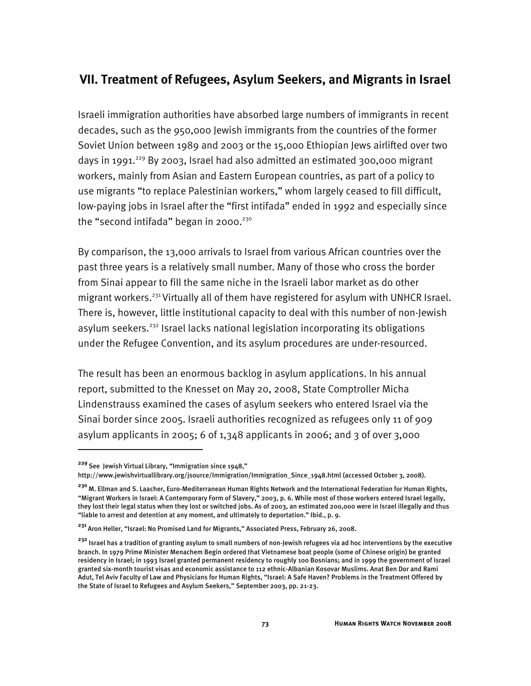# **VII. Treatment of Refugees, Asylum Seekers, and Migrants in Israel**

Israeli immigration authorities have absorbed large numbers of immigrants in recent decades, such as the 950,000 Jewish immigrants from the countries of the former Soviet Union between 1989 and 2003 or the 15,000 Ethiopian Jews airlifted over two days in 1991.<sup>229</sup> By 2003, Israel had also admitted an estimated 300,000 migrant workers, mainly from Asian and Eastern European countries, as part of a policy to use migrants "to replace Palestinian workers," whom largely ceased to fill difficult, low-paying jobs in Israel after the "first intifada" ended in 1992 and especially since the "second intifada" began in 2000. $230$ 

By comparison, the 13,000 arrivals to Israel from various African countries over the past three years is a relatively small number. Many of those who cross the border from Sinai appear to fill the same niche in the Israeli labor market as do other migrant workers.<sup>231</sup> Virtually all of them have registered for asylum with UNHCR Israel. There is, however, little institutional capacity to deal with this number of non-Jewish asylum seekers.<sup>232</sup> Israel lacks national legislation incorporating its obligations under the Refugee Convention, and its asylum procedures are under-resourced.

The result has been an enormous backlog in asylum applications. In his annual report, submitted to the Knesset on May 20, 2008, State Comptroller Micha Lindenstrauss examined the cases of asylum seekers who entered Israel via the Sinai border since 2005. Israeli authorities recognized as refugees only 11 of 909 asylum applicants in 2005; 6 of  $1,348$  applicants in 2006; and 3 of over 3,000

**<sup>229</sup>**See Jewish Virtual Library, "Immigration since 1948,"

http://www.jewishvirtuallibrary.org/jsource/Immigration/Immigration\_Since\_1948.html (accessed October 3, 2008).

**<sup>230</sup>**M. Ellman and S. Laacher, Euro-Mediterranean Human Rights Network and the International Federation for Human Rights, "Migrant Workers in Israel: A Contemporary Form of Slavery," 2003, p. 6. While most of those workers entered Israel legally, they lost their legal status when they lost or switched jobs. As of 2003, an estimated 200,000 were in Israel illegally and thus "liable to arrest and detention at any moment, and ultimately to deportation." Ibid., p. 9.

**<sup>231</sup>**Aron Heller, "Israel: No Promised Land for Migrants," Associated Press, February 26, 2008.

**<sup>232</sup>** Israel has a tradition of granting asylum to small numbers of non-Jewish refugees via ad hoc interventions by the executive branch. In 1979 Prime Minister Menachem Begin ordered that Vietnamese boat people (some of Chinese origin) be granted residency in Israel; in 1993 Israel granted permanent residency to roughly 100 Bosnians; and in 1999 the government of Israel granted six-month tourist visas and economic assistance to 112 ethnic-Albanian Kosovar Muslims. Anat Ben Dor and Rami Adut, Tel Aviv Faculty of Law and Physicians for Human Rights, "Israel: A Safe Haven? Problems in the Treatment Offered by the State of Israel to Refugees and Asylum Seekers," September 2003, pp. 21-23.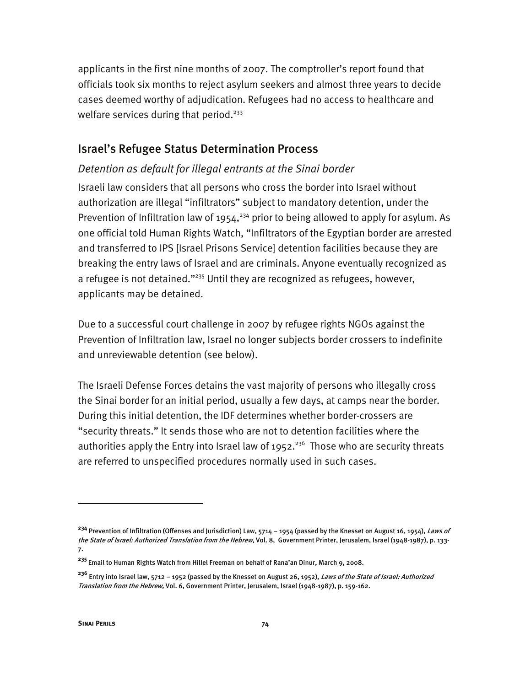applicants in the first nine months of 2007. The comptroller's report found that officials took six months to reject asylum seekers and almost three years to decide cases deemed worthy of adjudication. Refugees had no access to healthcare and welfare services during that period.<sup>233</sup>

# Israel's Refugee Status Determination Process

## *Detention as default for illegal entrants at the Sinai border*

Israeli law considers that all persons who cross the border into Israel without authorization are illegal "infiltrators" subject to mandatory detention, under the Prevention of Infiltration law of 1954,<sup>234</sup> prior to being allowed to apply for asylum. As one official told Human Rights Watch, "Infiltrators of the Egyptian border are arrested and transferred to IPS [Israel Prisons Service] detention facilities because they are breaking the entry laws of Israel and are criminals. Anyone eventually recognized as a refugee is not detained."<sup>235</sup> Until they are recognized as refugees, however, applicants may be detained.

Due to a successful court challenge in 2007 by refugee rights NGOs against the Prevention of Infiltration law, Israel no longer subjects border crossers to indefinite and unreviewable detention (see below).

The Israeli Defense Forces detains the vast majority of persons who illegally cross the Sinai border for an initial period, usually a few days, at camps near the border. During this initial detention, the IDF determines whether border-crossers are "security threats." It sends those who are not to detention facilities where the authorities apply the Entry into Israel law of  $1952.^{236}$  Those who are security threats are referred to unspecified procedures normally used in such cases.

**<sup>234</sup>** Prevention of Infiltration (Offenses and Jurisdiction) Law, 5714 – 1954 (passed by the Knesset on August 16, 1954), Laws of the State of Israel: Authorized Translation from the Hebrew, Vol. 8, Government Printer, Jerusalem, Israel (1948-1987), p. 133-7.

**<sup>235</sup>**Email to Human Rights Watch from Hillel Freeman on behalf of Rana'an Dinur, March 9, 2008.

**<sup>236</sup>** Entry into Israel law, 5712 – 1952 (passed by the Knesset on August 26, 1952), Laws of the State of Israel: Authorized Translation from the Hebrew, Vol. 6, Government Printer, Jerusalem, Israel (1948-1987), p. 159-162.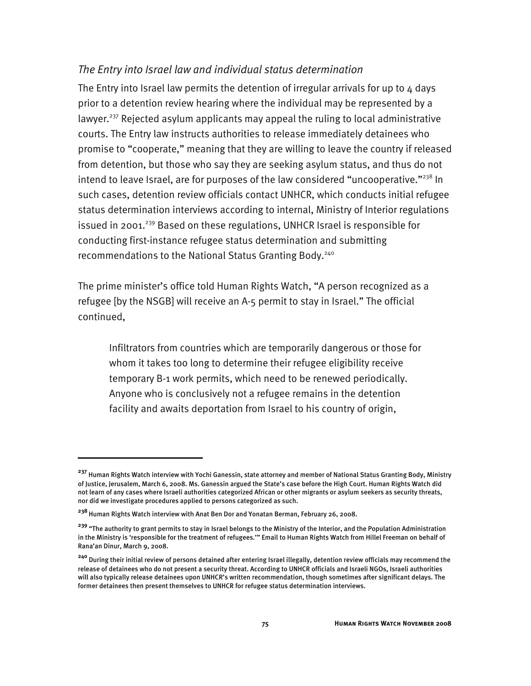# *The Entry into Israel law and individual status determination*

The Entry into Israel law permits the detention of irregular arrivals for up to  $4$  days prior to a detention review hearing where the individual may be represented by a lawyer.<sup>237</sup> Rejected asylum applicants may appeal the ruling to local administrative courts. The Entry law instructs authorities to release immediately detainees who promise to "cooperate," meaning that they are willing to leave the country if released from detention, but those who say they are seeking asylum status, and thus do not intend to leave Israel, are for purposes of the law considered "uncooperative." $^{238}$  In such cases, detention review officials contact UNHCR, which conducts initial refugee status determination interviews according to internal, Ministry of Interior regulations issued in 2001.<sup>239</sup> Based on these regulations, UNHCR Israel is responsible for conducting first-instance refugee status determination and submitting recommendations to the National Status Granting Body.<sup>240</sup>

The prime minister's office told Human Rights Watch, "A person recognized as a refugee [by the NSGB] will receive an A-5 permit to stay in Israel." The official continued,

Infiltrators from countries which are temporarily dangerous or those for whom it takes too long to determine their refugee eligibility receive temporary B-1 work permits, which need to be renewed periodically. Anyone who is conclusively not a refugee remains in the detention facility and awaits deportation from Israel to his country of origin,

**<sup>237</sup>** Human Rights Watch interview with Yochi Ganessin, state attorney and member of National Status Granting Body, Ministry of Justice, Jerusalem, March 6, 2008. Ms. Ganessin argued the State's case before the High Court. Human Rights Watch did not learn of any cases where Israeli authorities categorized African or other migrants or asylum seekers as security threats, nor did we investigate procedures applied to persons categorized as such.

**<sup>238</sup>**Human Rights Watch interview with Anat Ben Dor and Yonatan Berman, February 26, 2008.

**<sup>239</sup>** "The authority to grant permits to stay in Israel belongs to the Ministry of the Interior, and the Population Administration in the Ministry is 'responsible for the treatment of refugees.'" Email to Human Rights Watch from Hillel Freeman on behalf of Rana'an Dinur, March 9, 2008.

**<sup>240</sup>** During their initial review of persons detained after entering Israel illegally, detention review officials may recommend the release of detainees who do not present a security threat. According to UNHCR officials and Israeli NGOs, Israeli authorities will also typically release detainees upon UNHCR's written recommendation, though sometimes after significant delays. The former detainees then present themselves to UNHCR for refugee status determination interviews.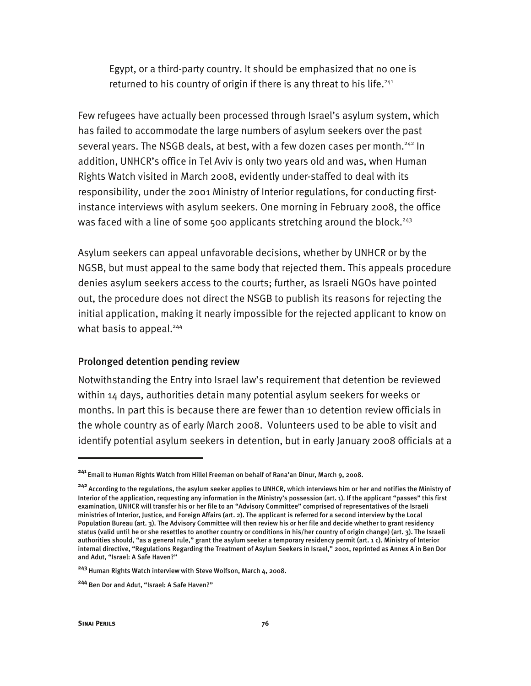Egypt, or a third-party country. It should be emphasized that no one is returned to his country of origin if there is any threat to his life.<sup>241</sup>

Few refugees have actually been processed through Israel's asylum system, which has failed to accommodate the large numbers of asylum seekers over the past several years. The NSGB deals, at best, with a few dozen cases per month.<sup>242</sup> In addition, UNHCR's office in Tel Aviv is only two years old and was, when Human Rights Watch visited in March 2008, evidently under-staffed to deal with its responsibility, under the 2001 Ministry of Interior regulations, for conducting firstinstance interviews with asylum seekers. One morning in February 2008, the office was faced with a line of some 500 applicants stretching around the block.<sup>243</sup>

Asylum seekers can appeal unfavorable decisions, whether by UNHCR or by the NGSB, but must appeal to the same body that rejected them. This appeals procedure denies asylum seekers access to the courts; further, as Israeli NGOs have pointed out, the procedure does not direct the NSGB to publish its reasons for rejecting the initial application, making it nearly impossible for the rejected applicant to know on what basis to appeal.<sup>244</sup>

#### Prolonged detention pending review

Notwithstanding the Entry into Israel law's requirement that detention be reviewed within 14 days, authorities detain many potential asylum seekers for weeks or months. In part this is because there are fewer than 10 detention review officials in the whole country as of early March 2008. Volunteers used to be able to visit and identify potential asylum seekers in detention, but in early January 2008 officials at a

**<sup>241</sup>**Email to Human Rights Watch from Hillel Freeman on behalf of Rana'an Dinur, March 9, 2008.

**<sup>242</sup>**According to the regulations, the asylum seeker applies to UNHCR, which interviews him or her and notifies the Ministry of Interior of the application, requesting any information in the Ministry's possession (art. 1). If the applicant "passes" this first examination, UNHCR will transfer his or her file to an "Advisory Committee" comprised of representatives of the Israeli ministries of Interior, Justice, and Foreign Affairs (art. 2). The applicant is referred for a second interview by the Local Population Bureau (art. 3). The Advisory Committee will then review his or her file and decide whether to grant residency status (valid until he or she resettles to another country or conditions in his/her country of origin change) (art. 3). The Israeli authorities should, "as a general rule," grant the asylum seeker a temporary residency permit (art. 1 c). Ministry of Interior internal directive, "Regulations Regarding the Treatment of Asylum Seekers in Israel," 2001, reprinted as Annex A in Ben Dor and Adut, "Israel: A Safe Haven?"

**<sup>243</sup>** Human Rights Watch interview with Steve Wolfson, March 4, 2008.

**<sup>244</sup>** Ben Dor and Adut, "Israel: A Safe Haven?"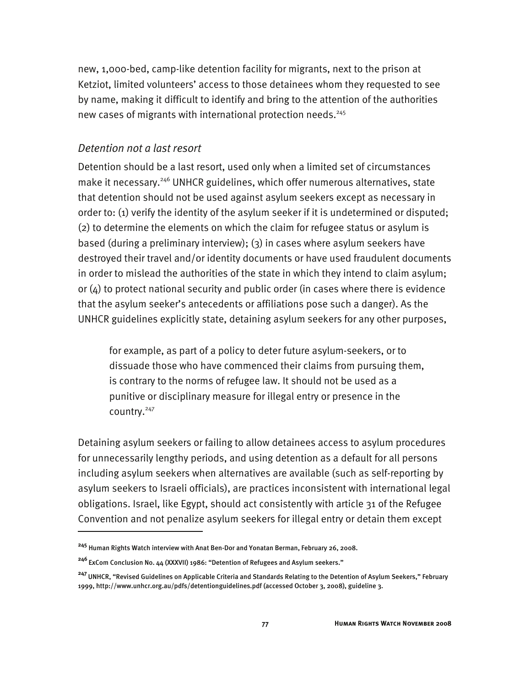new, 1,000-bed, camp-like detention facility for migrants, next to the prison at Ketziot, limited volunteers' access to those detainees whom they requested to see by name, making it difficult to identify and bring to the attention of the authorities new cases of migrants with international protection needs.<sup>245</sup>

#### *Detention not a last resort*

I

Detention should be a last resort, used only when a limited set of circumstances make it necessary.<sup>246</sup> UNHCR guidelines, which offer numerous alternatives, state that detention should not be used against asylum seekers except as necessary in order to: (1) verify the identity of the asylum seeker if it is undetermined or disputed; (2) to determine the elements on which the claim for refugee status or asylum is based (during a preliminary interview); (3) in cases where asylum seekers have destroyed their travel and/or identity documents or have used fraudulent documents in order to mislead the authorities of the state in which they intend to claim asylum; or  $(4)$  to protect national security and public order (in cases where there is evidence that the asylum seeker's antecedents or affiliations pose such a danger). As the UNHCR guidelines explicitly state, detaining asylum seekers for any other purposes,

for example, as part of a policy to deter future asylum-seekers, or to dissuade those who have commenced their claims from pursuing them, is contrary to the norms of refugee law. It should not be used as a punitive or disciplinary measure for illegal entry or presence in the country.247

Detaining asylum seekers or failing to allow detainees access to asylum procedures for unnecessarily lengthy periods, and using detention as a default for all persons including asylum seekers when alternatives are available (such as self-reporting by asylum seekers to Israeli officials), are practices inconsistent with international legal obligations. Israel, like Egypt, should act consistently with article 31 of the Refugee Convention and not penalize asylum seekers for illegal entry or detain them except

**<sup>245</sup>** Human Rights Watch interview with Anat Ben-Dor and Yonatan Berman, February 26, 2008.

**<sup>246</sup>**ExCom Conclusion No. 44 (XXXVII) 1986: "Detention of Refugees and Asylum seekers."

**<sup>247</sup>**UNHCR, "Revised Guidelines on Applicable Criteria and Standards Relating to the Detention of Asylum Seekers," February 1999, http://www.unhcr.org.au/pdfs/detentionguidelines.pdf (accessed October 3, 2008), guideline 3.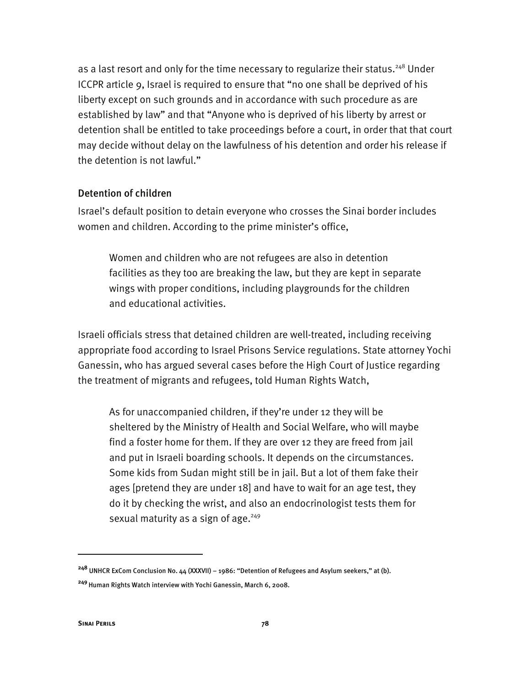as a last resort and only for the time necessary to regularize their status.<sup>248</sup> Under ICCPR article 9, Israel is required to ensure that "no one shall be deprived of his liberty except on such grounds and in accordance with such procedure as are established by law" and that "Anyone who is deprived of his liberty by arrest or detention shall be entitled to take proceedings before a court, in order that that court may decide without delay on the lawfulness of his detention and order his release if the detention is not lawful."

#### Detention of children

Israel's default position to detain everyone who crosses the Sinai border includes women and children. According to the prime minister's office,

Women and children who are not refugees are also in detention facilities as they too are breaking the law, but they are kept in separate wings with proper conditions, including playgrounds for the children and educational activities.

Israeli officials stress that detained children are well-treated, including receiving appropriate food according to Israel Prisons Service regulations. State attorney Yochi Ganessin, who has argued several cases before the High Court of Justice regarding the treatment of migrants and refugees, told Human Rights Watch,

As for unaccompanied children, if they're under 12 they will be sheltered by the Ministry of Health and Social Welfare, who will maybe find a foster home for them. If they are over 12 they are freed from jail and put in Israeli boarding schools. It depends on the circumstances. Some kids from Sudan might still be in jail. But a lot of them fake their ages [pretend they are under 18] and have to wait for an age test, they do it by checking the wrist, and also an endocrinologist tests them for sexual maturity as a sign of age. $249$ 

**<sup>248</sup>** UNHCR ExCom Conclusion No. 44 (XXXVII) – 1986: "Detention of Refugees and Asylum seekers," at (b).

**<sup>249</sup>**Human Rights Watch interview with Yochi Ganessin, March 6, 2008.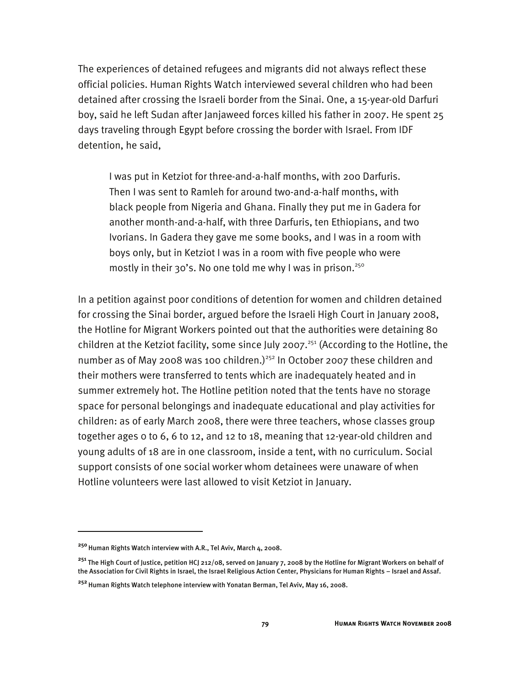The experiences of detained refugees and migrants did not always reflect these official policies. Human Rights Watch interviewed several children who had been detained after crossing the Israeli border from the Sinai. One, a 15-year-old Darfuri boy, said he left Sudan after Janjaweed forces killed his father in 2007. He spent 25 days traveling through Egypt before crossing the border with Israel. From IDF detention, he said,

I was put in Ketziot for three-and-a-half months, with 200 Darfuris. Then I was sent to Ramleh for around two-and-a-half months, with black people from Nigeria and Ghana. Finally they put me in Gadera for another month-and-a-half, with three Darfuris, ten Ethiopians, and two Ivorians. In Gadera they gave me some books, and I was in a room with boys only, but in Ketziot I was in a room with five people who were mostly in their 30's. No one told me why I was in prison.<sup>250</sup>

In a petition against poor conditions of detention for women and children detained for crossing the Sinai border, argued before the Israeli High Court in January 2008, the Hotline for Migrant Workers pointed out that the authorities were detaining 80 children at the Ketziot facility, some since July 2007.<sup>251</sup> (According to the Hotline, the number as of May 2008 was 100 children.)<sup>252</sup> In October 2007 these children and their mothers were transferred to tents which are inadequately heated and in summer extremely hot. The Hotline petition noted that the tents have no storage space for personal belongings and inadequate educational and play activities for children: as of early March 2008, there were three teachers, whose classes group together ages 0 to 6, 6 to 12, and 12 to 18, meaning that 12-year-old children and young adults of 18 are in one classroom, inside a tent, with no curriculum. Social support consists of one social worker whom detainees were unaware of when Hotline volunteers were last allowed to visit Ketziot in January.

<sup>&</sup>lt;sup>250</sup> Human Rights Watch interview with A.R., Tel Aviv, March 4, 2008.

**<sup>251</sup>** The High Court of Justice, petition HCJ 212/08, served on January 7, 2008 by the Hotline for Migrant Workers on behalf of the Association for Civil Rights in Israel, the Israel Religious Action Center, Physicians for Human Rights – Israel and Assaf.

**<sup>252</sup>**Human Rights Watch telephone interview with Yonatan Berman, Tel Aviv, May 16, 2008.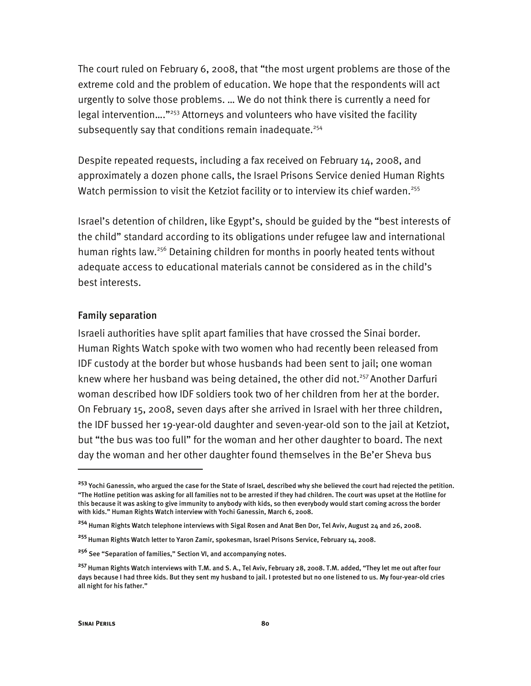The court ruled on February 6, 2008, that "the most urgent problems are those of the extreme cold and the problem of education. We hope that the respondents will act urgently to solve those problems. … We do not think there is currently a need for legal intervention…."253 Attorneys and volunteers who have visited the facility subsequently say that conditions remain inadequate.<sup>254</sup>

Despite repeated requests, including a fax received on February 14, 2008, and approximately a dozen phone calls, the Israel Prisons Service denied Human Rights Watch permission to visit the Ketziot facility or to interview its chief warden.<sup>255</sup>

Israel's detention of children, like Egypt's, should be guided by the "best interests of the child" standard according to its obligations under refugee law and international human rights law.<sup>256</sup> Detaining children for months in poorly heated tents without adequate access to educational materials cannot be considered as in the child's best interests.

#### Family separation

Israeli authorities have split apart families that have crossed the Sinai border. Human Rights Watch spoke with two women who had recently been released from IDF custody at the border but whose husbands had been sent to jail; one woman knew where her husband was being detained, the other did not.<sup>257</sup> Another Darfuri woman described how IDF soldiers took two of her children from her at the border. On February 15, 2008, seven days after she arrived in Israel with her three children, the IDF bussed her 19-year-old daughter and seven-year-old son to the jail at Ketziot, but "the bus was too full" for the woman and her other daughter to board. The next day the woman and her other daughter found themselves in the Be'er Sheva bus

j

**<sup>253</sup>** Yochi Ganessin, who argued the case for the State of Israel, described why she believed the court had rejected the petition. "The Hotline petition was asking for all families not to be arrested if they had children. The court was upset at the Hotline for this because it was asking to give immunity to anybody with kids, so then everybody would start coming across the border with kids." Human Rights Watch interview with Yochi Ganessin, March 6, 2008.

**<sup>254</sup>** Human Rights Watch telephone interviews with Sigal Rosen and Anat Ben Dor, Tel Aviv, August 24 and 26, 2008.

**<sup>255</sup>**Human Rights Watch letter to Yaron Zamir, spokesman, Israel Prisons Service, February 14, 2008.

**<sup>256</sup>** See "Separation of families," Section VI, and accompanying notes.

**<sup>257</sup>**Human Rights Watch interviews with T.M. and S. A., Tel Aviv, February 28, 2008. T.M. added, "They let me out after four days because I had three kids. But they sent my husband to jail. I protested but no one listened to us. My four-year-old cries all night for his father."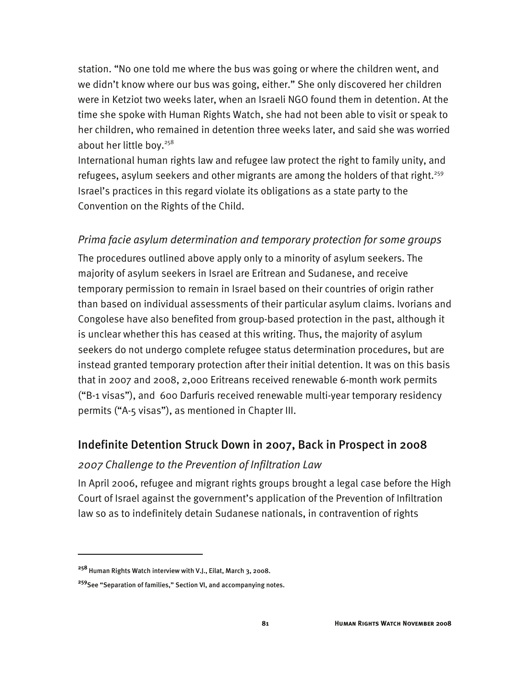station. "No one told me where the bus was going or where the children went, and we didn't know where our bus was going, either." She only discovered her children were in Ketziot two weeks later, when an Israeli NGO found them in detention. At the time she spoke with Human Rights Watch, she had not been able to visit or speak to her children, who remained in detention three weeks later, and said she was worried about her little boy.<sup>258</sup>

International human rights law and refugee law protect the right to family unity, and refugees, asylum seekers and other migrants are among the holders of that right.<sup>259</sup> Israel's practices in this regard violate its obligations as a state party to the Convention on the Rights of the Child.

#### *Prima facie asylum determination and temporary protection for some groups*

The procedures outlined above apply only to a minority of asylum seekers. The majority of asylum seekers in Israel are Eritrean and Sudanese, and receive temporary permission to remain in Israel based on their countries of origin rather than based on individual assessments of their particular asylum claims. Ivorians and Congolese have also benefited from group-based protection in the past, although it is unclear whether this has ceased at this writing. Thus, the majority of asylum seekers do not undergo complete refugee status determination procedures, but are instead granted temporary protection after their initial detention. It was on this basis that in 2007 and 2008, 2,000 Eritreans received renewable 6-month work permits ("B-1 visas"), and 600 Darfuris received renewable multi-year temporary residency permits ("A-5 visas"), as mentioned in Chapter III.

# Indefinite Detention Struck Down in 2007, Back in Prospect in 2008

#### *2007 Challenge to the Prevention of Infiltration Law*

In April 2006, refugee and migrant rights groups brought a legal case before the High Court of Israel against the government's application of the Prevention of Infiltration law so as to indefinitely detain Sudanese nationals, in contravention of rights

**<sup>258</sup>** Human Rights Watch interview with V.J., Eilat, March 3, 2008.

**<sup>259</sup>**See "Separation of families," Section VI, and accompanying notes.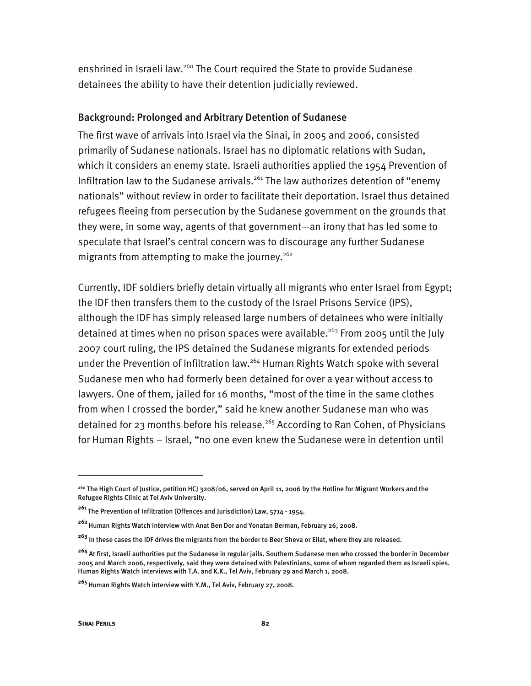enshrined in Israeli law.<sup>260</sup> The Court required the State to provide Sudanese detainees the ability to have their detention judicially reviewed.

#### Background: Prolonged and Arbitrary Detention of Sudanese

The first wave of arrivals into Israel via the Sinai, in 2005 and 2006, consisted primarily of Sudanese nationals. Israel has no diplomatic relations with Sudan, which it considers an enemy state. Israeli authorities applied the 1954 Prevention of Infiltration law to the Sudanese arrivals.<sup>261</sup> The law authorizes detention of "enemy nationals" without review in order to facilitate their deportation. Israel thus detained refugees fleeing from persecution by the Sudanese government on the grounds that they were, in some way, agents of that government—an irony that has led some to speculate that Israel's central concern was to discourage any further Sudanese migrants from attempting to make the journey.<sup>262</sup>

Currently, IDF soldiers briefly detain virtually all migrants who enter Israel from Egypt; the IDF then transfers them to the custody of the Israel Prisons Service (IPS), although the IDF has simply released large numbers of detainees who were initially detained at times when no prison spaces were available.<sup>263</sup> From 2005 until the July 2007 court ruling, the IPS detained the Sudanese migrants for extended periods under the Prevention of Infiltration law.<sup>264</sup> Human Rights Watch spoke with several Sudanese men who had formerly been detained for over a year without access to lawyers. One of them, jailed for 16 months, "most of the time in the same clothes from when I crossed the border," said he knew another Sudanese man who was detained for 23 months before his release.<sup>265</sup> According to Ran Cohen, of Physicians for Human Rights – Israel, "no one even knew the Sudanese were in detention until

-

<sup>&</sup>lt;sup>260</sup> The High Court of Justice, petition HCJ 3208/06, served on April 11, 2006 by the Hotline for Migrant Workers and the Refugee Rights Clinic at Tel Aviv University.

**<sup>261</sup>**The Prevention of Infiltration (Offences and Jurisdiction) Law, 5714 - 1954.

**<sup>262</sup>**Human Rights Watch interview with Anat Ben Dor and Yonatan Berman, February 26, 2008.

**<sup>263</sup>** In these cases the IDF drives the migrants from the border to Beer Sheva or Eilat, where they are released.

**<sup>264</sup>** At first, Israeli authorities put the Sudanese in regular jails. Southern Sudanese men who crossed the border in December 2005 and March 2006, respectively, said they were detained with Palestinians, some of whom regarded them as Israeli spies. Human Rights Watch interviews with T.A. and K.K., Tel Aviv, February 29 and March 1, 2008.

**<sup>265</sup>**Human Rights Watch interview with Y.M., Tel Aviv, February 27, 2008.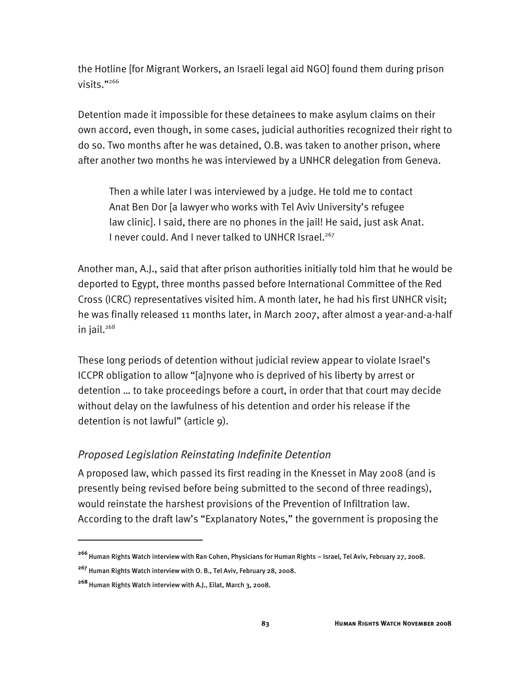the Hotline [for Migrant Workers, an Israeli legal aid NGO] found them during prison visits."266

Detention made it impossible for these detainees to make asylum claims on their own accord, even though, in some cases, judicial authorities recognized their right to do so. Two months after he was detained, O.B. was taken to another prison, where after another two months he was interviewed by a UNHCR delegation from Geneva.

Then a while later I was interviewed by a judge. He told me to contact Anat Ben Dor [a lawyer who works with Tel Aviv University's refugee law clinic]. I said, there are no phones in the jail! He said, just ask Anat. I never could. And I never talked to UNHCR Israel.<sup>267</sup>

Another man, A.J., said that after prison authorities initially told him that he would be deported to Egypt, three months passed before International Committee of the Red Cross (ICRC) representatives visited him. A month later, he had his first UNHCR visit; he was finally released 11 months later, in March 2007, after almost a year-and-a-half in jail. $268$ 

These long periods of detention without judicial review appear to violate Israel's ICCPR obligation to allow "[a]nyone who is deprived of his liberty by arrest or detention … to take proceedings before a court, in order that that court may decide without delay on the lawfulness of his detention and order his release if the detention is not lawful" (article 9).

# *Proposed Legislation Reinstating Indefinite Detention*

A proposed law, which passed its first reading in the Knesset in May 2008 (and is presently being revised before being submitted to the second of three readings), would reinstate the harshest provisions of the Prevention of Infiltration law. According to the draft law's "Explanatory Notes," the government is proposing the

**<sup>266</sup>**Human Rights Watch interview with Ran Cohen, Physicians for Human Rights – Israel, Tel Aviv, February 27, 2008.

**<sup>267</sup>** Human Rights Watch interview with O. B., Tel Aviv, February 28, 2008.

**<sup>268</sup>**Human Rights Watch interview with A.J., Eilat, March 3, 2008.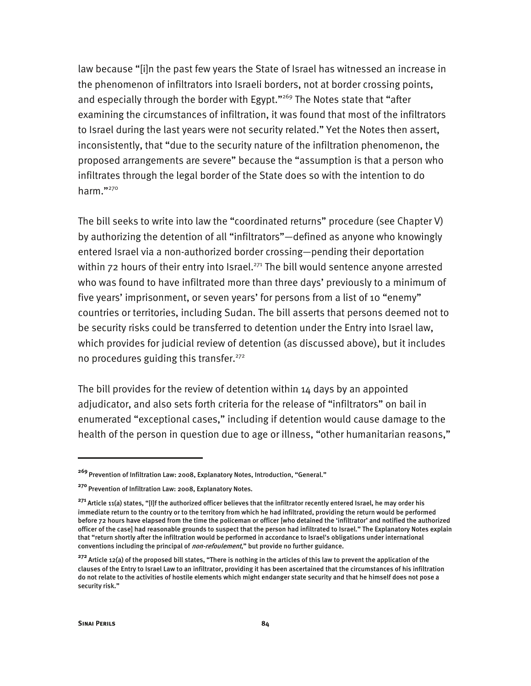law because "[i]n the past few years the State of Israel has witnessed an increase in the phenomenon of infiltrators into Israeli borders, not at border crossing points, and especially through the border with Egypt."<sup>269</sup> The Notes state that "after examining the circumstances of infiltration, it was found that most of the infiltrators to Israel during the last years were not security related." Yet the Notes then assert, inconsistently, that "due to the security nature of the infiltration phenomenon, the proposed arrangements are severe" because the "assumption is that a person who infiltrates through the legal border of the State does so with the intention to do harm."270

The bill seeks to write into law the "coordinated returns" procedure (see Chapter V) by authorizing the detention of all "infiltrators"—defined as anyone who knowingly entered Israel via a non-authorized border crossing—pending their deportation within  $72$  hours of their entry into Israel.<sup>271</sup> The bill would sentence anyone arrested who was found to have infiltrated more than three days' previously to a minimum of five years' imprisonment, or seven years' for persons from a list of 10 "enemy" countries or territories, including Sudan. The bill asserts that persons deemed not to be security risks could be transferred to detention under the Entry into Israel law, which provides for judicial review of detention (as discussed above), but it includes no procedures guiding this transfer. $272$ 

The bill provides for the review of detention within  $14$  days by an appointed adjudicator, and also sets forth criteria for the release of "infiltrators" on bail in enumerated "exceptional cases," including if detention would cause damage to the health of the person in question due to age or illness, "other humanitarian reasons,"

**<sup>269</sup>**Prevention of Infiltration Law: 2008, Explanatory Notes, Introduction, "General."

<sup>&</sup>lt;sup>270</sup> Prevention of Infiltration Law: 2008, Explanatory Notes.

**<sup>271</sup>**Article 11(a) states, "[I]f the authorized officer believes that the infiltrator recently entered Israel, he may order his immediate return to the country or to the territory from which he had infiltrated, providing the return would be performed before 72 hours have elapsed from the time the policeman or officer [who detained the 'infiltrator' and notified the authorized officer of the case] had reasonable grounds to suspect that the person had infiltrated to Israel." The Explanatory Notes explain that "return shortly after the infiltration would be performed in accordance to Israel's obligations under international conventions including the principal of *non-refoulement*," but provide no further guidance.

**<sup>272</sup>**Article 12(a) of the proposed bill states, "There is nothing in the articles of this law to prevent the application of the clauses of the Entry to Israel Law to an infiltrator, providing it has been ascertained that the circumstances of his infiltration do not relate to the activities of hostile elements which might endanger state security and that he himself does not pose a security risk."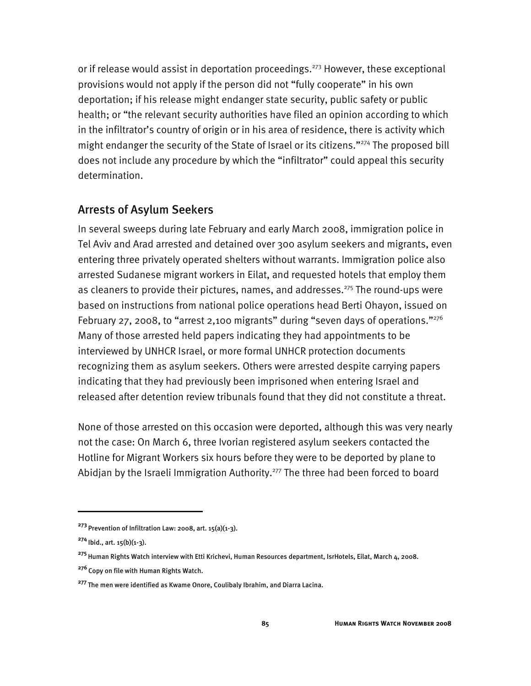or if release would assist in deportation proceedings.<sup>273</sup> However, these exceptional provisions would not apply if the person did not "fully cooperate" in his own deportation; if his release might endanger state security, public safety or public health; or "the relevant security authorities have filed an opinion according to which in the infiltrator's country of origin or in his area of residence, there is activity which might endanger the security of the State of Israel or its citizens."<sup>274</sup> The proposed bill does not include any procedure by which the "infiltrator" could appeal this security determination.

# Arrests of Asylum Seekers

In several sweeps during late February and early March 2008, immigration police in Tel Aviv and Arad arrested and detained over 300 asylum seekers and migrants, even entering three privately operated shelters without warrants. Immigration police also arrested Sudanese migrant workers in Eilat, and requested hotels that employ them as cleaners to provide their pictures, names, and addresses.<sup>275</sup> The round-ups were based on instructions from national police operations head Berti Ohayon, issued on February 27, 2008, to "arrest 2,100 migrants" during "seven days of operations."<sup>276</sup> Many of those arrested held papers indicating they had appointments to be interviewed by UNHCR Israel, or more formal UNHCR protection documents recognizing them as asylum seekers. Others were arrested despite carrying papers indicating that they had previously been imprisoned when entering Israel and released after detention review tribunals found that they did not constitute a threat.

None of those arrested on this occasion were deported, although this was very nearly not the case: On March 6, three Ivorian registered asylum seekers contacted the Hotline for Migrant Workers six hours before they were to be deported by plane to Abidjan by the Israeli Immigration Authority.<sup>277</sup> The three had been forced to board

**<sup>273</sup>**Prevention of Infiltration Law: 2008, art. 15(a)(1-3).

**<sup>274</sup>**Ibid., art. 15(b)(1-3).

**<sup>275</sup>**Human Rights Watch interview with Etti Krichevi, Human Resources department, IsrHotels, Eilat, March 4, 2008.

<sup>&</sup>lt;sup>276</sup> Copy on file with Human Rights Watch.

**<sup>277</sup>**The men were identified as Kwame Onore, Coulibaly Ibrahim, and Diarra Lacina.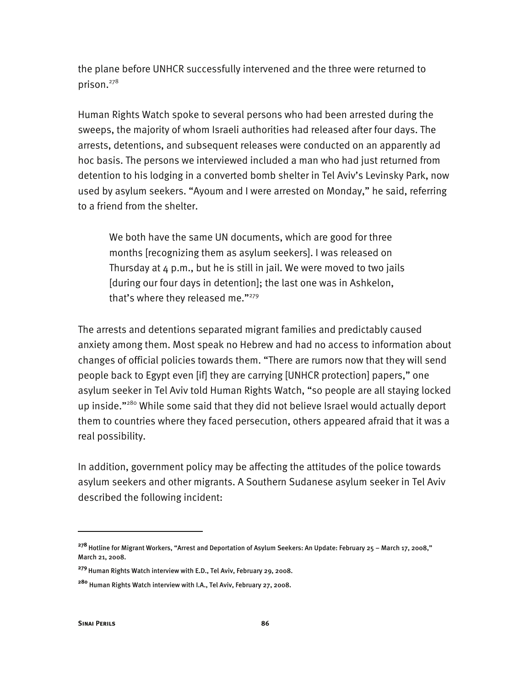the plane before UNHCR successfully intervened and the three were returned to prison.278

Human Rights Watch spoke to several persons who had been arrested during the sweeps, the majority of whom Israeli authorities had released after four days. The arrests, detentions, and subsequent releases were conducted on an apparently ad hoc basis. The persons we interviewed included a man who had just returned from detention to his lodging in a converted bomb shelter in Tel Aviv's Levinsky Park, now used by asylum seekers. "Ayoum and I were arrested on Monday," he said, referring to a friend from the shelter.

We both have the same UN documents, which are good for three months [recognizing them as asylum seekers]. I was released on Thursday at  $4$  p.m., but he is still in jail. We were moved to two jails [during our four days in detention]; the last one was in Ashkelon, that's where they released me."279

The arrests and detentions separated migrant families and predictably caused anxiety among them. Most speak no Hebrew and had no access to information about changes of official policies towards them. "There are rumors now that they will send people back to Egypt even [if] they are carrying [UNHCR protection] papers," one asylum seeker in Tel Aviv told Human Rights Watch, "so people are all staying locked up inside."<sup>280</sup> While some said that they did not believe Israel would actually deport them to countries where they faced persecution, others appeared afraid that it was a real possibility.

In addition, government policy may be affecting the attitudes of the police towards asylum seekers and other migrants. A Southern Sudanese asylum seeker in Tel Aviv described the following incident:

-

**<sup>278</sup>**Hotline for Migrant Workers, "Arrest and Deportation of Asylum Seekers: An Update: February 25 – March 17, 2008," March 21, 2008.

**<sup>279</sup>**Human Rights Watch interview with E.D., Tel Aviv, February 29, 2008.

**<sup>280</sup>** Human Rights Watch interview with I.A., Tel Aviv, February 27, 2008.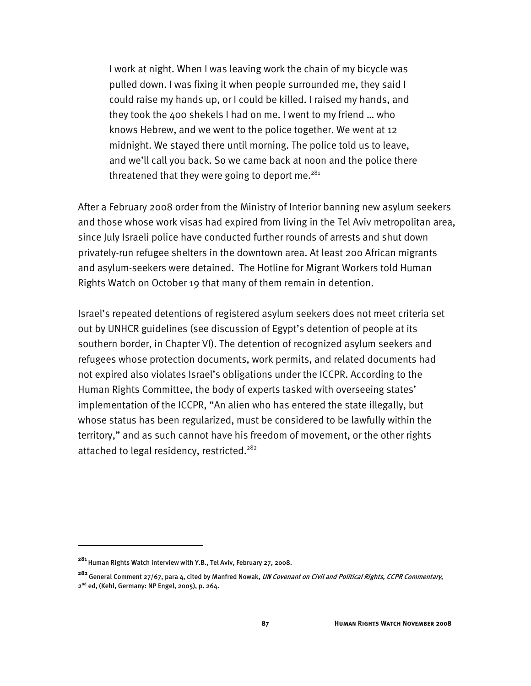I work at night. When I was leaving work the chain of my bicycle was pulled down. I was fixing it when people surrounded me, they said I could raise my hands up, or I could be killed. I raised my hands, and they took the 400 shekels I had on me. I went to my friend … who knows Hebrew, and we went to the police together. We went at 12 midnight. We stayed there until morning. The police told us to leave, and we'll call you back. So we came back at noon and the police there threatened that they were going to deport me. $281$ 

After a February 2008 order from the Ministry of Interior banning new asylum seekers and those whose work visas had expired from living in the Tel Aviv metropolitan area, since July Israeli police have conducted further rounds of arrests and shut down privately-run refugee shelters in the downtown area. At least 200 African migrants and asylum-seekers were detained. The Hotline for Migrant Workers told Human Rights Watch on October 19 that many of them remain in detention.

Israel's repeated detentions of registered asylum seekers does not meet criteria set out by UNHCR guidelines (see discussion of Egypt's detention of people at its southern border, in Chapter VI). The detention of recognized asylum seekers and refugees whose protection documents, work permits, and related documents had not expired also violates Israel's obligations under the ICCPR. According to the Human Rights Committee, the body of experts tasked with overseeing states' implementation of the ICCPR, "An alien who has entered the state illegally, but whose status has been regularized, must be considered to be lawfully within the territory," and as such cannot have his freedom of movement, or the other rights attached to legal residency, restricted.<sup>282</sup>

**<sup>281</sup>**Human Rights Watch interview with Y.B., Tel Aviv, February 27, 2008.

**<sup>282</sup>**General Comment 27/67, para 4, cited by Manfred Nowak, UN Covenant on Civil and Political Rights, CCPR Commentary, 2<sup>nd</sup> ed, (Kehl, Germany: NP Engel, 2005), p. 264.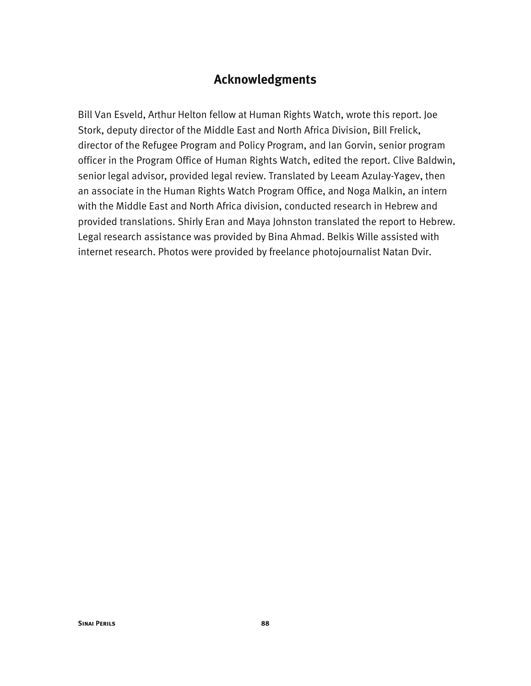# **Acknowledgments**

Bill Van Esveld, Arthur Helton fellow at Human Rights Watch, wrote this report. Joe Stork, deputy director of the Middle East and North Africa Division, Bill Frelick, director of the Refugee Program and Policy Program, and Ian Gorvin, senior program officer in the Program Office of Human Rights Watch, edited the report. Clive Baldwin, senior legal advisor, provided legal review. Translated by Leeam Azulay-Yagev, then an associate in the Human Rights Watch Program Office, and Noga Malkin, an intern with the Middle East and North Africa division, conducted research in Hebrew and provided translations. Shirly Eran and Maya Johnston translated the report to Hebrew. Legal research assistance was provided by Bina Ahmad. Belkis Wille assisted with internet research. Photos were provided by freelance photojournalist Natan Dvir.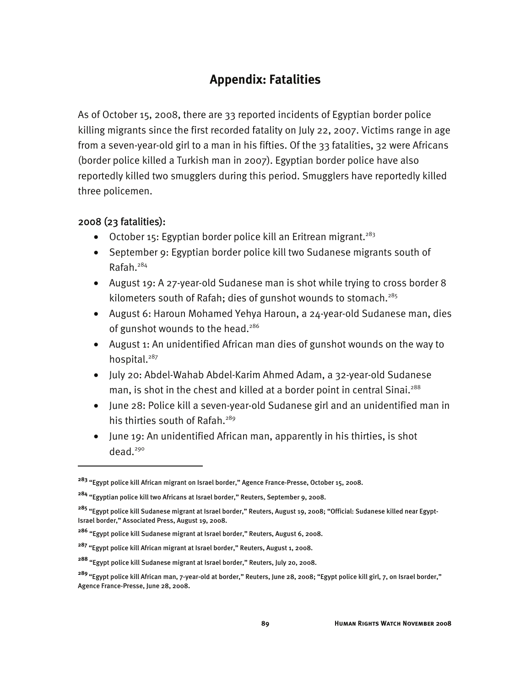# **Appendix: Fatalities**

As of October 15, 2008, there are 33 reported incidents of Egyptian border police killing migrants since the first recorded fatality on July 22, 2007. Victims range in age from a seven-year-old girl to a man in his fifties. Of the 33 fatalities, 32 were Africans (border police killed a Turkish man in 2007). Egyptian border police have also reportedly killed two smugglers during this period. Smugglers have reportedly killed three policemen.

# 2008 (23 fatalities):

-

- October 15: Egyptian border police kill an Eritrean migrant.<sup>283</sup>
- September 9: Egyptian border police kill two Sudanese migrants south of Rafah.284
- August 19: A 27-year-old Sudanese man is shot while trying to cross border 8 kilometers south of Rafah; dies of gunshot wounds to stomach.<sup>285</sup>
- August 6: Haroun Mohamed Yehya Haroun, a 24-year-old Sudanese man, dies of gunshot wounds to the head.<sup>286</sup>
- August 1: An unidentified African man dies of gunshot wounds on the way to hospital.<sup>287</sup>
- July 20: Abdel-Wahab Abdel-Karim Ahmed Adam, a 32-year-old Sudanese man, is shot in the chest and killed at a border point in central Sinai.<sup>288</sup>
- June 28: Police kill a seven-year-old Sudanese girl and an unidentified man in his thirties south of Rafah.<sup>289</sup>
- June 19: An unidentified African man, apparently in his thirties, is shot dead.<sup>290</sup>

**<sup>283</sup>** "Egypt police kill African migrant on Israel border," Agence France-Presse, October 15, 2008.

**<sup>284</sup>** "Egyptian police kill two Africans at Israel border," Reuters, September 9, 2008.

**<sup>285</sup>** "Egypt police kill Sudanese migrant at Israel border," Reuters, August 19, 2008; "Official: Sudanese killed near Egypt-Israel border," Associated Press, August 19, 2008.

**<sup>286</sup>** "Egypt police kill Sudanese migrant at Israel border," Reuters, August 6, 2008.

**<sup>287</sup>** "Egypt police kill African migrant at Israel border," Reuters, August 1, 2008.

**<sup>288</sup>** "Egypt police kill Sudanese migrant at Israel border," Reuters, July 20, 2008.

**<sup>289</sup>**"Egypt police kill African man, 7-year-old at border," Reuters, June 28, 2008; "Egypt police kill girl, 7, on Israel border," Agence France-Presse, June 28, 2008**.**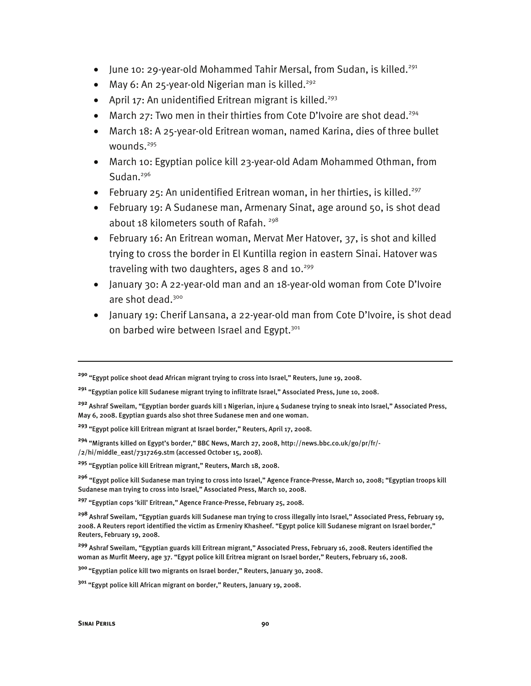- June 10: 29-year-old Mohammed Tahir Mersal, from Sudan, is killed.<sup>291</sup>
- May 6: An 25-year-old Nigerian man is killed.<sup>292</sup>
- April 17: An unidentified Eritrean migrant is killed.<sup>293</sup>
- March 27: Two men in their thirties from Cote D'Ivoire are shot dead.<sup>294</sup>
- March 18: A 25-year-old Eritrean woman, named Karina, dies of three bullet wounds.<sup>295</sup>
- March 10: Egyptian police kill 23-year-old Adam Mohammed Othman, from Sudan. $296$
- February 25: An unidentified Eritrean woman, in her thirties, is killed.<sup>297</sup>
- February 19: A Sudanese man, Armenary Sinat, age around 50, is shot dead about 18 kilometers south of Rafah. <sup>298</sup>
- February 16: An Eritrean woman, Mervat Mer Hatover, 37, is shot and killed trying to cross the border in El Kuntilla region in eastern Sinai. Hatover was traveling with two daughters, ages 8 and  $10.^{299}$
- January 30: A 22-year-old man and an 18-year-old woman from Cote D'Ivoire are shot dead.<sup>300</sup>
- January 19: Cherif Lansana, a 22-year-old man from Cote D'Ivoire, is shot dead on barbed wire between Israel and Egypt.<sup>301</sup>

**<sup>297</sup>** "Egyptian cops 'kill' Eritrean," Agence France-Presse, February 25, 2008.

**<sup>290</sup>** "Egypt police shoot dead African migrant trying to cross into Israel," Reuters, June 19, 2008.

**<sup>291</sup>** "Egyptian police kill Sudanese migrant trying to infiltrate Israel," Associated Press, June 10, 2008.

**<sup>292</sup>** Ashraf Sweilam, "Egyptian border guards kill 1 Nigerian, injure 4 Sudanese trying to sneak into Israel," Associated Press, May 6, 2008. Egyptian guards also shot three Sudanese men and one woman.

**<sup>293</sup>** "Egypt police kill Eritrean migrant at Israel border," Reuters, April 17, 2008.

**<sup>294</sup>** "Migrants killed on Egypt's border," BBC News, March 27, 2008, http://news.bbc.co.uk/go/pr/fr/- /2/hi/middle\_east/7317269.stm (accessed October 15, 2008).

**<sup>295</sup>** "Egyptian police kill Eritrean migrant," Reuters, March 18, 2008.

**<sup>296</sup>** "Egypt police kill Sudanese man trying to cross into Israel," Agence France-Presse, March 10, 2008; "Egyptian troops kill Sudanese man trying to cross into Israel," Associated Press, March 10, 2008.

**<sup>298</sup>** Ashraf Sweilam, "Egyptian guards kill Sudanese man trying to cross illegally into Israel," Associated Press, February 19, 2008. A Reuters report identified the victim as Ermeniry Khasheef. "Egypt police kill Sudanese migrant on Israel border," Reuters, February 19, 2008.

**<sup>299</sup>** Ashraf Sweilam, "Egyptian guards kill Eritrean migrant," Associated Press, February 16, 2008. Reuters identified the woman as Murfit Meery, age 37. "Egypt police kill Eritrea migrant on Israel border," Reuters, February 16, 2008.

**<sup>300</sup>**"Egyptian police kill two migrants on Israel border," Reuters, January 30, 2008.

**<sup>301</sup>** "Egypt police kill African migrant on border," Reuters, January 19, 2008.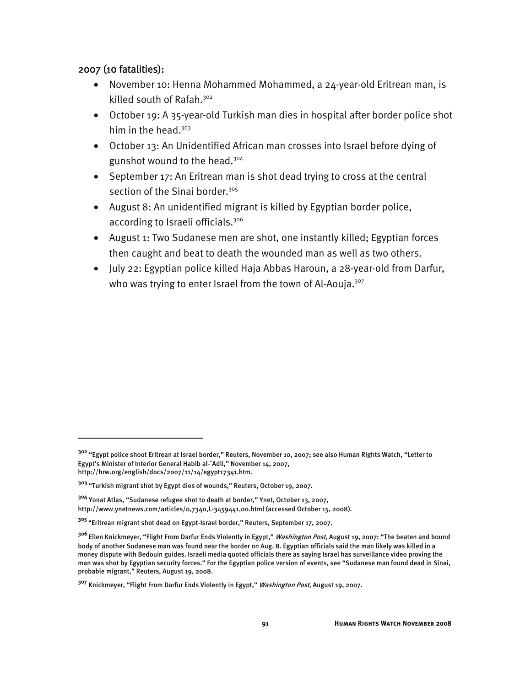## 2007 (10 fatalities):

j

- November 10: Henna Mohammed Mohammed, a 24-year-old Eritrean man, is killed south of Rafah.<sup>302</sup>
- October 19: A 35-year-old Turkish man dies in hospital after border police shot him in the head.<sup>303</sup>
- October 13: An Unidentified African man crosses into Israel before dying of gunshot wound to the head.<sup>304</sup>
- September 17: An Eritrean man is shot dead trying to cross at the central section of the Sinai border.<sup>305</sup>
- August 8: An unidentified migrant is killed by Egyptian border police, according to Israeli officials.<sup>306</sup>
- August 1: Two Sudanese men are shot, one instantly killed; Egyptian forces then caught and beat to death the wounded man as well as two others.
- July 22: Egyptian police killed Haja Abbas Haroun, a 28-year-old from Darfur, who was trying to enter Israel from the town of Al-Aouja.<sup>307</sup>

**<sup>302</sup>** "Egypt police shoot Eritrean at Israel border," Reuters, November 10, 2007; see also Human Rights Watch, "Letter to Egypt's Minister of Interior General Habib al-`Adli," November 14, 2007, http://hrw.org/english/docs/2007/11/14/egypt17341.htm.

**<sup>303</sup>** "Turkish migrant shot by Egypt dies of wounds," Reuters, October 19, 2007.

**<sup>304</sup>** Yonat Atlas, "Sudanese refugee shot to death at border," Ynet, October 13, 2007, http://www.ynetnews.com/articles/0,7340,L-3459441,00.html (accessed October 15, 2008).

**<sup>305</sup>**"Eritrean migrant shot dead on Egypt-Israel border," Reuters, September 17, 2007.

**<sup>306</sup>**Ellen Knickmeyer, "Flight From Darfur Ends Violently in Egypt," Washington Post, August 19, 2007: "The beaten and bound body of another Sudanese man was found near the border on Aug. 8. Egyptian officials said the man likely was killed in a money dispute with Bedouin guides. Israeli media quoted officials there as saying Israel has surveillance video proving the man was shot by Egyptian security forces." For the Egyptian police version of events, see "Sudanese man found dead in Sinai, probable migrant," Reuters, August 19, 2008.

**<sup>307</sup>** Knickmeyer, "Flight From Darfur Ends Violently in Egypt," Washington Post, August 19, 2007.